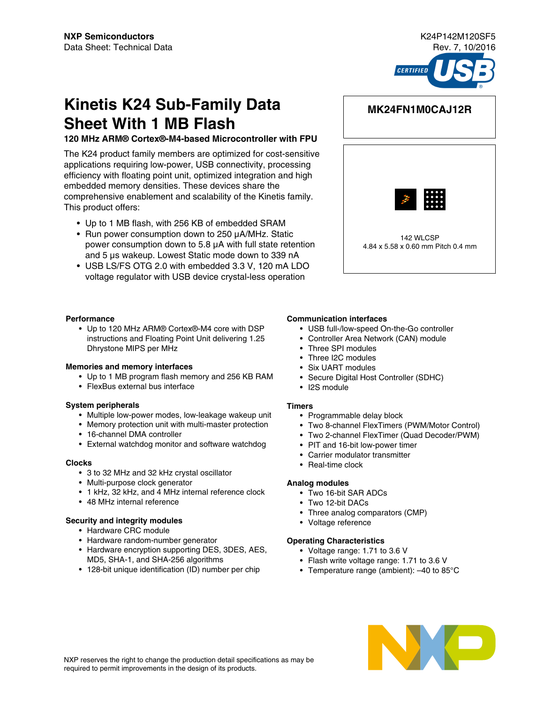

# **Kinetis K24 Sub-Family Data Sheet With 1 MB Flash**

#### **120 MHz ARM® Cortex®-M4-based Microcontroller with FPU**

The K24 product family members are optimized for cost-sensitive applications requiring low-power, USB connectivity, processing efficiency with floating point unit, optimized integration and high embedded memory densities. These devices share the comprehensive enablement and scalability of the Kinetis family. This product offers:

- Up to 1 MB flash, with 256 KB of embedded SRAM
- Run power consumption down to 250 μA/MHz. Static power consumption down to 5.8 μA with full state retention and 5 μs wakeup. Lowest Static mode down to 339 nA
- USB LS/FS OTG 2.0 with embedded 3.3 V, 120 mA LDO voltage regulator with USB device crystal-less operation

#### **Performance**

• Up to 120 MHz ARM® Cortex®-M4 core with DSP instructions and Floating Point Unit delivering 1.25 Dhrystone MIPS per MHz

#### **Memories and memory interfaces**

- Up to 1 MB program flash memory and 256 KB RAM
- FlexBus external bus interface

#### **System peripherals**

- Multiple low-power modes, low-leakage wakeup unit
- Memory protection unit with multi-master protection
- 16-channel DMA controller
- External watchdog monitor and software watchdog

#### **Clocks**

- 3 to 32 MHz and 32 kHz crystal oscillator
- Multi-purpose clock generator
- 1 kHz, 32 kHz, and 4 MHz internal reference clock
- 48 MHz internal reference

#### **Security and integrity modules**

- Hardware CRC module
- Hardware random-number generator
- Hardware encryption supporting DES, 3DES, AES, MD5, SHA-1, and SHA-256 algorithms
- 128-bit unique identification (ID) number per chip

### **MK24FN1M0CAJ12R**



#### **Communication interfaces**

- USB full-/low-speed On-the-Go controller
- Controller Area Network (CAN) module
- Three SPI modules
- Three I2C modules
- Six UART modules
- Secure Digital Host Controller (SDHC)
- I2S module

#### **Timers**

- Programmable delay block
- Two 8-channel FlexTimers (PWM/Motor Control)
- Two 2-channel FlexTimer (Quad Decoder/PWM)
- PIT and 16-bit low-power timer
- Carrier modulator transmitter
- Real-time clock

#### **Analog modules**

- Two 16-bit SAR ADCs
- Two 12-bit DACs
- Three analog comparators (CMP)
- Voltage reference

#### **Operating Characteristics**

- Voltage range: 1.71 to 3.6 V
- Flash write voltage range: 1.71 to 3.6 V
- Temperature range (ambient): –40 to 85°C



NXP reserves the right to change the production detail specifications as may be required to permit improvements in the design of its products.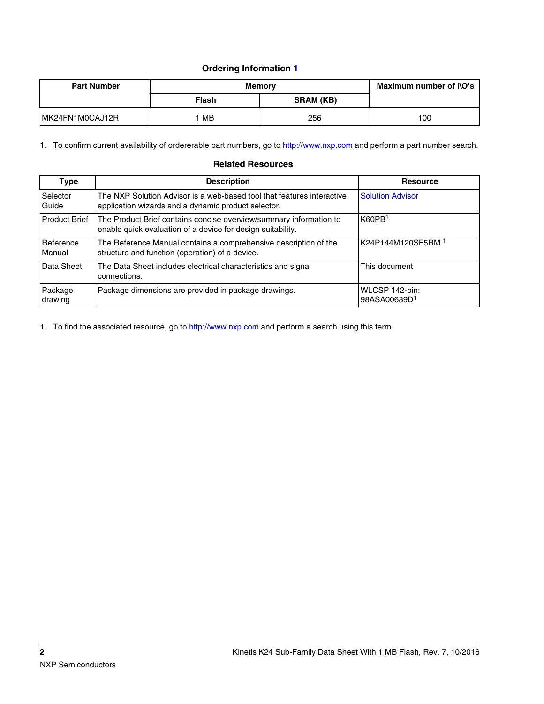### **Ordering Information 1**

| <b>Part Number</b> | <b>Memory</b> | Maximum number of I\O's |     |
|--------------------|---------------|-------------------------|-----|
|                    | Flash         | <b>SRAM (KB)</b>        |     |
| MK24FN1M0CAJ12R    | МB            | 256                     | 100 |

1. To confirm current availability of ordererable part numbers, go to<http://www.nxp.com>and perform a part number search.

#### **Related Resources**

| Type                 | <b>Description</b>                                                                                                                | <b>Resource</b>                            |
|----------------------|-----------------------------------------------------------------------------------------------------------------------------------|--------------------------------------------|
| Selector<br>Guide    | The NXP Solution Advisor is a web-based tool that features interactive<br>application wizards and a dynamic product selector.     | <b>Solution Advisor</b>                    |
| <b>Product Brief</b> | The Product Brief contains concise overview/summary information to<br>enable quick evaluation of a device for design suitability. | K60PB <sup>1</sup>                         |
| Reference<br>Manual  | The Reference Manual contains a comprehensive description of the<br>structure and function (operation) of a device.               | K24P144M120SF5RM 1                         |
| Data Sheet           | The Data Sheet includes electrical characteristics and signal<br>connections.                                                     | This document                              |
| Package<br>drawing   | Package dimensions are provided in package drawings.                                                                              | WLCSP 142-pin:<br>98ASA00639D <sup>1</sup> |

1. To find the associated resource, go to <http://www.nxp.com> and perform a search using this term.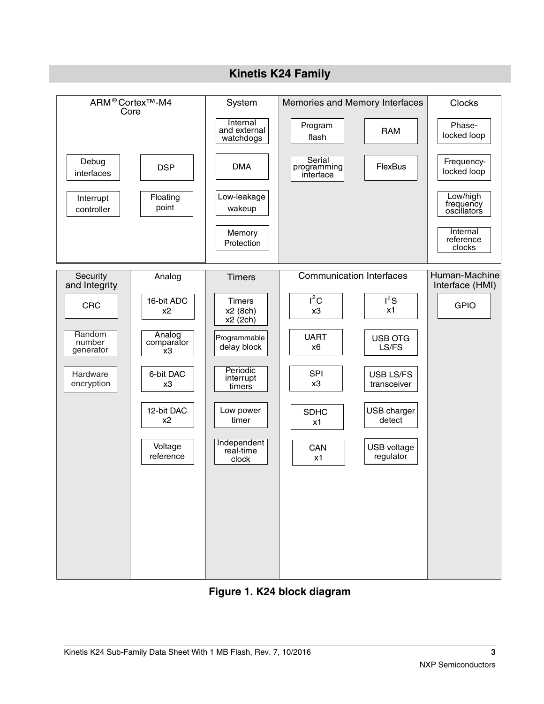

### **Figure 1. K24 block diagram**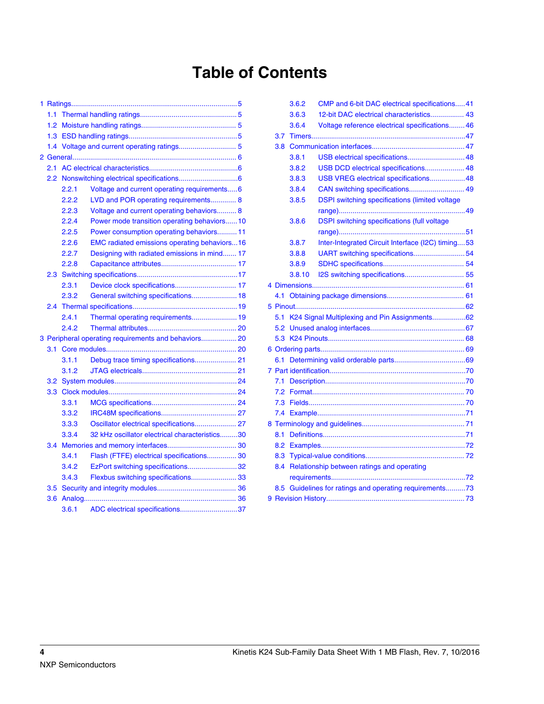# **Table of Contents**

| 1.1              |       |                                                      |  |
|------------------|-------|------------------------------------------------------|--|
| 1.2              |       |                                                      |  |
| 1.3              |       |                                                      |  |
| 1.4              |       |                                                      |  |
|                  |       |                                                      |  |
| 2.1              |       |                                                      |  |
| 2.2              |       |                                                      |  |
|                  | 2.2.1 | Voltage and current operating requirements6          |  |
|                  | 2.2.2 | LVD and POR operating requirements 8                 |  |
|                  | 2.2.3 | Voltage and current operating behaviors 8            |  |
|                  | 2.2.4 | Power mode transition operating behaviors10          |  |
|                  | 2.2.5 | Power consumption operating behaviors 11             |  |
|                  | 2.2.6 | EMC radiated emissions operating behaviors16         |  |
|                  | 2.2.7 | Designing with radiated emissions in mind 17         |  |
|                  | 2.2.8 |                                                      |  |
| 2.3              |       |                                                      |  |
|                  | 2.3.1 | Device clock specifications 17                       |  |
|                  | 2.3.2 | General switching specifications 18                  |  |
| 2.4              |       |                                                      |  |
|                  | 2.4.1 | Thermal operating requirements 19                    |  |
|                  | 2.4.2 |                                                      |  |
|                  |       | 3 Peripheral operating requirements and behaviors 20 |  |
| 3.1              |       |                                                      |  |
|                  | 3.1.1 | Debug trace timing specifications 21                 |  |
|                  | 3.1.2 |                                                      |  |
| 3.2              |       |                                                      |  |
| 3.3 <sub>°</sub> |       |                                                      |  |
|                  | 3.3.1 |                                                      |  |
|                  | 3.3.2 |                                                      |  |
|                  | 3.3.3 | Oscillator electrical specifications 27              |  |
|                  | 3.3.4 | 32 kHz oscillator electrical characteristics30       |  |
| 3.4              |       |                                                      |  |
|                  | 3.4.1 | Flash (FTFE) electrical specifications 30            |  |
|                  | 3.4.2 | EzPort switching specifications32                    |  |
|                  | 3.4.3 | Flexbus switching specifications 33                  |  |
| 3.5              |       |                                                      |  |
| 3.6              |       |                                                      |  |
|                  | 3.6.1 | ADC electrical specifications37                      |  |

|     | 3.6.2  | CMP and 6-bit DAC electrical specifications 41        |  |
|-----|--------|-------------------------------------------------------|--|
|     | 3.6.3  | 12-bit DAC electrical characteristics 43              |  |
|     | 3.6.4  | Voltage reference electrical specifications 46        |  |
| 3.7 |        |                                                       |  |
| 3.8 |        |                                                       |  |
|     | 3.8.1  | USB electrical specifications 48                      |  |
|     | 3.8.2  | USB DCD electrical specifications 48                  |  |
|     | 3.8.3  | USB VREG electrical specifications 48                 |  |
|     | 3.8.4  | CAN switching specifications 49                       |  |
|     | 3.8.5  | <b>DSPI</b> switching specifications (limited voltage |  |
|     |        |                                                       |  |
|     | 3.8.6  | <b>DSPI</b> switching specifications (full voltage    |  |
|     |        |                                                       |  |
|     | 3.8.7  | Inter-Integrated Circuit Interface (I2C) timing53     |  |
|     | 3.8.8  | UART switching specifications 54                      |  |
|     | 3.8.9  |                                                       |  |
|     | 3.8.10 | I2S switching specifications 55                       |  |
|     |        |                                                       |  |
|     |        |                                                       |  |
|     |        |                                                       |  |
| 5.1 |        | K24 Signal Multiplexing and Pin Assignments62         |  |
| 5.2 |        |                                                       |  |
|     |        |                                                       |  |
|     |        |                                                       |  |
| 6.1 |        |                                                       |  |
|     |        |                                                       |  |
| 7.1 |        |                                                       |  |
| 7.2 |        |                                                       |  |
| 7.3 |        |                                                       |  |
| 7.4 |        |                                                       |  |
|     |        |                                                       |  |
| 8.1 |        |                                                       |  |
| 8.2 |        |                                                       |  |
| 8.3 |        |                                                       |  |
| 8.4 |        | Relationship between ratings and operating            |  |
|     |        |                                                       |  |
| 8.5 |        | Guidelines for ratings and operating requirements73   |  |
|     |        |                                                       |  |
|     |        |                                                       |  |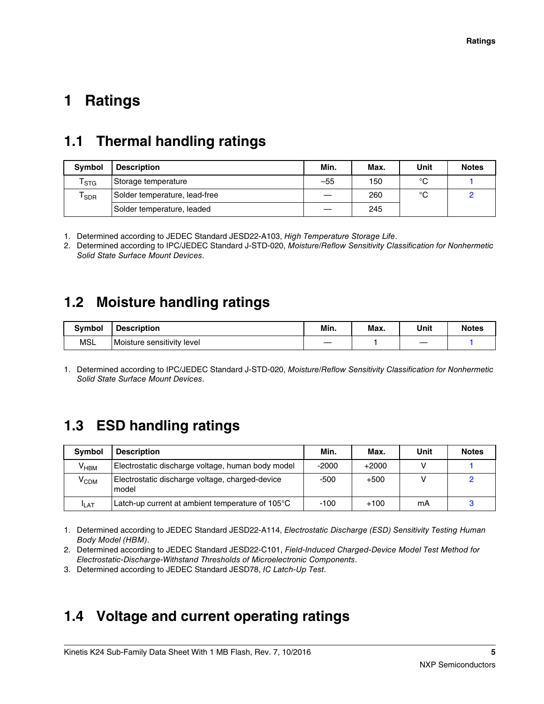# <span id="page-4-0"></span>**1 Ratings**

## **1.1 Thermal handling ratings**

| <b>Symbol</b>               | <b>Description</b>            | Min.  | Max. | Unit | <b>Notes</b> |
|-----------------------------|-------------------------------|-------|------|------|--------------|
| $\mathsf{T}_{\textsf{STG}}$ | Storage temperature           | $-55$ | 150  | °C   |              |
| SDR                         | Solder temperature, lead-free |       | 260  | °C   |              |
|                             | Solder temperature, leaded    |       | 245  |      |              |

1. Determined according to JEDEC Standard JESD22-A103, *High Temperature Storage Life*.

2. Determined according to IPC/JEDEC Standard J-STD-020, *Moisture/Reflow Sensitivity Classification for Nonhermetic Solid State Surface Mount Devices*.

## **1.2 Moisture handling ratings**

| <b>Symbol</b> | <b>Description</b>         | Min. | Max. | Unit | <b>Notes</b> |
|---------------|----------------------------|------|------|------|--------------|
| <b>MSL</b>    | Moisture sensitivity level |      |      |      |              |

1. Determined according to IPC/JEDEC Standard J-STD-020, *Moisture/Reflow Sensitivity Classification for Nonhermetic Solid State Surface Mount Devices*.

## **1.3 ESD handling ratings**

| <b>Symbol</b>    | <b>Description</b>                                       | Min.    | Max.    | Unit | <b>Notes</b> |
|------------------|----------------------------------------------------------|---------|---------|------|--------------|
| $V_{HBM}$        | Electrostatic discharge voltage, human body model        | $-2000$ | $+2000$ |      |              |
| Ѵ <sub>срм</sub> | Electrostatic discharge voltage, charged-device<br>model | -500    | $+500$  |      |              |
| <b>I</b> LAT     | Latch-up current at ambient temperature of 105°C         | $-100$  | $+100$  | mΑ   |              |

1. Determined according to JEDEC Standard JESD22-A114, *Electrostatic Discharge (ESD) Sensitivity Testing Human Body Model (HBM)*.

2. Determined according to JEDEC Standard JESD22-C101, *Field-Induced Charged-Device Model Test Method for Electrostatic-Discharge-Withstand Thresholds of Microelectronic Components*.

3. Determined according to JEDEC Standard JESD78, *IC Latch-Up Test*.

## **1.4 Voltage and current operating ratings**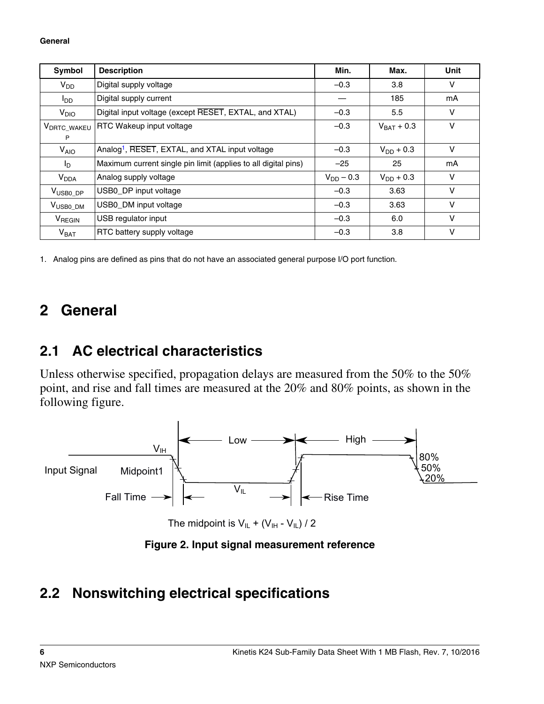<span id="page-5-0"></span>

| Symbol                  | <b>Description</b>                                             | Min.           | Max.                   | Unit   |
|-------------------------|----------------------------------------------------------------|----------------|------------------------|--------|
| $V_{DD}$                | Digital supply voltage                                         | $-0.3$         | 3.8                    | v      |
| סם                      | Digital supply current                                         |                | 185                    | mA     |
| V <sub>DIO</sub>        | Digital input voltage (except RESET, EXTAL, and XTAL)          | $-0.3$         | 5.5                    | v      |
| V <sub>DRTC_WAKEU</sub> | RTC Wakeup input voltage                                       | $-0.3$         | $V_{\text{BAT}} + 0.3$ | $\vee$ |
| P                       |                                                                |                |                        |        |
| <b>V<sub>AIO</sub></b>  | Analog <sup>1</sup> , RESET, EXTAL, and XTAL input voltage     | $-0.3$         | $V_{DD}$ + 0.3         | $\vee$ |
| I <sub>D</sub>          | Maximum current single pin limit (applies to all digital pins) | $-25$          | 25                     | mA     |
| <b>V<sub>DDA</sub></b>  | Analog supply voltage                                          | $V_{DD} - 0.3$ | $V_{DD}$ + 0.3         | V      |
| V <sub>USB0_DP</sub>    | USB0_DP input voltage                                          | $-0.3$         | 3.63                   | $\vee$ |
| V <sub>USB0_DM</sub>    | USB0_DM input voltage                                          | $-0.3$         | 3.63                   | $\vee$ |
| V <sub>REGIN</sub>      | USB regulator input                                            | $-0.3$         | 6.0                    | $\vee$ |
| $V_{BAT}$               | RTC battery supply voltage                                     | $-0.3$         | 3.8                    | $\vee$ |

1. Analog pins are defined as pins that do not have an associated general purpose I/O port function.

# **2 General**

# **2.1 AC electrical characteristics**

Unless otherwise specified, propagation delays are measured from the 50% to the 50% point, and rise and fall times are measured at the 20% and 80% points, as shown in the following figure.



The midpoint is  $V_{IL} + (V_{IH} - V_{IL}) / 2$ 

**Figure 2. Input signal measurement reference**

# **2.2 Nonswitching electrical specifications**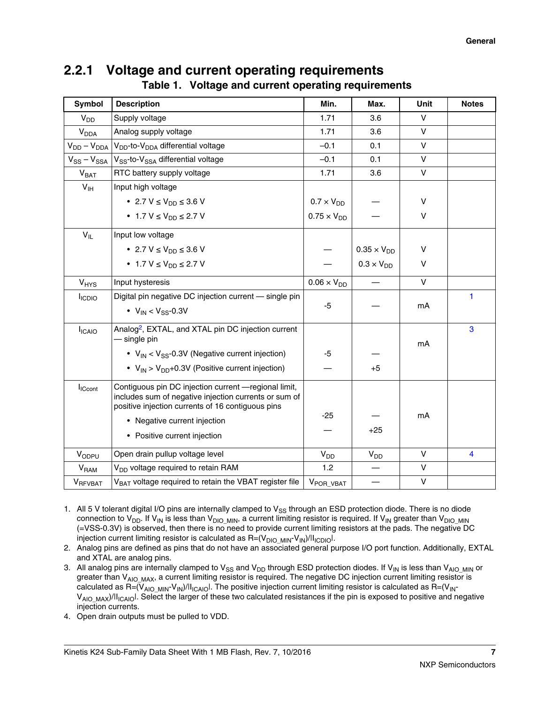### **2.2.1 Voltage and current operating requirements Table 1. Voltage and current operating requirements**

| <b>Symbol</b>             | <b>Description</b>                                                                                         | Min.                  | Max.                 | Unit         | <b>Notes</b> |
|---------------------------|------------------------------------------------------------------------------------------------------------|-----------------------|----------------------|--------------|--------------|
| $V_{DD}$                  | Supply voltage                                                                                             | 1.71                  | 3.6                  | $\vee$       |              |
| <b>V<sub>DDA</sub></b>    | Analog supply voltage                                                                                      | 1.71                  | 3.6                  | $\vee$       |              |
| $V_{DD} - V_{DDA}$        | V <sub>DD</sub> -to-V <sub>DDA</sub> differential voltage                                                  | $-0.1$                | 0.1                  | $\vee$       |              |
| $V_{SS} - V_{SSA}$        | V <sub>SS</sub> -to-V <sub>SSA</sub> differential voltage                                                  | $-0.1$                | 0.1                  | V            |              |
| V <sub>BAT</sub>          | RTC battery supply voltage                                                                                 | 1.71                  | 3.6                  | $\vee$       |              |
| $V_{\text{IH}}$           | Input high voltage                                                                                         |                       |                      |              |              |
|                           | • 2.7 $V \le V_{DD} \le 3.6 V$                                                                             | $0.7 \times V_{DD}$   |                      | V            |              |
|                           | • 1.7 $V \le V_{DD} \le 2.7 V$                                                                             | $0.75 \times V_{DD}$  |                      | V            |              |
| $V_{IL}$                  | Input low voltage                                                                                          |                       |                      |              |              |
|                           | • 2.7 $V \le V_{DD} \le 3.6 V$                                                                             |                       | $0.35 \times V_{DD}$ | V            |              |
|                           | • 1.7 $V \le V_{DD} \le 2.7 V$                                                                             |                       | $0.3 \times V_{DD}$  | V            |              |
| VHYS                      | Input hysteresis                                                                                           | $0.06 \times V_{DD}$  |                      | $\vee$       |              |
| <b>I</b> <sub>ICDIO</sub> | Digital pin negative DC injection current - single pin                                                     |                       |                      |              | 1            |
|                           | • $V_{IN}$ < $V_{SS}$ -0.3V                                                                                | -5                    |                      | mA           |              |
| <b>I</b> ICAIO            | Analog <sup>2</sup> , EXTAL, and XTAL pin DC injection current                                             |                       |                      |              | 3            |
|                           | — single pin                                                                                               |                       |                      | mA           |              |
|                           | • $V_{IN}$ < $V_{SS}$ -0.3V (Negative current injection)                                                   | -5                    |                      |              |              |
|                           | • $V_{\text{IN}}$ > $V_{\text{DD}}$ +0.3V (Positive current injection)                                     |                       | $+5$                 |              |              |
| $I_{\text{ICcont}}$       | Contiguous pin DC injection current - regional limit,                                                      |                       |                      |              |              |
|                           | includes sum of negative injection currents or sum of<br>positive injection currents of 16 contiguous pins |                       |                      |              |              |
|                           | • Negative current injection                                                                               | $-25$                 |                      | mA           |              |
|                           |                                                                                                            |                       | $+25$                |              |              |
|                           | • Positive current injection                                                                               |                       |                      |              |              |
| VODPU                     | Open drain pullup voltage level                                                                            | $V_{DD}$              | $V_{DD}$             | V            | 4            |
| <b>V<sub>RAM</sub></b>    | V <sub>DD</sub> voltage required to retain RAM                                                             | 1.2                   |                      | $\mathsf{V}$ |              |
| VRFVBAT                   | V <sub>BAT</sub> voltage required to retain the VBAT register file                                         | V <sub>POR_VBAT</sub> |                      | $\sf V$      |              |

- 1. All 5 V tolerant digital I/O pins are internally clamped to  $V_{SS}$  through an ESD protection diode. There is no diode connection to V<sub>DD</sub>. If V<sub>IN</sub> is less than V<sub>DIO\_MIN</sub>, a current limiting resistor is required. If V<sub>IN</sub> greater than V<sub>DIO\_MIN</sub> (=VSS-0.3V) is observed, then there is no need to provide current limiting resistors at the pads. The negative DC injection current limiting resistor is calculated as  $R = (V_{DIOMIN} - V_{IN})/|I_{ICDIO}|$ .
- 2. Analog pins are defined as pins that do not have an associated general purpose I/O port function. Additionally, EXTAL and XTAL are analog pins.
- 3. All analog pins are internally clamped to  $V_{SS}$  and  $V_{DD}$  through ESD protection diodes. If  $V_{IN}$  is less than  $V_{AIO}$   $_{MIN}$  or greater than V<sub>AIO\_MAX</sub>, a current limiting resistor is required. The negative DC injection current limiting resistor is calculated as  $R=(V_{AIO\_MIN} - V_{IN})/|I_{ICAIO}|$ . The positive injection current limiting resistor is calculated as  $R=(V_{IN} - V_{IN})/|I_{ICAIO}|$ . V<sub>AIO\_MAX</sub>)/II<sub>ICAIO</sub>I. Select the larger of these two calculated resistances if the pin is exposed to positive and negative injection currents.
- 4. Open drain outputs must be pulled to VDD.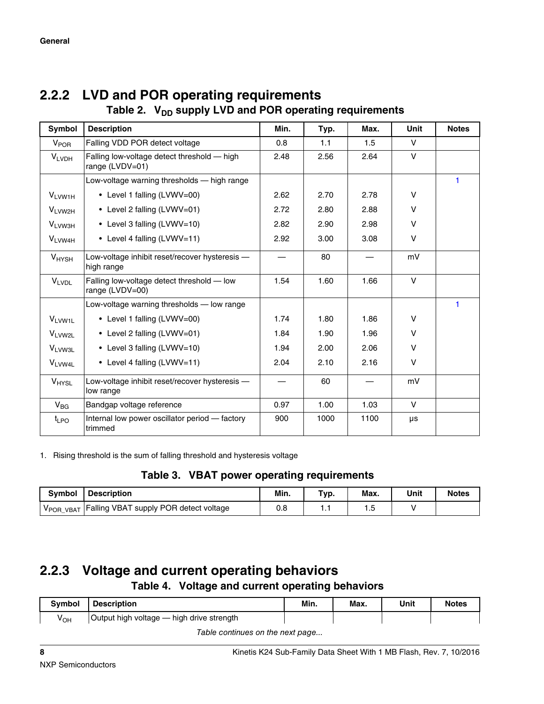| Symbol                 | <b>Description</b>                                             | Min. | Typ. | Max. | <b>Unit</b> | <b>Notes</b> |  |
|------------------------|----------------------------------------------------------------|------|------|------|-------------|--------------|--|
| <b>V<sub>POR</sub></b> | Falling VDD POR detect voltage                                 | 0.8  | 1.1  | 1.5  | $\vee$      |              |  |
| <b>VLVDH</b>           | Falling low-voltage detect threshold - high<br>range (LVDV=01) | 2.48 | 2.56 | 2.64 | V           |              |  |
|                        | Low-voltage warning thresholds — high range                    |      |      |      |             |              |  |
| V <sub>LVW1H</sub>     | • Level 1 falling (LVWV=00)                                    | 2.62 | 2.70 | 2.78 | V           |              |  |
| VLVW2H                 | • Level 2 falling (LVWV=01)                                    | 2.72 | 2.80 | 2.88 | $\vee$      |              |  |
| V <sub>LVW3H</sub>     | • Level 3 falling (LVWV=10)                                    | 2.82 | 2.90 | 2.98 | $\vee$      |              |  |
| V <sub>LVW4H</sub>     | • Level 4 falling (LVWV=11)                                    | 2.92 | 3.00 | 3.08 | $\vee$      |              |  |
| $V_{HYSH}$             | Low-voltage inhibit reset/recover hysteresis -<br>high range   |      | 80   |      | mV          |              |  |
| <b>VLVDL</b>           | Falling low-voltage detect threshold - low<br>range (LVDV=00)  | 1.54 | 1.60 | 1.66 | $\vee$      |              |  |
|                        | Low-voltage warning thresholds - low range                     |      |      |      |             | 1            |  |
| V <sub>LVW1L</sub>     | • Level 1 falling (LVWV=00)                                    | 1.74 | 1.80 | 1.86 | V           |              |  |
| VLVW2L                 | • Level 2 falling (LVWV=01)                                    | 1.84 | 1.90 | 1.96 | V           |              |  |
| V <sub>LVW3L</sub>     | • Level 3 falling (LVWV=10)                                    | 1.94 | 2.00 | 2.06 | $\vee$      |              |  |
| V <sub>LVW4L</sub>     | • Level 4 falling (LVWV=11)                                    | 2.04 | 2.10 | 2.16 | V           |              |  |
| V <sub>HYSL</sub>      | Low-voltage inhibit reset/recover hysteresis -<br>low range    |      | 60   |      | mV          |              |  |
| $V_{BG}$               | Bandgap voltage reference                                      | 0.97 | 1.00 | 1.03 | v           |              |  |
| $t_{LPO}$              | Internal low power oscillator period - factory<br>trimmed      | 900  | 1000 | 1100 | μs          |              |  |

# <span id="page-7-0"></span>**2.2.2 LVD and POR operating requirements**

Table 2. V<sub>pp</sub> supply LVD and POR operating requirements

1. Rising threshold is the sum of falling threshold and hysteresis voltage

**Table 3. VBAT power operating requirements**

| <b>Symbol</b> | <b>Description</b>                     | Min. | Typ. | Max. | Unit | <b>Notes</b> |
|---------------|----------------------------------------|------|------|------|------|--------------|
| VPOR VBAT     | Falling VBAT supply POR detect voltage | 0.8  |      |      |      |              |

### **2.2.3 Voltage and current operating behaviors Table 4. Voltage and current operating behaviors**

| <b>Symbol</b>                    | <b>Description</b>                        | Min. | Max. | Unit | <b>Notes</b> |
|----------------------------------|-------------------------------------------|------|------|------|--------------|
| $V_{OH}$                         | Output high voltage - high drive strength |      |      |      |              |
| Table continues on the next nage |                                           |      |      |      |              |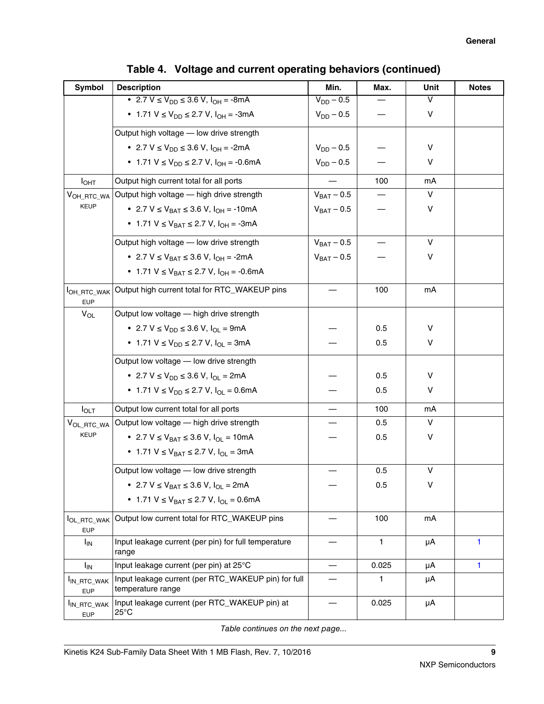| Symbol                                | <b>Description</b>                                                       | Min.            | Max.  | Unit | <b>Notes</b> |
|---------------------------------------|--------------------------------------------------------------------------|-----------------|-------|------|--------------|
|                                       | • 2.7 $V \le V_{DD} \le 3.6 V$ , $I_{OH} = -8mA$                         | $V_{DD} - 0.5$  |       | V    |              |
|                                       | • 1.71 $V \le V_{DD} \le 2.7 V$ , $I_{OH} = -3mA$                        | $V_{DD} - 0.5$  |       | V    |              |
|                                       | Output high voltage - low drive strength                                 |                 |       |      |              |
|                                       | • 2.7 V $\leq$ V <sub>DD</sub> $\leq$ 3.6 V, I <sub>OH</sub> = -2mA      | $V_{DD} - 0.5$  |       | V    |              |
|                                       | • 1.71 V $\leq$ V <sub>DD</sub> $\leq$ 2.7 V, I <sub>OH</sub> = -0.6mA   | $V_{DD} - 0.5$  |       | v    |              |
| I <sub>OHT</sub>                      | Output high current total for all ports                                  |                 | 100   | mA   |              |
| VOH_RTC_WA                            | Output high voltage - high drive strength                                | $V_{BAT} - 0.5$ |       | V    |              |
| <b>KEUP</b>                           | • 2.7 $V \le V_{BAT} \le 3.6 V$ , $I_{OH} = -10mA$                       | $V_{BAT} - 0.5$ |       | V    |              |
|                                       | • 1.71 $V \le V_{BAT} \le 2.7 V$ , $I_{OH} = -3mA$                       |                 |       |      |              |
|                                       | Output high voltage - low drive strength                                 | $V_{BAT} - 0.5$ |       | V    |              |
|                                       | • 2.7 V $\leq$ V <sub>BAT</sub> $\leq$ 3.6 V, I <sub>OH</sub> = -2mA     | $V_{BAT} - 0.5$ |       | V    |              |
|                                       | • 1.71 $V \le V_{BAT} \le 2.7 V$ , $I_{OH} = -0.6 mA$                    |                 |       |      |              |
| OH_RTC_WAK<br><b>EUP</b>              | Output high current total for RTC_WAKEUP pins                            |                 | 100   | mA   |              |
| $V_{OL}$                              | Output low voltage - high drive strength                                 |                 |       |      |              |
|                                       | • 2.7 V $\leq$ V <sub>DD</sub> $\leq$ 3.6 V, I <sub>OI</sub> = 9mA       |                 | 0.5   | V    |              |
|                                       | • 1.71 $V \le V_{DD} \le 2.7 V$ , $I_{OL} = 3mA$                         |                 | 0.5   | V    |              |
|                                       | Output low voltage - low drive strength                                  |                 |       |      |              |
|                                       | • 2.7 $V \le V_{DD} \le 3.6 V$ , $I_{OI} = 2mA$                          |                 | 0.5   | V    |              |
|                                       | • 1.71 $V \le V_{DD} \le 2.7 V$ , $I_{OL} = 0.6 mA$                      |                 | 0.5   | V    |              |
| $I_{\text{OLT}}$                      | Output low current total for all ports                                   |                 | 100   | mA   |              |
| VOL_RTC_WA                            | Output low voltage - high drive strength                                 |                 | 0.5   | V    |              |
| <b>KEUP</b>                           | • 2.7 V $\leq$ V <sub>BAT</sub> $\leq$ 3.6 V, I <sub>OI</sub> = 10mA     |                 | 0.5   | V    |              |
|                                       | • 1.71 $V \le V_{BAT} \le 2.7 V$ , $I_{OL} = 3mA$                        |                 |       |      |              |
|                                       | Output low voltage - low drive strength                                  |                 | 0.5   | V    |              |
|                                       | • 2.7 $V \le V_{BAT} \le 3.6 V$ , $I_{OL} = 2mA$                         |                 | 0.5   | v    |              |
|                                       | • 1.71 $V \le V_{BAT} \le 2.7 V$ , $I_{OI} = 0.6mA$                      |                 |       |      |              |
| <b>IOL_RTC_WAK</b><br><b>EUP</b>      | Output low current total for RTC_WAKEUP pins                             |                 | 100   | mA   |              |
| <b>I<sub>IN</sub></b>                 | Input leakage current (per pin) for full temperature<br>range            |                 | 1     | μA   | 1            |
| I <sub>IN</sub>                       | Input leakage current (per pin) at 25°C                                  | $\qquad \qquad$ | 0.025 | μA   | 1            |
| I <sub>IN_RTC_WAK</sub><br><b>EUP</b> | Input leakage current (per RTC_WAKEUP pin) for full<br>temperature range |                 | 1     | μA   |              |
| I <sub>IN_RTC_WAK</sub><br><b>EUP</b> | Input leakage current (per RTC_WAKEUP pin) at<br>25°C                    |                 | 0.025 | μA   |              |

|  | Table 4. Voltage and current operating behaviors (continued) |  |  |  |  |  |
|--|--------------------------------------------------------------|--|--|--|--|--|
|--|--------------------------------------------------------------|--|--|--|--|--|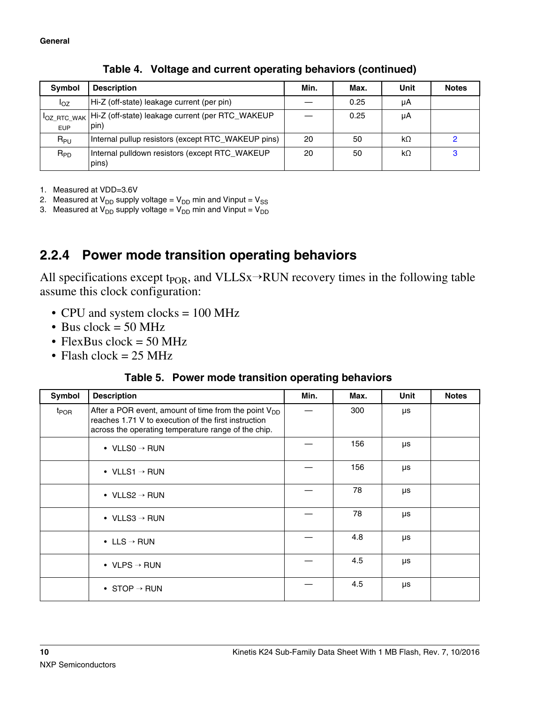<span id="page-9-0"></span>

| Symbol                           | <b>Description</b>                                       | Min. | Max. | Unit      | <b>Notes</b> |
|----------------------------------|----------------------------------------------------------|------|------|-----------|--------------|
| loz                              | Hi-Z (off-state) leakage current (per pin)               |      | 0.25 | μA        |              |
| <b>IOZ RTC WAK</b><br><b>EUP</b> | Hi-Z (off-state) leakage current (per RTC_WAKEUP<br>pin) |      | 0.25 | μA        |              |
| $R_{PU}$                         | Internal pullup resistors (except RTC_WAKEUP pins)       | 20   | 50   | kΩ        |              |
| $R_{PD}$                         | Internal pulldown resistors (except RTC_WAKEUP<br>pins)  | 20   | 50   | $k\Omega$ | 3            |

**Table 4. Voltage and current operating behaviors (continued)**

1. Measured at VDD=3.6V

2. Measured at  $V_{DD}$  supply voltage =  $V_{DD}$  min and Vinput =  $V_{SS}$ 

3. Measured at  $V_{DD}$  supply voltage =  $V_{DD}$  min and Vinput =  $V_{DD}$ 

## **2.2.4 Power mode transition operating behaviors**

All specifications except t<sub>POR</sub>, and VLLSx→RUN recovery times in the following table assume this clock configuration:

- CPU and system clocks = 100 MHz
- Bus clock  $= 50$  MHz
- FlexBus clock =  $50$  MHz
- Flash clock  $= 25 \text{ MHz}$

### **Table 5. Power mode transition operating behaviors**

| <b>Symbol</b>    | <b>Description</b>                                                                                                                                                       | Min. | Max. | Unit | <b>Notes</b> |
|------------------|--------------------------------------------------------------------------------------------------------------------------------------------------------------------------|------|------|------|--------------|
| $t_{\text{POR}}$ | After a POR event, amount of time from the point $V_{DD}$<br>reaches 1.71 V to execution of the first instruction<br>across the operating temperature range of the chip. |      | 300  | μs   |              |
|                  | • VLLSO $\rightarrow$ RUN                                                                                                                                                |      | 156  | μs   |              |
|                  | • VLLS1 $\rightarrow$ RUN                                                                                                                                                |      | 156  | μs   |              |
|                  | • VLLS2 $\rightarrow$ RUN                                                                                                                                                |      | 78   | μs   |              |
|                  | • VLLS3 $\rightarrow$ RUN                                                                                                                                                |      | 78   | μs   |              |
|                  | • LLS $\rightarrow$ RUN                                                                                                                                                  |      | 4.8  | μs   |              |
|                  | • VLPS $\rightarrow$ RUN                                                                                                                                                 |      | 4.5  | μs   |              |
|                  | • STOP $\rightarrow$ RUN                                                                                                                                                 |      | 4.5  | μs   |              |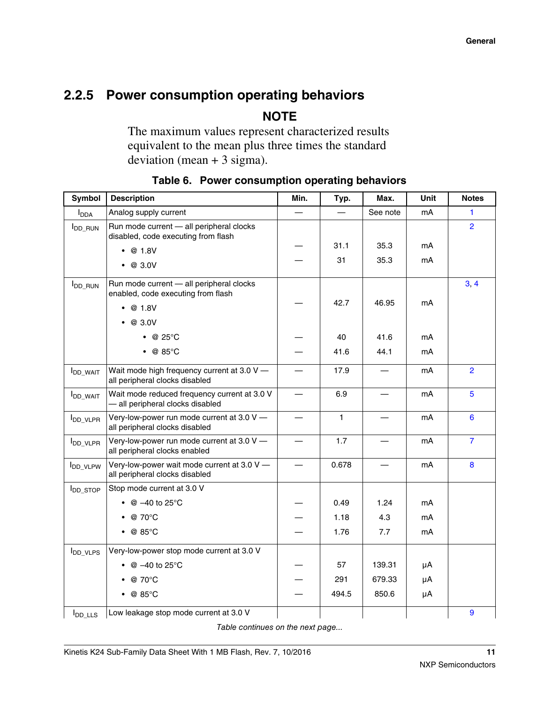## <span id="page-10-0"></span>**2.2.5 Power consumption operating behaviors**

**NOTE**

The maximum values represent characterized results equivalent to the mean plus three times the standard deviation (mean  $+3$  sigma).

| Symbol                      | <b>Description</b>                                                               | Min. | Typ.         | Max.     | Unit | <b>Notes</b>   |
|-----------------------------|----------------------------------------------------------------------------------|------|--------------|----------|------|----------------|
| I <sub>DDA</sub>            | Analog supply current                                                            |      |              | See note | mA   | 1              |
| <b>I</b> <sub>DD_RUN</sub>  | Run mode current - all peripheral clocks<br>disabled, code executing from flash  |      |              |          |      | $\overline{2}$ |
|                             | $\bullet$ @ 1.8V                                                                 |      | 31.1         | 35.3     | mA   |                |
|                             | $\bullet$ @ 3.0V                                                                 |      | 31           | 35.3     | mA   |                |
| <b>I</b> <sub>DD_RUN</sub>  | Run mode current - all peripheral clocks<br>enabled, code executing from flash   |      | 42.7         | 46.95    | mA   | 3, 4           |
|                             | •  @ 1.8V                                                                        |      |              |          |      |                |
|                             | $\bullet$ @ 3.0V                                                                 |      |              |          |      |                |
|                             | $\bullet$ @ 25°C                                                                 |      | 40           | 41.6     | mA   |                |
|                             | $\bullet$ @ 85°C                                                                 |      | 41.6         | 44.1     | mA   |                |
| <b>I</b> DD_WAIT            | Wait mode high frequency current at 3.0 V -<br>all peripheral clocks disabled    |      | 17.9         |          | mA   | $\overline{2}$ |
| <b>I</b> DD_WAIT            | Wait mode reduced frequency current at 3.0 V<br>- all peripheral clocks disabled |      | 6.9          |          | mA   | 5              |
| <b>I</b> DD VLPR            | Very-low-power run mode current at 3.0 V -<br>all peripheral clocks disabled     |      | $\mathbf{1}$ |          | mA   | 6              |
| <b>I</b> DD_VLPR            | Very-low-power run mode current at 3.0 V -<br>all peripheral clocks enabled      |      | 1.7          |          | mA   | $\overline{7}$ |
| <b>IDD_VLPW</b>             | Very-low-power wait mode current at 3.0 V -<br>all peripheral clocks disabled    |      | 0.678        |          | mA   | $\bf{8}$       |
| <b>I</b> <sub>DD_STOP</sub> | Stop mode current at 3.0 V                                                       |      |              |          |      |                |
|                             | • $@ -40$ to 25°C                                                                |      | 0.49         | 1.24     | mA   |                |
|                             | @ 70°C                                                                           |      | 1.18         | 4.3      | mA   |                |
|                             | $\bullet$ @ 85°C                                                                 |      | 1.76         | 7.7      | mA   |                |
| <b>I</b> <sub>DD_VLPS</sub> | Very-low-power stop mode current at 3.0 V                                        |      |              |          |      |                |
|                             | @ –40 to 25°C                                                                    |      | 57           | 139.31   | μA   |                |
|                             | $\bullet$ @ 70 $^{\circ}$ C                                                      |      | 291          | 679.33   | μA   |                |
|                             | $\bullet$ @ 85°C                                                                 |      | 494.5        | 850.6    | μA   |                |
| $I_{DD_LLS}$                | Low leakage stop mode current at 3.0 V                                           |      |              |          |      | 9              |

**Table 6. Power consumption operating behaviors**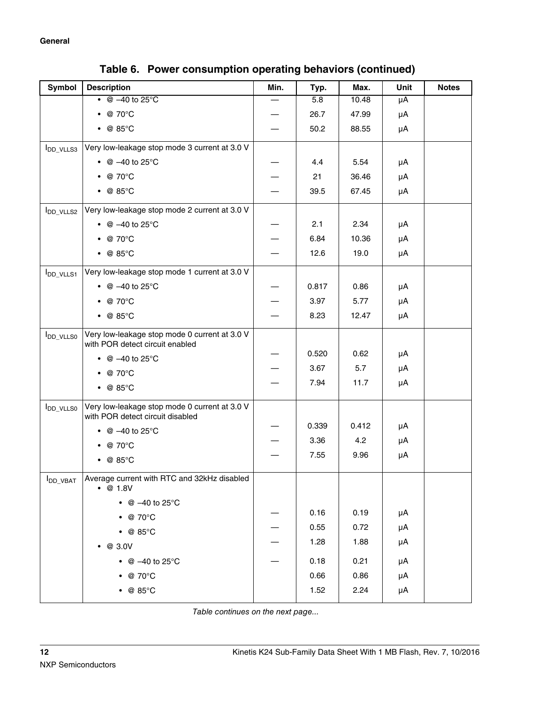| <b>Symbol</b>                    | <b>Description</b>                                                                | Min. | Typ.  | Max.  | Unit | <b>Notes</b> |
|----------------------------------|-----------------------------------------------------------------------------------|------|-------|-------|------|--------------|
|                                  | $\bullet$ @ -40 to 25 $\degree$ C                                                 |      | 5.8   | 10.48 | μA   |              |
|                                  | $\bullet$ @ 70 $\degree$ C                                                        |      | 26.7  | 47.99 | μA   |              |
|                                  | $\bullet$ @ 85°C                                                                  |      | 50.2  | 88.55 | μA   |              |
| <b>I</b> DD_VLLS3                | Very low-leakage stop mode 3 current at 3.0 V                                     |      |       |       |      |              |
|                                  | • @ $-40$ to 25°C                                                                 |      | 4.4   | 5.54  | μA   |              |
|                                  | $\bullet$ @ 70 $\degree$ C                                                        |      | 21    | 36.46 | μA   |              |
|                                  | $\bullet$ @ 85°C                                                                  |      | 39.5  | 67.45 | μA   |              |
| <b>I</b> <sub>DD_VLLS2</sub>     | Very low-leakage stop mode 2 current at 3.0 V                                     |      |       |       |      |              |
|                                  | • $@ -40$ to 25°C                                                                 |      | 2.1   | 2.34  | μA   |              |
|                                  | $\bullet$ @ 70 $\degree$ C                                                        |      | 6.84  | 10.36 | μA   |              |
|                                  | $\bullet$ @ 85°C                                                                  |      | 12.6  | 19.0  | μA   |              |
| <b>I</b> DD_VLLS1                | Very low-leakage stop mode 1 current at 3.0 V                                     |      |       |       |      |              |
|                                  | • @ $-40$ to 25°C                                                                 |      | 0.817 | 0.86  | μA   |              |
|                                  | $\bullet$ @ 70 $\degree$ C                                                        |      | 3.97  | 5.77  | μA   |              |
|                                  | $\bullet$ @ 85°C                                                                  |      | 8.23  | 12.47 | μA   |              |
| <b>I</b> DD_VLLS0                | Very low-leakage stop mode 0 current at 3.0 V                                     |      |       |       |      |              |
|                                  | with POR detect circuit enabled                                                   |      | 0.520 | 0.62  | μA   |              |
|                                  | • @ $-40$ to 25°C                                                                 |      | 3.67  | 5.7   | μA   |              |
|                                  | $\bullet$ @ 70°C                                                                  |      | 7.94  | 11.7  | μA   |              |
|                                  | $\bullet$ @ 85°C                                                                  |      |       |       |      |              |
| <b>I</b> <sub>DD_VLLS0</sub>     | Very low-leakage stop mode 0 current at 3.0 V<br>with POR detect circuit disabled |      |       |       |      |              |
|                                  | • $@ -40$ to 25°C                                                                 |      | 0.339 | 0.412 | μA   |              |
|                                  | $\bullet$ @ 70 $\degree$ C                                                        |      | 3.36  | 4.2   | μA   |              |
|                                  | $\bullet$ @ 85°C                                                                  |      | 7.55  | 9.96  | μA   |              |
| $I_{\mathsf{DD}\_\mathsf{VBAT}}$ | Average current with RTC and 32kHz disabled<br>•  @ 1.8V                          |      |       |       |      |              |
|                                  | • @ $-40$ to 25°C                                                                 |      |       |       |      |              |
|                                  | $\bullet$ @ 70°C                                                                  |      | 0.16  | 0.19  | μA   |              |
|                                  | $\bullet$ @ 85°C                                                                  |      | 0.55  | 0.72  | μA   |              |
|                                  | $\bullet$ @ 3.0V                                                                  |      | 1.28  | 1.88  | μA   |              |
|                                  | • @ $-40$ to 25°C                                                                 |      | 0.18  | 0.21  | μA   |              |
|                                  | $\bullet$ @ 70°C                                                                  |      | 0.66  | 0.86  | μA   |              |
|                                  | $\bullet$ @ 85°C                                                                  |      | 1.52  | 2.24  | μA   |              |
|                                  |                                                                                   |      |       |       |      |              |

**Table 6. Power consumption operating behaviors (continued)**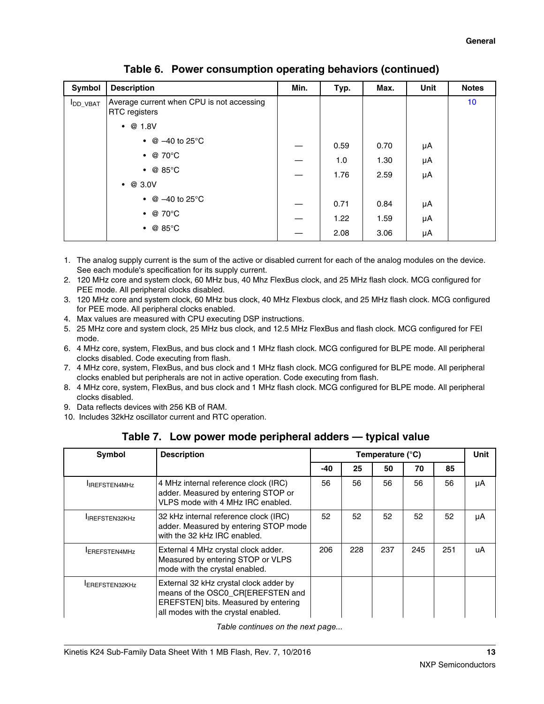<span id="page-12-0"></span>

| Symbol           | <b>Description</b>                                         | Min. | Typ. | Max. | Unit | <b>Notes</b>    |
|------------------|------------------------------------------------------------|------|------|------|------|-----------------|
| <b>I</b> DD_VBAT | Average current when CPU is not accessing<br>RTC registers |      |      |      |      | 10 <sup>1</sup> |
|                  | @ 1.8V<br>$\bullet$                                        |      |      |      |      |                 |
|                  | • $@ -40$ to 25 °C                                         |      | 0.59 | 0.70 | μA   |                 |
|                  | $\bullet$ @ 70 $^{\circ}$ C                                |      | 1.0  | 1.30 | μA   |                 |
|                  | $\bullet$ @ 85°C                                           |      | 1.76 | 2.59 | μA   |                 |
|                  | @ 3.0V<br>$\bullet$                                        |      |      |      |      |                 |
|                  | • $@ - 40$ to 25 °C                                        |      | 0.71 | 0.84 | μA   |                 |
|                  | $\bullet$ @ 70°C                                           |      | 1.22 | 1.59 | μA   |                 |
|                  | $\bullet$ @ 85°C                                           |      | 2.08 | 3.06 | μA   |                 |

**Table 6. Power consumption operating behaviors (continued)**

- 1. The analog supply current is the sum of the active or disabled current for each of the analog modules on the device. See each module's specification for its supply current.
- 2. 120 MHz core and system clock, 60 MHz bus, 40 Mhz FlexBus clock, and 25 MHz flash clock. MCG configured for PEE mode. All peripheral clocks disabled.
- 3. 120 MHz core and system clock, 60 MHz bus clock, 40 MHz Flexbus clock, and 25 MHz flash clock. MCG configured for PEE mode. All peripheral clocks enabled.
- 4. Max values are measured with CPU executing DSP instructions.
- 5. 25 MHz core and system clock, 25 MHz bus clock, and 12.5 MHz FlexBus and flash clock. MCG configured for FEI mode.
- 6. 4 MHz core, system, FlexBus, and bus clock and 1 MHz flash clock. MCG configured for BLPE mode. All peripheral clocks disabled. Code executing from flash.
- 7. 4 MHz core, system, FlexBus, and bus clock and 1 MHz flash clock. MCG configured for BLPE mode. All peripheral clocks enabled but peripherals are not in active operation. Code executing from flash.
- 8. 4 MHz core, system, FlexBus, and bus clock and 1 MHz flash clock. MCG configured for BLPE mode. All peripheral clocks disabled.
- 9. Data reflects devices with 256 KB of RAM.
- 10. Includes 32kHz oscillator current and RTC operation.

| <b>Symbol</b>         | <b>Description</b>                                                                                                                                         |       | Temperature (°C) |     |     |     | Unit |
|-----------------------|------------------------------------------------------------------------------------------------------------------------------------------------------------|-------|------------------|-----|-----|-----|------|
|                       |                                                                                                                                                            | $-40$ | 25               | 50  | 70  | 85  |      |
| <b>IREFSTEN4MHz</b>   | 4 MHz internal reference clock (IRC)<br>adder. Measured by entering STOP or<br>VLPS mode with 4 MHz IRC enabled.                                           | 56    | 56               | 56  | 56  | 56  | μA   |
| <b>IREFSTEN32KHz</b>  | 32 kHz internal reference clock (IRC)<br>adder. Measured by entering STOP mode<br>with the 32 kHz IRC enabled.                                             | 52    | 52               | 52  | 52  | 52  | μA   |
| <b>IEREFSTEN4MHz</b>  | External 4 MHz crystal clock adder.<br>Measured by entering STOP or VLPS<br>mode with the crystal enabled.                                                 | 206   | 228              | 237 | 245 | 251 | uA   |
| <b>IEREFSTEN32KHz</b> | External 32 kHz crystal clock adder by<br>means of the OSC0_CR[EREFSTEN and<br>EREFSTEN] bits. Measured by entering<br>all modes with the crystal enabled. |       |                  |     |     |     |      |

**Table 7. Low power mode peripheral adders — typical value**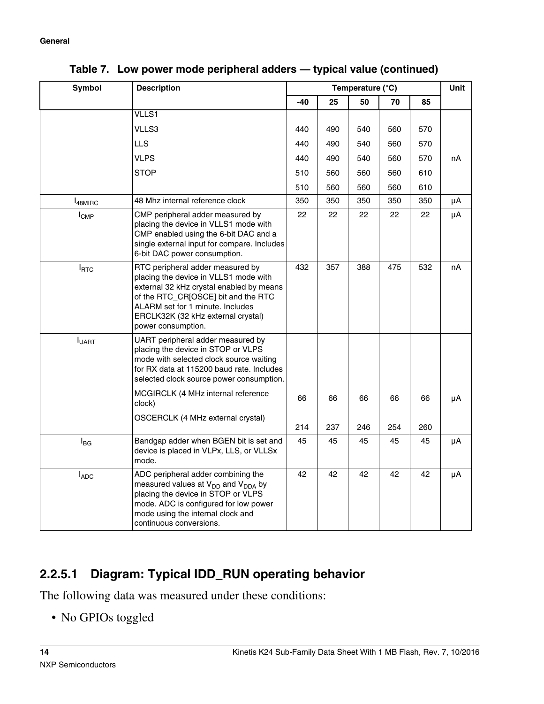| Symbol              | <b>Description</b>                                                                                                                                                                                                                                           |     | Temperature (°C) |     |     | Unit |    |
|---------------------|--------------------------------------------------------------------------------------------------------------------------------------------------------------------------------------------------------------------------------------------------------------|-----|------------------|-----|-----|------|----|
|                     |                                                                                                                                                                                                                                                              | -40 | 25               | 50  | 70  | 85   |    |
|                     | <b>VLLS1</b>                                                                                                                                                                                                                                                 |     |                  |     |     |      |    |
|                     | VLLS3                                                                                                                                                                                                                                                        | 440 | 490              | 540 | 560 | 570  |    |
|                     | <b>LLS</b>                                                                                                                                                                                                                                                   | 440 | 490              | 540 | 560 | 570  |    |
|                     | <b>VLPS</b>                                                                                                                                                                                                                                                  | 440 | 490              | 540 | 560 | 570  | nA |
|                     | <b>STOP</b>                                                                                                                                                                                                                                                  | 510 | 560              | 560 | 560 | 610  |    |
|                     |                                                                                                                                                                                                                                                              | 510 | 560              | 560 | 560 | 610  |    |
| <sup>1</sup> 48MIRC | 48 Mhz internal reference clock                                                                                                                                                                                                                              | 350 | 350              | 350 | 350 | 350  | μA |
| I <sub>CMP</sub>    | CMP peripheral adder measured by<br>placing the device in VLLS1 mode with<br>CMP enabled using the 6-bit DAC and a<br>single external input for compare. Includes<br>6-bit DAC power consumption.                                                            | 22  | 22               | 22  | 22  | 22   | μA |
| <b>I</b> RTC        | RTC peripheral adder measured by<br>placing the device in VLLS1 mode with<br>external 32 kHz crystal enabled by means<br>of the RTC_CR[OSCE] bit and the RTC<br>ALARM set for 1 minute. Includes<br>ERCLK32K (32 kHz external crystal)<br>power consumption. | 432 | 357              | 388 | 475 | 532  | nA |
| <b>I</b> UART       | UART peripheral adder measured by<br>placing the device in STOP or VLPS<br>mode with selected clock source waiting<br>for RX data at 115200 baud rate. Includes<br>selected clock source power consumption.<br>MCGIRCLK (4 MHz internal reference            |     |                  |     |     |      |    |
|                     | clock)                                                                                                                                                                                                                                                       | 66  | 66               | 66  | 66  | 66   | μA |
|                     | OSCERCLK (4 MHz external crystal)                                                                                                                                                                                                                            | 214 | 237              | 246 | 254 | 260  |    |
| $I_{BG}$            | Bandgap adder when BGEN bit is set and<br>device is placed in VLPx, LLS, or VLLSx<br>mode.                                                                                                                                                                   | 45  | 45               | 45  | 45  | 45   | μA |
| <b>IADC</b>         | ADC peripheral adder combining the<br>measured values at V <sub>DD</sub> and V <sub>DDA</sub> by<br>placing the device in STOP or VLPS<br>mode. ADC is configured for low power<br>mode using the internal clock and<br>continuous conversions.              | 42  | 42               | 42  | 42  | 42   | μA |

**Table 7. Low power mode peripheral adders — typical value (continued)**

## **2.2.5.1 Diagram: Typical IDD\_RUN operating behavior**

The following data was measured under these conditions:

• No GPIOs toggled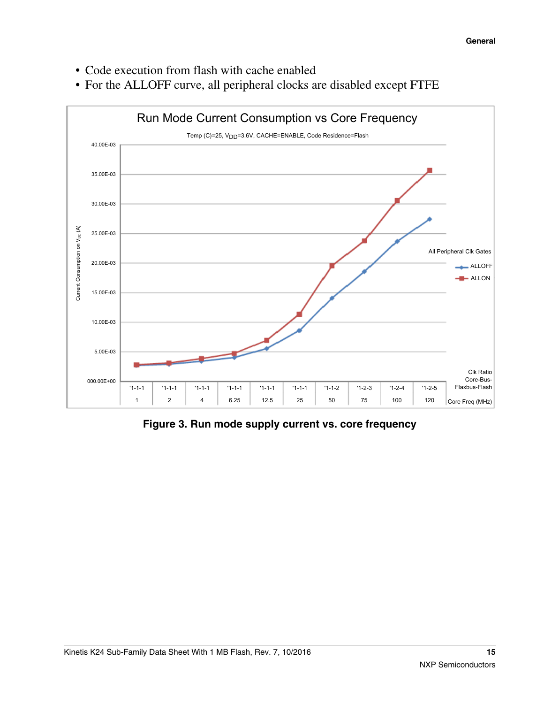- Code execution from flash with cache enabled
- For the ALLOFF curve, all peripheral clocks are disabled except FTFE



**Figure 3. Run mode supply current vs. core frequency**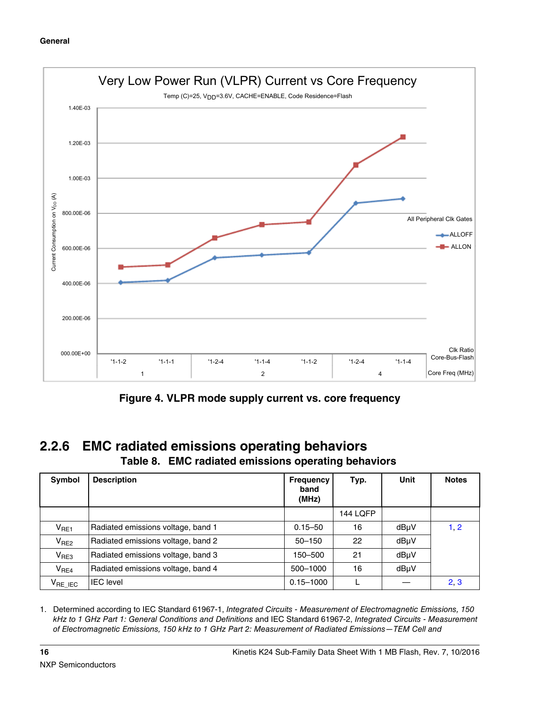<span id="page-15-0"></span>

**Figure 4. VLPR mode supply current vs. core frequency**

### **2.2.6 EMC radiated emissions operating behaviors Table 8. EMC radiated emissions operating behaviors**

| Symbol                 | <b>Description</b>                 | <b>Frequency</b><br>band<br>(MHz) | Typ.            | Unit | <b>Notes</b> |
|------------------------|------------------------------------|-----------------------------------|-----------------|------|--------------|
|                        |                                    |                                   | <b>144 LQFP</b> |      |              |
| $V_{RE1}$              | Radiated emissions voltage, band 1 | $0.15 - 50$                       | 16              | dBµV | 1, 2         |
| V <sub>RE2</sub>       | Radiated emissions voltage, band 2 | $50 - 150$                        | 22              | dBuV |              |
| V <sub>RE3</sub>       | Radiated emissions voltage, band 3 | 150-500                           | 21              | dBµV |              |
| V <sub>RE4</sub>       | Radiated emissions voltage, band 4 | 500-1000                          | 16              | dBµV |              |
| $V_{\mathsf{RE\_IEC}}$ | <b>IEC</b> level                   | $0.15 - 1000$                     |                 |      | 2, 3         |

1. Determined according to IEC Standard 61967-1, *Integrated Circuits - Measurement of Electromagnetic Emissions, 150 kHz to 1 GHz Part 1: General Conditions and Definitions* and IEC Standard 61967-2, *Integrated Circuits - Measurement of Electromagnetic Emissions, 150 kHz to 1 GHz Part 2: Measurement of Radiated Emissions—TEM Cell and*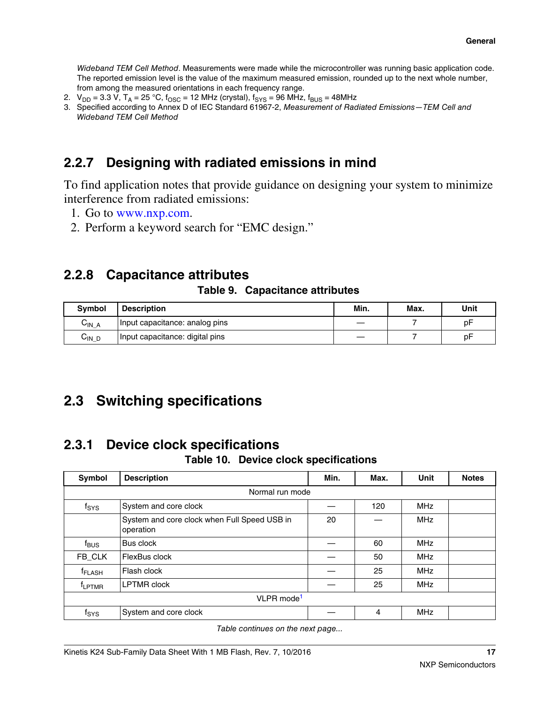<span id="page-16-0"></span>*Wideband TEM Cell Method*. Measurements were made while the microcontroller was running basic application code. The reported emission level is the value of the maximum measured emission, rounded up to the next whole number, from among the measured orientations in each frequency range.

- 2.  $V_{DD} = 3.3 V$ ,  $T_A = 25 °C$ ,  $f_{OSC} = 12 MHz$  (crystal),  $f_{SYS} = 96 MHz$ ,  $f_{BUS} = 48 MHz$
- 3. Specified according to Annex D of IEC Standard 61967-2, *Measurement of Radiated Emissions—TEM Cell and Wideband TEM Cell Method*

## **2.2.7 Designing with radiated emissions in mind**

To find application notes that provide guidance on designing your system to minimize interference from radiated emissions:

- 1. Go to [www.nxp.com](http://www.nxp.com).
- 2. Perform a keyword search for "EMC design."

## **2.2.8 Capacitance attributes**

### **Table 9. Capacitance attributes**

| <b>Symbol</b> | Description                     | Min. | Max. | Unit |
|---------------|---------------------------------|------|------|------|
| UIN A         | Input capacitance: analog pins  |      |      | рF   |
| UIN D         | Input capacitance: digital pins |      |      | рF   |

## **2.3 Switching specifications**

## **2.3.1 Device clock specifications**

### **Table 10. Device clock specifications**

| Symbol             | <b>Description</b>                                        | Min. | Max. | Unit       | <b>Notes</b> |
|--------------------|-----------------------------------------------------------|------|------|------------|--------------|
|                    | Normal run mode                                           |      |      |            |              |
| $f_{\rm{SYS}}$     | System and core clock                                     |      | 120  | <b>MHz</b> |              |
|                    | System and core clock when Full Speed USB in<br>operation | 20   |      | <b>MHz</b> |              |
| $f_{\text{BUS}}$   | Bus clock                                                 |      | 60   | <b>MHz</b> |              |
| FB_CLK             | FlexBus clock                                             |      | 50   | <b>MHz</b> |              |
| f <sub>FLASH</sub> | Flash clock                                               |      | 25   | <b>MHz</b> |              |
| <sup>T</sup> LPTMR | <b>LPTMR</b> clock                                        |      | 25   | <b>MHz</b> |              |
|                    | VLPR mode <sup>1</sup>                                    |      |      |            |              |
| $f_{\rm{SYS}}$     | System and core clock                                     |      | 4    | <b>MHz</b> |              |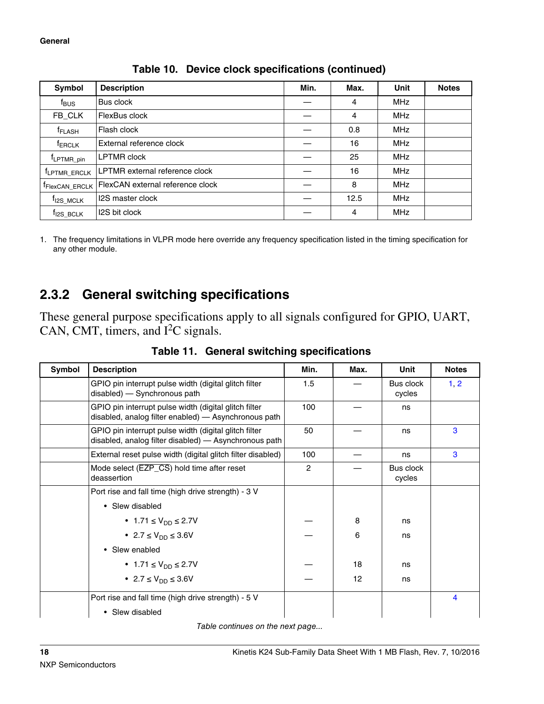<span id="page-17-0"></span>

| Symbol                                    | <b>Description</b>                                             |  | Max. | Unit       | <b>Notes</b> |
|-------------------------------------------|----------------------------------------------------------------|--|------|------------|--------------|
| f <sub>BUS</sub>                          | Bus clock                                                      |  | 4    | MHz        |              |
| FB CLK                                    | FlexBus clock                                                  |  | 4    | <b>MHz</b> |              |
| <sup>f</sup> FLASH                        | Flash clock                                                    |  | 0.8  | <b>MHz</b> |              |
| <sup>f</sup> ERCLK                        | External reference clock                                       |  | 16   | <b>MHz</b> |              |
| <sup>T</sup> LPTMR_pin                    | <b>LPTMR</b> clock                                             |  | 25   | <b>MHz</b> |              |
| <sup>f</sup> LPTMR_ERCLK                  | LPTMR external reference clock                                 |  | 16   | <b>MHz</b> |              |
|                                           | FlexCAN external reference clock<br><sup>T</sup> FlexCAN ERCLK |  | 8    | <b>MHz</b> |              |
| <b>I2S master clock</b><br>$t_{12S}$ MCLK |                                                                |  | 12.5 | <b>MHz</b> |              |
| <sup>T</sup> I2S BCLK                     | I2S bit clock                                                  |  | 4    | <b>MHz</b> |              |

**Table 10. Device clock specifications (continued)**

1. The frequency limitations in VLPR mode here override any frequency specification listed in the timing specification for any other module.

## **2.3.2 General switching specifications**

These general purpose specifications apply to all signals configured for GPIO, UART, CAN, CMT, timers, and  $I<sup>2</sup>C$  signals.

| Symbol | <b>Description</b>                                                                                             | Min.           | Max. | Unit                | <b>Notes</b> |
|--------|----------------------------------------------------------------------------------------------------------------|----------------|------|---------------------|--------------|
|        | GPIO pin interrupt pulse width (digital glitch filter<br>disabled) - Synchronous path                          | 1.5            |      | Bus clock<br>cycles | 1, 2         |
|        | GPIO pin interrupt pulse width (digital glitch filter<br>disabled, analog filter enabled) — Asynchronous path  | 100            |      | ns                  |              |
|        | GPIO pin interrupt pulse width (digital glitch filter<br>disabled, analog filter disabled) — Asynchronous path |                |      | ns                  | 3            |
|        | External reset pulse width (digital glitch filter disabled)                                                    |                |      | ns                  | 3            |
|        | Mode select (EZP_CS) hold time after reset<br>deassertion                                                      | $\overline{2}$ |      | Bus clock<br>cycles |              |
|        | Port rise and fall time (high drive strength) - 3 V                                                            |                |      |                     |              |
|        | • Slew disabled                                                                                                |                |      |                     |              |
|        | • 1.71 $\leq$ V <sub>DD</sub> $\leq$ 2.7V                                                                      |                | 8    | ns                  |              |
|        | • 2.7 $\leq$ $V_{DD} \leq 3.6V$                                                                                |                | 6    | ns                  |              |
|        | • Slew enabled                                                                                                 |                |      |                     |              |
|        | • 1.71 $\leq$ $V_{DD} \leq 2.7V$                                                                               |                | 18   | ns                  |              |
|        | • 2.7 $\leq$ $V_{DD} \leq 3.6V$                                                                                |                | 12   | ns                  |              |
|        | Port rise and fall time (high drive strength) - 5 V                                                            |                |      |                     | 4            |
|        | • Slew disabled                                                                                                |                |      |                     |              |

**Table 11. General switching specifications**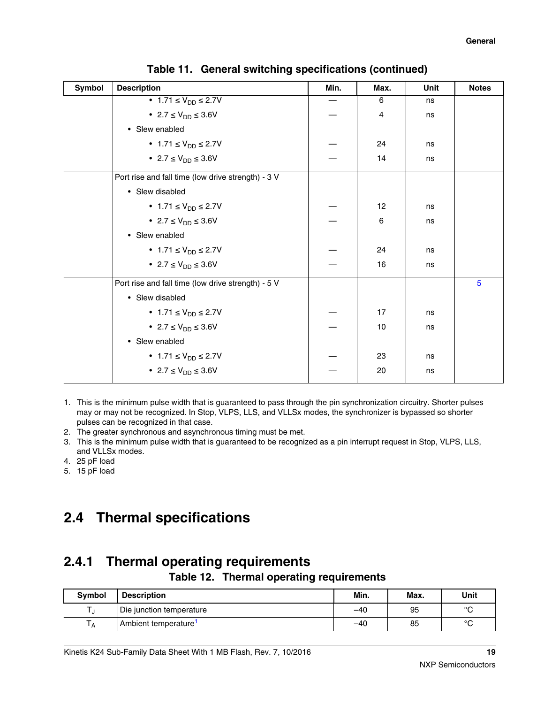<span id="page-18-0"></span>

| Symbol | <b>Description</b>                                 | Min. | Max. | Unit | <b>Notes</b> |
|--------|----------------------------------------------------|------|------|------|--------------|
|        | • 1.71 $\leq$ $V_{DD} \leq 2.7V$                   |      | 6    | ns   |              |
|        | • 2.7 $\leq$ $V_{DD} \leq 3.6V$                    |      | 4    | ns   |              |
|        | • Slew enabled                                     |      |      |      |              |
|        | • $1.71 \le V_{DD} \le 2.7V$                       |      | 24   | ns   |              |
|        | • 2.7 $\leq$ $V_{DD} \leq 3.6V$                    |      | 14   | ns   |              |
|        | Port rise and fall time (low drive strength) - 3 V |      |      |      |              |
|        | • Slew disabled                                    |      |      |      |              |
|        | • $1.71 \le V_{DD} \le 2.7V$                       |      | 12   | ns   |              |
|        | • 2.7 $\leq$ $V_{DD} \leq 3.6V$                    |      | 6    | ns   |              |
|        | • Slew enabled                                     |      |      |      |              |
|        | • $1.71 \le V_{DD} \le 2.7V$                       |      | 24   | ns   |              |
|        | • 2.7 $\leq$ $V_{DD} \leq 3.6V$                    |      | 16   | ns   |              |
|        | Port rise and fall time (low drive strength) - 5 V |      |      |      | 5            |
|        | • Slew disabled                                    |      |      |      |              |
|        | • $1.71 \le V_{DD} \le 2.7V$                       |      | 17   | ns   |              |
|        | • 2.7 $\leq$ $V_{DD} \leq 3.6V$                    |      | 10   | ns   |              |
|        | • Slew enabled                                     |      |      |      |              |
|        | • $1.71 \le V_{DD} \le 2.7V$                       |      | 23   | ns   |              |
|        | • 2.7 $\leq$ $V_{DD} \leq 3.6V$                    |      | 20   | ns   |              |

| Table 11. General switching specifications (continued) |  |  |  |  |
|--------------------------------------------------------|--|--|--|--|
|--------------------------------------------------------|--|--|--|--|

- 1. This is the minimum pulse width that is guaranteed to pass through the pin synchronization circuitry. Shorter pulses may or may not be recognized. In Stop, VLPS, LLS, and VLLSx modes, the synchronizer is bypassed so shorter pulses can be recognized in that case.
- 2. The greater synchronous and asynchronous timing must be met.
- 3. This is the minimum pulse width that is guaranteed to be recognized as a pin interrupt request in Stop, VLPS, LLS, and VLLSx modes.
- 4. 25 pF load
- 5. 15 pF load

## **2.4 Thermal specifications**

## **2.4.1 Thermal operating requirements**

**Table 12. Thermal operating requirements**

| <b>Symbol</b> | <b>Description</b>               | Min.  | Max. | Unit    |
|---------------|----------------------------------|-------|------|---------|
|               | Die junction temperature         | $-40$ | 95   | $\circ$ |
|               | Ambient temperature <sup>1</sup> | $-40$ | 85   | $\circ$ |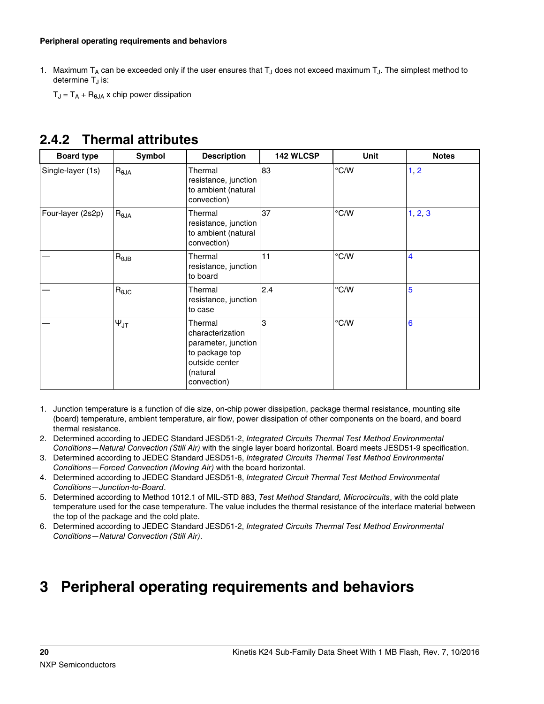#### <span id="page-19-0"></span>**Peripheral operating requirements and behaviors**

1. Maximum T<sub>A</sub> can be exceeded only if the user ensures that T<sub>J</sub> does not exceed maximum T<sub>J</sub>. The simplest method to determine T<sub>J</sub> is:

 $T_J = T_A + R_{\theta JA}$  x chip power dissipation

## **2.4.2 Thermal attributes**

| <b>Board type</b> | Symbol             | <b>Description</b>                                                                                                | <b>142 WLCSP</b> | <b>Unit</b>   | <b>Notes</b> |
|-------------------|--------------------|-------------------------------------------------------------------------------------------------------------------|------------------|---------------|--------------|
| Single-layer (1s) | $R_{\theta JA}$    | Thermal<br>resistance, junction<br>to ambient (natural<br>convection)                                             | 83               | $\degree$ C/W | 1, 2         |
| Four-layer (2s2p) | $R_{\theta JA}$    | Thermal<br>resistance, junction<br>to ambient (natural<br>convection)                                             | 37               | $\degree$ C/W | 1, 2, 3      |
|                   | $R_{\theta$ JB     | Thermal<br>resistance, junction<br>to board                                                                       | 11               | $\degree$ C/W | 4            |
|                   | $R_{\theta JC}$    | Thermal<br>resistance, junction<br>to case                                                                        | 2.4              | $\degree$ C/W | 5            |
|                   | $\Psi_{\text{JT}}$ | Thermal<br>characterization<br>parameter, junction<br>to package top<br>outside center<br>(natural<br>convection) | 3                | $\degree$ C/W | 6            |

- 1. Junction temperature is a function of die size, on-chip power dissipation, package thermal resistance, mounting site (board) temperature, ambient temperature, air flow, power dissipation of other components on the board, and board thermal resistance.
- 2. Determined according to JEDEC Standard JESD51-2, *Integrated Circuits Thermal Test Method Environmental Conditions—Natural Convection (Still Air)* with the single layer board horizontal. Board meets JESD51-9 specification.
- 3. Determined according to JEDEC Standard JESD51-6, *Integrated Circuits Thermal Test Method Environmental Conditions—Forced Convection (Moving Air)* with the board horizontal.
- 4. Determined according to JEDEC Standard JESD51-8, *Integrated Circuit Thermal Test Method Environmental Conditions—Junction-to-Board*.
- 5. Determined according to Method 1012.1 of MIL-STD 883, *Test Method Standard, Microcircuits*, with the cold plate temperature used for the case temperature. The value includes the thermal resistance of the interface material between the top of the package and the cold plate.
- 6. Determined according to JEDEC Standard JESD51-2, *Integrated Circuits Thermal Test Method Environmental Conditions—Natural Convection (Still Air)*.

# **3 Peripheral operating requirements and behaviors**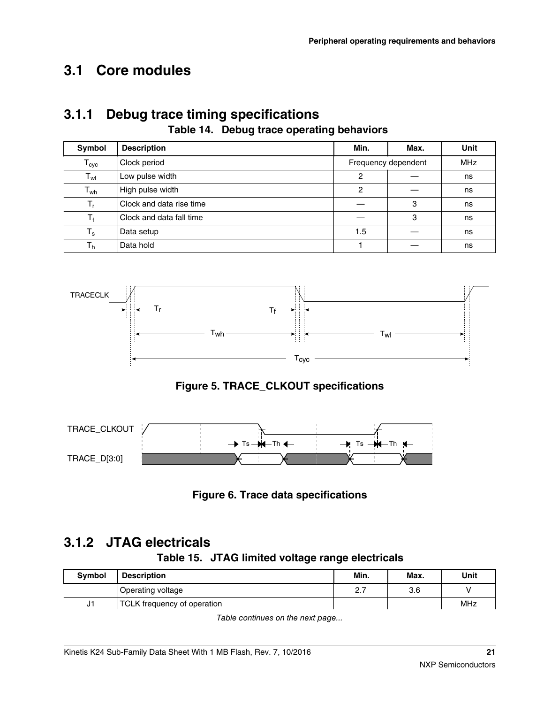# <span id="page-20-0"></span>**3.1 Core modules**

### **3.1.1 Debug trace timing specifications Table 14. Debug trace operating behaviors**

| Symbol         | <b>Description</b>       | Min.                | Max.       | Unit |
|----------------|--------------------------|---------------------|------------|------|
| $T_{\rm cyc}$  | Clock period             | Frequency dependent | <b>MHz</b> |      |
| $T_{wl}$       | Low pulse width          | $\overline{c}$      |            | ns   |
| $T_{wh}$       | High pulse width         | 2                   |            | ns   |
| $T_{r}$        | Clock and data rise time |                     | 3          | ns   |
| $T_f$          | Clock and data fall time |                     | 3          | ns   |
| $T_{\rm s}$    | Data setup               | 1.5                 |            | ns   |
| T <sub>h</sub> | Data hold                |                     |            | ns   |



**Figure 5. TRACE\_CLKOUT specifications**



**Figure 6. Trace data specifications**

## **3.1.2 JTAG electricals**

### **Table 15. JTAG limited voltage range electricals**

| <b>Symbol</b> | <b>Description</b>          | Min.                | Max. | Unit |
|---------------|-----------------------------|---------------------|------|------|
|               | Operating voltage           | $\sim$ $\sim$<br>ے. | 3.6  |      |
| J1            | TCLK frequency of operation |                     |      | MHz  |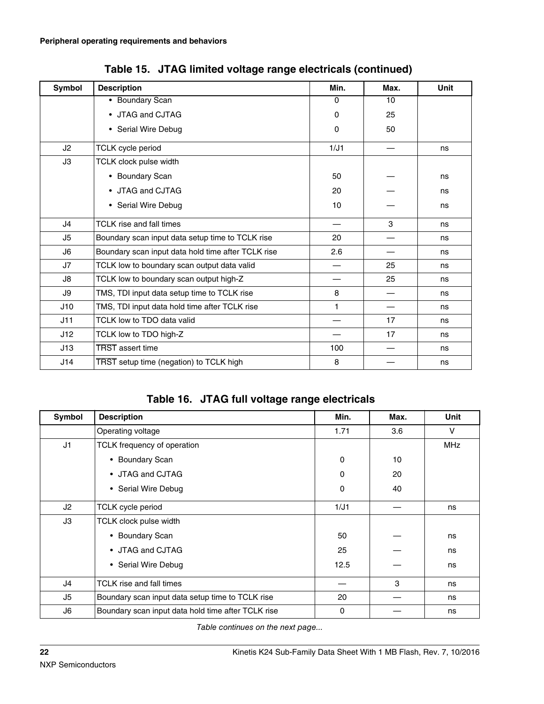| Symbol         | <b>Description</b>                                 | Min.     | Max. | <b>Unit</b> |
|----------------|----------------------------------------------------|----------|------|-------------|
|                | • Boundary Scan                                    | 0        | 10   |             |
|                | • JTAG and CJTAG                                   |          | 25   |             |
|                | • Serial Wire Debug                                | $\Omega$ | 50   |             |
| J <sub>2</sub> | TCLK cycle period                                  | 1/J1     |      | ns          |
| J3             | TCLK clock pulse width                             |          |      |             |
|                | • Boundary Scan                                    | 50       |      | ns          |
|                | • JTAG and CJTAG                                   | 20       |      | ns          |
|                | • Serial Wire Debug                                | 10       |      | ns          |
| J4             | <b>TCLK</b> rise and fall times                    |          | 3    | ns          |
| J5             | Boundary scan input data setup time to TCLK rise   | 20       |      | ns          |
| J <sub>6</sub> | Boundary scan input data hold time after TCLK rise | 2.6      |      | ns          |
| J7             | TCLK low to boundary scan output data valid        |          | 25   | ns          |
| J8             | TCLK low to boundary scan output high-Z            |          | 25   | ns          |
| J9             | TMS, TDI input data setup time to TCLK rise        | 8        |      | ns          |
| J10            | TMS, TDI input data hold time after TCLK rise      | 1        |      | ns          |
| J11            | TCLK low to TDO data valid                         |          | 17   | ns          |
| J12            | TCLK low to TDO high-Z                             |          | 17   | ns          |
| J13            | <b>TRST</b> assert time                            | 100      |      | ns          |
| J14            | TRST setup time (negation) to TCLK high            | 8        |      | ns          |

**Table 15. JTAG limited voltage range electricals (continued)**

**Table 16. JTAG full voltage range electricals**

| Symbol         | <b>Description</b>                                 | Min.     | Max. | <b>Unit</b> |
|----------------|----------------------------------------------------|----------|------|-------------|
|                | Operating voltage                                  | 1.71     | 3.6  | V           |
| J <sub>1</sub> | TCLK frequency of operation                        |          |      | <b>MHz</b>  |
|                | <b>Boundary Scan</b><br>$\bullet$                  | 0        | 10   |             |
|                | • JTAG and CJTAG                                   | $\Omega$ | 20   |             |
|                | • Serial Wire Debug                                | $\Omega$ | 40   |             |
| J2             | <b>TCLK</b> cycle period                           | 1/J1     |      | ns          |
| JЗ             | <b>TCLK clock pulse width</b>                      |          |      |             |
|                | <b>Boundary Scan</b><br>$\bullet$                  | 50       |      | ns          |
|                | • JTAG and CJTAG                                   |          |      | ns          |
|                | • Serial Wire Debug                                | 12.5     |      | ns          |
| J4             | TCLK rise and fall times                           |          | 3    | ns          |
| J5             | Boundary scan input data setup time to TCLK rise   | 20       |      | ns          |
| J6             | Boundary scan input data hold time after TCLK rise | 0        |      | ns          |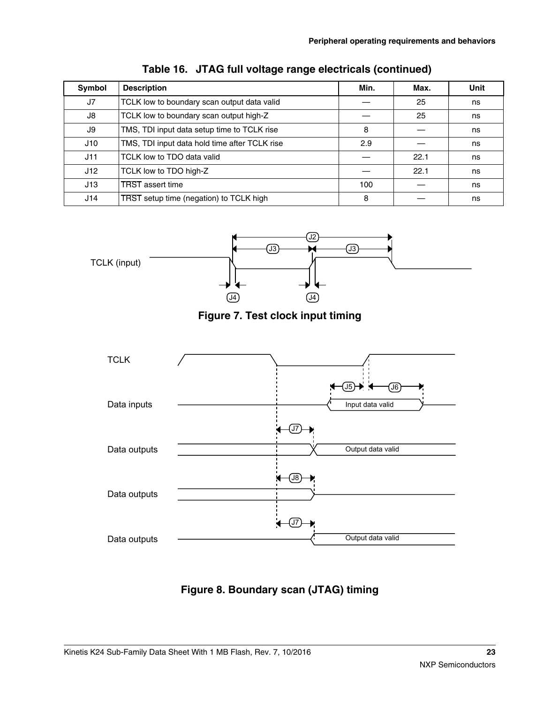| <b>Symbol</b> | <b>Description</b>                            | Min. | Max. | <b>Unit</b> |  |  |
|---------------|-----------------------------------------------|------|------|-------------|--|--|
| J7            | TCLK low to boundary scan output data valid   |      | 25   | ns          |  |  |
| J8            | TCLK low to boundary scan output high-Z       | 25   |      |             |  |  |
| J9            | TMS, TDI input data setup time to TCLK rise   | 8    |      | ns          |  |  |
| J10           | TMS, TDI input data hold time after TCLK rise | 2.9  |      | ns          |  |  |
| J11           | TCLK low to TDO data valid                    |      | 22.1 | ns          |  |  |
| J12           | TCLK low to TDO high-Z                        |      | 22.1 | ns          |  |  |
| J13           | <b>TRST</b> assert time                       | 100  |      | ns          |  |  |
| J14           | TRST setup time (negation) to TCLK high       | 8    |      | ns          |  |  |









**Figure 8. Boundary scan (JTAG) timing**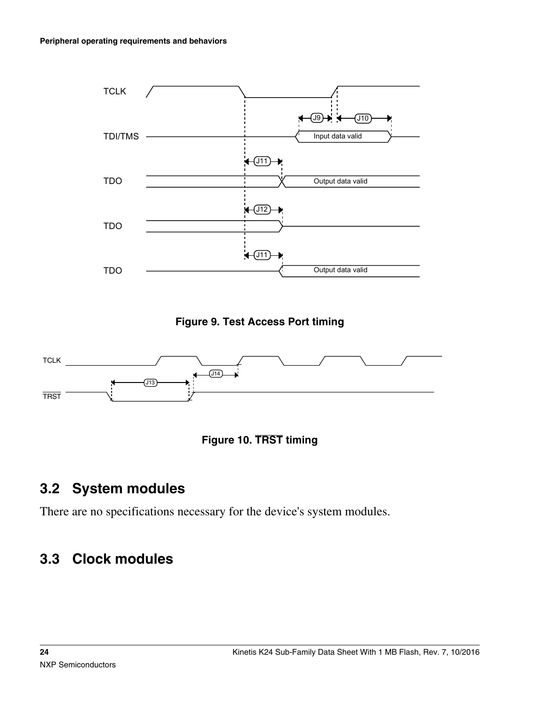<span id="page-23-0"></span>

**Figure 9. Test Access Port timing**





# **3.2 System modules**

There are no specifications necessary for the device's system modules.

# **3.3 Clock modules**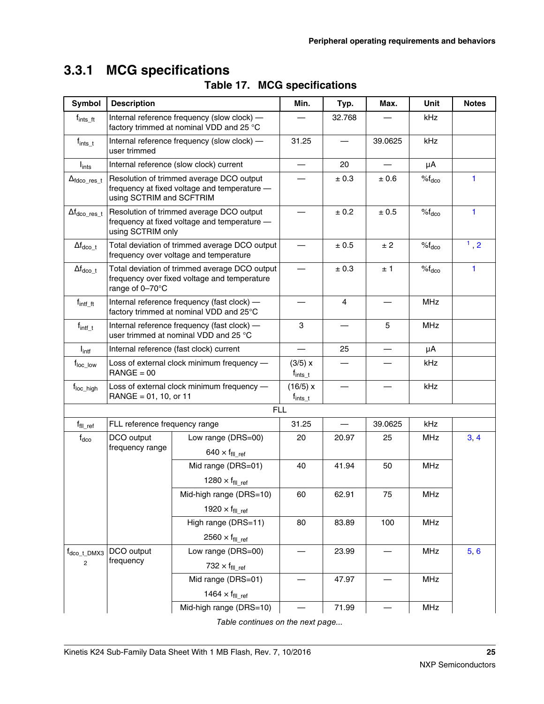## **3.3.1 MCG specifications**

| Symbol                            | <b>Description</b>                                                                                               |                                                                                          | Min.                     | Typ.    | Max.       | <b>Unit</b> | <b>Notes</b> |
|-----------------------------------|------------------------------------------------------------------------------------------------------------------|------------------------------------------------------------------------------------------|--------------------------|---------|------------|-------------|--------------|
| $f_{\sf ints\_ft}$                |                                                                                                                  | Internal reference frequency (slow clock) -<br>factory trimmed at nominal VDD and 25 °C  |                          | 32.768  |            | kHz         |              |
| $f_{ints\_t}$                     | Internal reference frequency (slow clock) -<br>user trimmed                                                      | 31.25                                                                                    |                          | 39.0625 | kHz        |             |              |
| $I_{ints}$                        | Internal reference (slow clock) current                                                                          |                                                                                          | 20                       |         | μA         |             |              |
| $\Delta_{\text{fdco\_res\_t}}$    | using SCTRIM and SCFTRIM                                                                                         | Resolution of trimmed average DCO output<br>frequency at fixed voltage and temperature - |                          | ± 0.3   | ± 0.6      | $%f_{dco}$  | $\mathbf{1}$ |
| $\Delta f_{dco\_res\_t}$          | using SCTRIM only                                                                                                | Resolution of trimmed average DCO output<br>frequency at fixed voltage and temperature - | $\overline{\phantom{0}}$ | ± 0.2   | ± 0.5      | $%f_{dco}$  | $\mathbf{1}$ |
| $\Delta f_{dco\_t}$               |                                                                                                                  | Total deviation of trimmed average DCO output<br>frequency over voltage and temperature  |                          | ± 0.5   | ± 2        | $%f_{dco}$  | 1, 2         |
| $\Delta f_{dco\_t}$               | Total deviation of trimmed average DCO output<br>frequency over fixed voltage and temperature<br>range of 0-70°C |                                                                                          | ± 0.3                    | ±1      | $%f_{dco}$ | 1.          |              |
| $f_{\text{int\_ft}}$              | Internal reference frequency (fast clock) -<br>factory trimmed at nominal VDD and 25°C                           |                                                                                          | $\overline{4}$           |         | <b>MHz</b> |             |              |
| $f_{\text{int\_t}}$               | Internal reference frequency (fast clock) -<br>user trimmed at nominal VDD and 25 °C                             | 3                                                                                        |                          | 5       | <b>MHz</b> |             |              |
| $I_{\text{intf}}$                 | Internal reference (fast clock) current                                                                          |                                                                                          | 25                       |         | μA         |             |              |
| $f_{loc\_low}$                    | Loss of external clock minimum frequency -<br>$RANGE = 00$                                                       | (3/5) x<br>$f_{\text{ints}\_{t}}$                                                        |                          |         | kHz        |             |              |
| f <sub>loc_high</sub>             | Loss of external clock minimum frequency -<br>RANGE = 01, 10, or 11                                              | (16/5) x<br>$f_{ints\_t}$                                                                |                          |         | kHz        |             |              |
|                                   |                                                                                                                  | <b>FLL</b>                                                                               |                          |         |            |             |              |
| $\mathsf{f}_{\mathsf{fill\_ref}}$ | FLL reference frequency range                                                                                    |                                                                                          | 31.25                    |         | 39.0625    | kHz         |              |
| $f_{\rm dco}$                     | DCO output<br>frequency range                                                                                    | Low range (DRS=00)<br>640 $\times$ f <sub>fll ref</sub>                                  | 20                       | 20.97   | 25         | <b>MHz</b>  | 3, 4         |
|                                   |                                                                                                                  | Mid range (DRS=01)                                                                       | 40                       | 41.94   | 50         | <b>MHz</b>  |              |
|                                   |                                                                                                                  | $1280 \times f_{\text{fill\_ref}}$                                                       |                          |         |            |             |              |
|                                   |                                                                                                                  | Mid-high range (DRS=10)                                                                  | 60                       | 62.91   | $75\,$     | MHz         |              |
|                                   |                                                                                                                  | 1920 $\times$ f <sub>fll_ref</sub>                                                       |                          |         |            |             |              |
|                                   |                                                                                                                  | High range (DRS=11)                                                                      | 80                       | 83.89   | 100        | MHz         |              |
|                                   |                                                                                                                  | 2560 $\times$ f <sub>fll</sub> ref                                                       |                          |         |            |             |              |
| $f_{\text{dco}\_\text{t}$ DMX3    | DCO output                                                                                                       | Low range (DRS=00)                                                                       |                          | 23.99   |            | MHz         | 5,6          |
| $\overline{2}$                    | frequency                                                                                                        | 732 $\times$ f <sub>fll ref</sub>                                                        |                          |         |            |             |              |
|                                   |                                                                                                                  | Mid range (DRS=01)                                                                       |                          | 47.97   |            | MHz         |              |
|                                   |                                                                                                                  | 1464 $\times$ f <sub>fll ref</sub>                                                       |                          |         |            |             |              |
|                                   |                                                                                                                  | Mid-high range (DRS=10)                                                                  |                          | 71.99   |            | MHz         |              |
|                                   |                                                                                                                  | Table continues on the next page                                                         |                          |         |            |             |              |

### **Table 17. MCG specifications**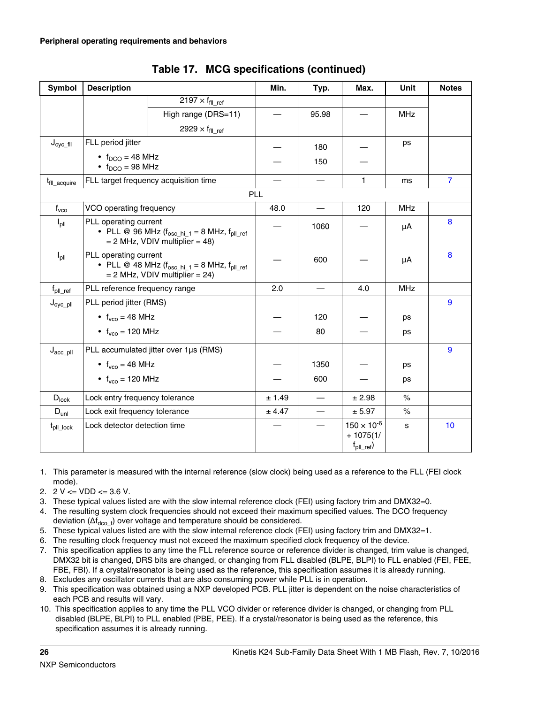<span id="page-25-0"></span>

| Symbol                           | <b>Description</b>                                                  |                                                                                                 | Min.       | Typ.                     | Max.                                                        | <b>Unit</b> | <b>Notes</b>   |
|----------------------------------|---------------------------------------------------------------------|-------------------------------------------------------------------------------------------------|------------|--------------------------|-------------------------------------------------------------|-------------|----------------|
|                                  |                                                                     | 2197 $\times$ f <sub>fll ref</sub>                                                              |            |                          |                                                             |             |                |
|                                  |                                                                     | High range (DRS=11)                                                                             |            | 95.98                    |                                                             | <b>MHz</b>  |                |
|                                  |                                                                     | 2929 $\times$ f <sub>fll_ref</sub>                                                              |            |                          |                                                             |             |                |
| $J_{\text{cyc\_fill}}$           | FLL period jitter                                                   |                                                                                                 |            | 180                      |                                                             | ps          |                |
|                                  | • $f_{DCO} = 48 \text{ MHz}$<br>$\bullet$ f <sub>DCO</sub> = 98 MHz |                                                                                                 |            | 150                      |                                                             |             |                |
| t <sub>fll_acquire</sub>         |                                                                     | FLL target frequency acquisition time                                                           |            |                          | 1                                                           | ms          | $\overline{7}$ |
|                                  |                                                                     |                                                                                                 | <b>PLL</b> |                          |                                                             |             |                |
| $f_{\text{vco}}$                 | VCO operating frequency                                             |                                                                                                 | 48.0       |                          | 120                                                         | <b>MHz</b>  |                |
| $I_{\text{pII}}$                 | PLL operating current                                               | • PLL @ 96 MHz $(f_{osc\_hi\_1} = 8$ MHz, $f_{pII\_ref}$<br>$= 2$ MHz, VDIV multiplier $= 48$ ) |            | 1060                     |                                                             | μA          | 8              |
| $I_{\text{pII}}$                 | PLL operating current                                               | • PLL @ 48 MHz $(f_{osc_hi_1} = 8$ MHz, $f_{pll\_ref}$<br>$= 2$ MHz, VDIV multiplier $= 24$ )   |            | 600                      |                                                             | μA          | 8              |
| $\mathsf{f}_{\mathsf{pll\_ref}}$ | PLL reference frequency range                                       |                                                                                                 | 2.0        |                          | 4.0                                                         | <b>MHz</b>  |                |
| $J_{\text{cyc\_pII}}$            | PLL period jitter (RMS)                                             |                                                                                                 |            |                          |                                                             |             | 9              |
|                                  | • $f_{vco} = 48 \text{ MHz}$                                        |                                                                                                 |            | 120                      |                                                             | ps          |                |
|                                  | • $f_{vco} = 120 \text{ MHz}$                                       |                                                                                                 |            | 80                       |                                                             | ps          |                |
| $J_{\text{acc\_pII}}$            |                                                                     | PLL accumulated jitter over 1µs (RMS)                                                           |            |                          |                                                             |             | 9              |
|                                  | • $f_{vco} = 48 \text{ MHz}$                                        |                                                                                                 |            | 1350                     |                                                             | ps          |                |
|                                  | • $f_{vco} = 120$ MHz                                               |                                                                                                 |            | 600                      |                                                             | ps          |                |
| $D_{lock}$                       | Lock entry frequency tolerance                                      |                                                                                                 | ± 1.49     |                          | ± 2.98                                                      | $\%$        |                |
| $D_{unl}$                        | Lock exit frequency tolerance                                       |                                                                                                 | ± 4.47     | $\overline{\phantom{0}}$ | ± 5.97                                                      | $\%$        |                |
| $t_{\text{pll}\_\text{lock}}$    | Lock detector detection time                                        |                                                                                                 |            |                          | $150 \times 10^{-6}$<br>$+1075(1/$<br>$f_{\text{pll\_ref}}$ | s           | 10             |

- 1. This parameter is measured with the internal reference (slow clock) being used as a reference to the FLL (FEI clock mode).
- 2.  $2 \text{ V} \leq \text{VDD} \leq 3.6 \text{ V}.$
- 3. These typical values listed are with the slow internal reference clock (FEI) using factory trim and DMX32=0.
- 4. The resulting system clock frequencies should not exceed their maximum specified values. The DCO frequency deviation  $(\Delta f_{\text{dco}\_{t}})$  over voltage and temperature should be considered.
- 5. These typical values listed are with the slow internal reference clock (FEI) using factory trim and DMX32=1.
- 6. The resulting clock frequency must not exceed the maximum specified clock frequency of the device.
- 7. This specification applies to any time the FLL reference source or reference divider is changed, trim value is changed, DMX32 bit is changed, DRS bits are changed, or changing from FLL disabled (BLPE, BLPI) to FLL enabled (FEI, FEE, FBE, FBI). If a crystal/resonator is being used as the reference, this specification assumes it is already running.
- 8. Excludes any oscillator currents that are also consuming power while PLL is in operation.
- 9. This specification was obtained using a NXP developed PCB. PLL jitter is dependent on the noise characteristics of each PCB and results will vary.
- 10. This specification applies to any time the PLL VCO divider or reference divider is changed, or changing from PLL disabled (BLPE, BLPI) to PLL enabled (PBE, PEE). If a crystal/resonator is being used as the reference, this specification assumes it is already running.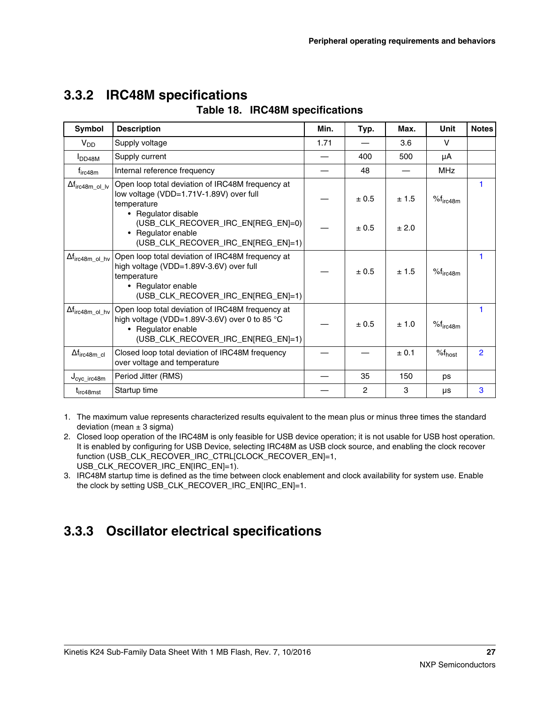| Symbol                             | <b>Description</b>                                                                                                                                                     | Min. | Typ.  | Max.  | Unit               | <b>Notes</b>   |
|------------------------------------|------------------------------------------------------------------------------------------------------------------------------------------------------------------------|------|-------|-------|--------------------|----------------|
| $V_{DD}$                           | Supply voltage                                                                                                                                                         | 1.71 |       | 3.6   | V                  |                |
| I <sub>DD48M</sub>                 | Supply current                                                                                                                                                         |      | 400   | 500   | μA                 |                |
| t <sub>irc48m</sub>                | Internal reference frequency                                                                                                                                           |      | 48    |       | <b>MHz</b>         |                |
| $\Delta f_{\text{irc}48m\_ol\_lv}$ | Open loop total deviation of IRC48M frequency at<br>low voltage (VDD=1.71V-1.89V) over full<br>temperature<br>• Regulator disable                                      |      | ± 0.5 | ± 1.5 | $%f_{irc48m}$      |                |
|                                    | (USB_CLK_RECOVER_IRC_EN REG_EN =0)<br>• Regulator enable<br>(USB_CLK_RECOVER_IRC_EN[REG_EN]=1)                                                                         |      | ± 0.5 | ± 2.0 |                    |                |
| $\Delta f_{\text{irc}48m\_ol\_hv}$ | Open loop total deviation of IRC48M frequency at<br>high voltage (VDD=1.89V-3.6V) over full<br>temperature<br>• Regulator enable<br>(USB_CLK_RECOVER_IRC_EN[REG_EN]=1) |      | ± 0.5 | ± 1.5 | $%f_{irc48m}$      | 1              |
| $\Delta f_{\text{irc}48m\_ol\_hv}$ | Open loop total deviation of IRC48M frequency at<br>high voltage (VDD=1.89V-3.6V) over 0 to 85 °C<br>• Regulator enable<br>(USB_CLK_RECOVER_IRC_EN[REG_EN]=1)          |      | ± 0.5 | ± 1.0 | $%f_{irc48m}$      | 1              |
| $\Delta f_{\text{irc}48m_{cl}}$    | Closed loop total deviation of IRC48M frequency<br>over voltage and temperature                                                                                        |      |       | ± 0.1 | $%f_{\text{host}}$ | $\overline{2}$ |
| $J_{\text{cyc\_irc48m}}$           | Period Jitter (RMS)                                                                                                                                                    |      | 35    | 150   | ps                 |                |
| t <sub>irc48mst</sub>              | Startup time                                                                                                                                                           |      | 2     | 3     | μs                 | 3              |

## <span id="page-26-0"></span>**3.3.2 IRC48M specifications**

|  |  | Table 18. IRC48M specifications |
|--|--|---------------------------------|
|--|--|---------------------------------|

1. The maximum value represents characterized results equivalent to the mean plus or minus three times the standard deviation (mean  $\pm$  3 sigma)

- 2. Closed loop operation of the IRC48M is only feasible for USB device operation; it is not usable for USB host operation. It is enabled by configuring for USB Device, selecting IRC48M as USB clock source, and enabling the clock recover function (USB\_CLK\_RECOVER\_IRC\_CTRL[CLOCK\_RECOVER\_EN]=1, USB\_CLK\_RECOVER\_IRC\_EN[IRC\_EN]=1).
- 3. IRC48M startup time is defined as the time between clock enablement and clock availability for system use. Enable the clock by setting USB\_CLK\_RECOVER\_IRC\_EN[IRC\_EN]=1.

## **3.3.3 Oscillator electrical specifications**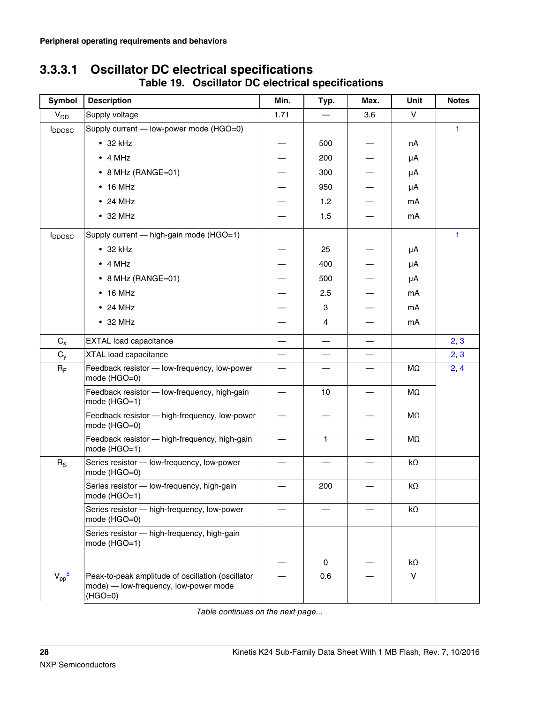| Symbol                                 | <b>Description</b>                                                                                      | Min.                     | Typ.                     | Max. | Unit      | <b>Notes</b> |
|----------------------------------------|---------------------------------------------------------------------------------------------------------|--------------------------|--------------------------|------|-----------|--------------|
| V <sub>DD</sub>                        | Supply voltage                                                                                          | 1.71                     |                          | 3.6  | V         |              |
| <b>I</b> <sub>DDOSC</sub>              | Supply current - low-power mode (HGO=0)                                                                 |                          |                          |      |           | 1            |
|                                        | $\cdot$ 32 kHz                                                                                          |                          | 500                      |      | nA        |              |
|                                        | $\bullet$ 4 MHz                                                                                         |                          | 200                      |      | μA        |              |
|                                        | $\bullet$ 8 MHz (RANGE=01)                                                                              |                          | 300                      |      | μA        |              |
|                                        | $\cdot$ 16 MHz                                                                                          |                          | 950                      |      | μA        |              |
|                                        | $\bullet$ 24 MHz                                                                                        |                          | 1.2                      |      | mA        |              |
|                                        | $\bullet$ 32 MHz                                                                                        |                          | 1.5                      |      | mA        |              |
| <b>I</b> <sub>DDOSC</sub>              | Supply current - high-gain mode (HGO=1)                                                                 |                          |                          |      |           | 1            |
|                                        | $\cdot$ 32 kHz                                                                                          |                          | 25                       |      | μA        |              |
|                                        | $\bullet$ 4 MHz                                                                                         |                          | 400                      |      | μA        |              |
|                                        | • 8 MHz (RANGE=01)                                                                                      |                          | 500                      |      | μA        |              |
|                                        | $\cdot$ 16 MHz                                                                                          |                          | 2.5                      |      | mA        |              |
|                                        | $\bullet$ 24 MHz                                                                                        |                          | 3                        |      | mA        |              |
|                                        | $\bullet$ 32 MHz                                                                                        |                          | 4                        |      | mA        |              |
| $C_{x}$                                | <b>EXTAL</b> load capacitance                                                                           | $\overline{\phantom{0}}$ | $\overline{\phantom{0}}$ |      |           | 2, 3         |
| $C_{y}$                                | XTAL load capacitance                                                                                   |                          |                          |      |           | 2, 3         |
| $R_F$                                  | Feedback resistor - low-frequency, low-power<br>mode (HGO=0)                                            |                          |                          |      | ΜΩ        | 2, 4         |
|                                        | Feedback resistor - low-frequency, high-gain<br>mode (HGO=1)                                            |                          | 10                       |      | MΩ        |              |
|                                        | Feedback resistor - high-frequency, low-power<br>mode (HGO=0)                                           |                          |                          |      | ΜΩ        |              |
|                                        | Feedback resistor - high-frequency, high-gain<br>mode (HGO=1)                                           |                          | $\mathbf{1}$             |      | $M\Omega$ |              |
| $R_S$                                  | Series resistor - low-frequency, low-power<br>mode (HGO=0)                                              |                          |                          |      | $k\Omega$ |              |
|                                        | Series resistor - low-frequency, high-gain<br>mode (HGO=1)                                              |                          | 200                      |      | $k\Omega$ |              |
|                                        | Series resistor - high-frequency, low-power<br>mode (HGO=0)                                             |                          |                          |      | $k\Omega$ |              |
|                                        | Series resistor - high-frequency, high-gain<br>mode (HGO=1)                                             |                          |                          |      |           |              |
|                                        |                                                                                                         |                          | 0                        |      | kΩ        |              |
| $V_{\text{pp}}^{\phantom{\text{up}}5}$ | Peak-to-peak amplitude of oscillation (oscillator<br>mode) — low-frequency, low-power mode<br>$(HGO=0)$ |                          | 0.6                      |      | $\vee$    |              |

### **3.3.3.1 Oscillator DC electrical specifications Table 19. Oscillator DC electrical specifications**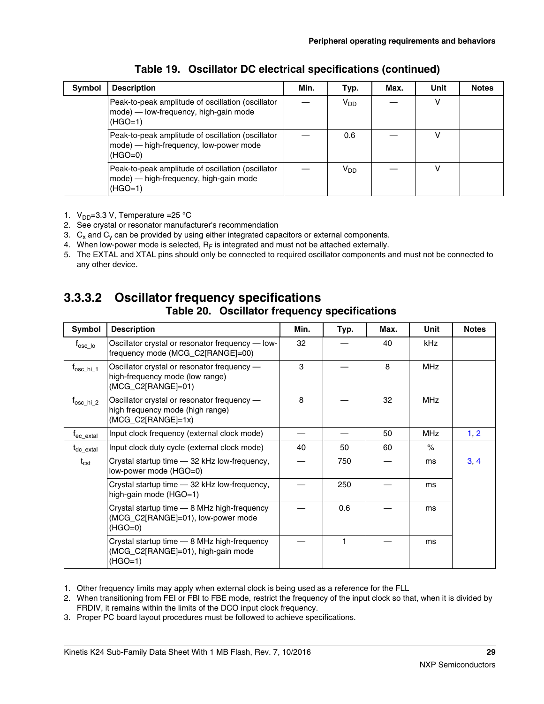<span id="page-28-0"></span>

| Symbol | <b>Description</b>                                                                                       | Min. | Typ.                  | Max. | Unit | <b>Notes</b> |
|--------|----------------------------------------------------------------------------------------------------------|------|-----------------------|------|------|--------------|
|        | Peak-to-peak amplitude of oscillation (oscillator<br>mode) — low-frequency, high-gain mode<br>$(HGO=1)$  |      | <b>V<sub>DD</sub></b> |      |      |              |
|        | Peak-to-peak amplitude of oscillation (oscillator<br>mode) — high-frequency, low-power mode<br>$(HGO=0)$ |      | 0.6                   |      |      |              |
|        | Peak-to-peak amplitude of oscillation (oscillator<br>mode) — high-frequency, high-gain mode<br>$(HGO=1)$ |      | V <sub>DD</sub>       |      | v    |              |

### **Table 19. Oscillator DC electrical specifications (continued)**

- 1.  $V_{DD} = 3.3 V$ , Temperature = 25 °C
- 2. See crystal or resonator manufacturer's recommendation
- 3.  $\,$  C<sub>x</sub> and C<sub>y</sub> can be provided by using either integrated capacitors or external components.
- 4. When low-power mode is selected,  $R_F$  is integrated and must not be attached externally.
- 5. The EXTAL and XTAL pins should only be connected to required oscillator components and must not be connected to any other device.

## **3.3.3.2 Oscillator frequency specifications**

### **Table 20. Oscillator frequency specifications**

| Symbol                             | <b>Description</b>                                                                                      | Min. | Typ.         | Max. | Unit       | <b>Notes</b> |
|------------------------------------|---------------------------------------------------------------------------------------------------------|------|--------------|------|------------|--------------|
| $\mathsf{f}_{\mathsf{osc\_lo}}$    | Oscillator crystal or resonator frequency - low-<br>frequency mode (MCG C2[RANGE]=00)                   | 32   |              | 40   | kHz        |              |
| $t_{\rm osc\_hi\_1}$               | Oscillator crystal or resonator frequency -<br>high-frequency mode (low range)<br>(MCG_C2[RANGE]=01)    | 3    |              | 8    | <b>MHz</b> |              |
| $\mathsf{f}_{\mathsf{osc\_hi\_2}}$ | Oscillator crystal or resonator frequency -<br>high frequency mode (high range)<br>$(MCG_C2[RANGE]=1x)$ | 8    |              | 32   | <b>MHz</b> |              |
| $\mathsf{t}_{\mathsf{ec\_extal}}$  | Input clock frequency (external clock mode)                                                             |      |              | 50   | <b>MHz</b> | 1, 2         |
| $t_{\sf dc\_extal}$                | Input clock duty cycle (external clock mode)                                                            | 40   | 50           | 60   | $\%$       |              |
| $\mathsf{t}_{\mathsf{cst}}$        | Crystal startup time - 32 kHz low-frequency,<br>low-power mode (HGO=0)                                  |      | 750          |      | ms         | 3.4          |
|                                    | Crystal startup time - 32 kHz low-frequency,<br>high-gain mode (HGO=1)                                  |      | 250          |      | ms         |              |
|                                    | Crystal startup time - 8 MHz high-frequency<br>(MCG_C2[RANGE]=01), low-power mode<br>$(HGO=0)$          |      | 0.6          |      | ms         |              |
|                                    | Crystal startup time - 8 MHz high-frequency<br>(MCG_C2[RANGE]=01), high-gain mode<br>$(HGO=1)$          |      | $\mathbf{1}$ |      | ms         |              |

1. Other frequency limits may apply when external clock is being used as a reference for the FLL

2. When transitioning from FEI or FBI to FBE mode, restrict the frequency of the input clock so that, when it is divided by FRDIV, it remains within the limits of the DCO input clock frequency.

3. Proper PC board layout procedures must be followed to achieve specifications.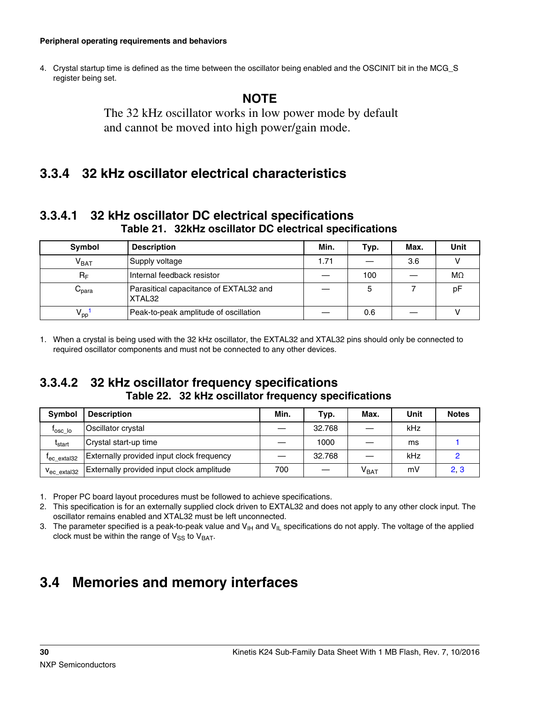#### <span id="page-29-0"></span>**Peripheral operating requirements and behaviors**

4. Crystal startup time is defined as the time between the oscillator being enabled and the OSCINIT bit in the MCG\_S register being set.

### **NOTE**

The 32 kHz oscillator works in low power mode by default and cannot be moved into high power/gain mode.

### **3.3.4 32 kHz oscillator electrical characteristics**

### **3.3.4.1 32 kHz oscillator DC electrical specifications Table 21. 32kHz oscillator DC electrical specifications**

| Symbol                           | <b>Description</b>                               | Min. | Typ. | Max. | Unit      |
|----------------------------------|--------------------------------------------------|------|------|------|-----------|
| $V_{BAT}$                        | Supply voltage                                   | 1.71 |      | 3.6  |           |
| $R_F$                            | Internal feedback resistor                       |      | 100  |      | $M\Omega$ |
| $\mathord{\cup_{\mathsf{para}}}$ | Parasitical capacitance of EXTAL32 and<br>XTAL32 |      | 5    |      | pF        |
| $V_{\text{pp}}$                  | Peak-to-peak amplitude of oscillation            |      | 0.6  |      |           |

1. When a crystal is being used with the 32 kHz oscillator, the EXTAL32 and XTAL32 pins should only be connected to required oscillator components and must not be connected to any other devices.

### **3.3.4.2 32 kHz oscillator frequency specifications Table 22. 32 kHz oscillator frequency specifications**

| <b>Symbol</b>           | <b>Description</b>                        | Min. | Typ.   | Max.                        | Unit | <b>Notes</b> |
|-------------------------|-------------------------------------------|------|--------|-----------------------------|------|--------------|
| losc lo                 | Oscillator crystal                        |      | 32.768 |                             | kHz  |              |
| <sup>L</sup> start      | Crystal start-up time                     |      | 1000   |                             | ms   |              |
| $I_{\text{ec extal}32}$ | Externally provided input clock frequency |      | 32.768 |                             | kHz  |              |
| $V_{\text{ec extal}32}$ | Externally provided input clock amplitude | 700  |        | $\mathsf{V}_{\mathsf{BAT}}$ | mV   | 2, 3         |

1. Proper PC board layout procedures must be followed to achieve specifications.

2. This specification is for an externally supplied clock driven to EXTAL32 and does not apply to any other clock input. The oscillator remains enabled and XTAL32 must be left unconnected.

3. The parameter specified is a peak-to-peak value and  $V_{\text{II}}$  and  $V_{\text{II}}$  specifications do not apply. The voltage of the applied clock must be within the range of  $V_{SS}$  to  $V_{BAT}$ .

## **3.4 Memories and memory interfaces**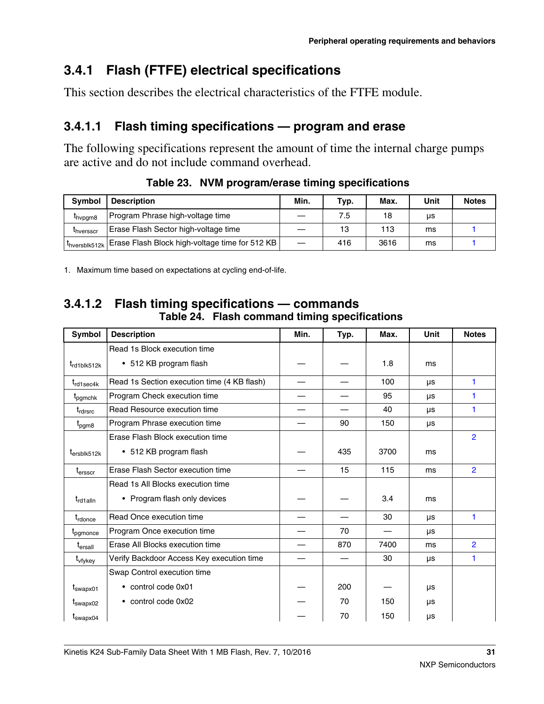## **3.4.1 Flash (FTFE) electrical specifications**

This section describes the electrical characteristics of the FTFE module.

## **3.4.1.1 Flash timing specifications — program and erase**

The following specifications represent the amount of time the internal charge pumps are active and do not include command overhead.

| <b>Symbol</b>         | <b>Description</b>                                                             | Min. | Typ. | Max. | Unit | <b>Notes</b> |
|-----------------------|--------------------------------------------------------------------------------|------|------|------|------|--------------|
| <sup>L</sup> hypgm8   | Program Phrase high-voltage time                                               |      | 7.5  | 18   | μs   |              |
| <sup>L</sup> hversscr | Erase Flash Sector high-voltage time                                           |      | 13   | 113  | ms   |              |
|                       | $+$ t <sub>hversblk512k</sub>   Erase Flash Block high-voltage time for 512 KB |      | 416  | 3616 | ms   |              |

**Table 23. NVM program/erase timing specifications**

1. Maximum time based on expectations at cycling end-of-life.

### **3.4.1.2 Flash timing specifications — commands Table 24. Flash command timing specifications**

| Symbol                  | <b>Description</b>                          | Min. | Typ. | Max. | <b>Unit</b> | <b>Notes</b>   |
|-------------------------|---------------------------------------------|------|------|------|-------------|----------------|
|                         | Read 1s Block execution time                |      |      |      |             |                |
| t <sub>rd1blk512k</sub> | • 512 KB program flash                      |      |      | 1.8  | ms          |                |
| $t_{rd1sec4k}$          | Read 1s Section execution time (4 KB flash) |      |      | 100  | μs          | 1              |
| t <sub>pgmchk</sub>     | Program Check execution time                |      |      | 95   | μs          |                |
| t <sub>rdrsrc</sub>     | Read Resource execution time                |      |      | 40   | μs          | 1              |
| t <sub>pgm8</sub>       | Program Phrase execution time               |      | 90   | 150  | μs          |                |
|                         | Erase Flash Block execution time            |      |      |      |             | $\overline{2}$ |
| $t_{ersblk512k}$        | • 512 KB program flash                      |      | 435  | 3700 | ms          |                |
| $t_{\sf{ersscr}}$       | Erase Flash Sector execution time           |      | 15   | 115  | ms          | $\overline{2}$ |
|                         | Read 1s All Blocks execution time           |      |      |      |             |                |
| t <sub>rd1alln</sub>    | • Program flash only devices                |      |      | 3.4  | ms          |                |
| t <sub>rdonce</sub>     | Read Once execution time                    |      |      | 30   | μs          | $\mathbf{1}$   |
| t <sub>pgmonce</sub>    | Program Once execution time                 |      | 70   |      | μs          |                |
| $t_{\sf ersall}$        | Erase All Blocks execution time             |      | 870  | 7400 | ms          | $\overline{2}$ |
| t <sub>vfykey</sub>     | Verify Backdoor Access Key execution time   |      |      | 30   | μs          | $\mathbf{1}$   |
|                         | Swap Control execution time                 |      |      |      |             |                |
| t <sub>swapx01</sub>    | • control code 0x01                         |      | 200  |      | μs          |                |
| t <sub>swapx02</sub>    | • control code 0x02                         |      | 70   | 150  | μs          |                |
| t <sub>swapx04</sub>    |                                             |      | 70   | 150  | μs          |                |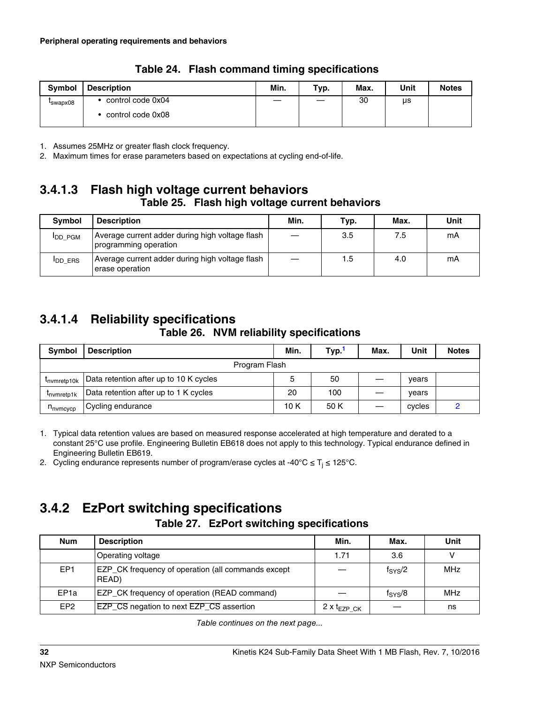<span id="page-31-0"></span>

| <b>Symbol</b>        | <b>Description</b> | Min. | Typ. | Max. | Unit | <b>Notes</b> |
|----------------------|--------------------|------|------|------|------|--------------|
| I <sub>swapx08</sub> | control code 0x04  |      |      | 30   | μs   |              |
|                      | control code 0x08  |      |      |      |      |              |

**Table 24. Flash command timing specifications**

1. Assumes 25MHz or greater flash clock frequency.

2. Maximum times for erase parameters based on expectations at cycling end-of-life.

### **3.4.1.3 Flash high voltage current behaviors Table 25. Flash high voltage current behaviors**

| <b>Symbol</b>   | <b>Description</b>                                                       | Min. | Typ. | Max. | Unit |
|-----------------|--------------------------------------------------------------------------|------|------|------|------|
| <b>I</b> DD PGM | Average current adder during high voltage flash<br>programming operation |      | 3.5  | 7.5  | mA   |
| <b>I</b> DD ERS | Average current adder during high voltage flash<br>erase operation       |      | 1.5  | 4.0  | mА   |

## **3.4.1.4 Reliability specifications**

### **Table 26. NVM reliability specifications**

| <b>Symbol</b>        | <b>Description</b>                     | Min. | Typ. | Max. | Unit   | <b>Notes</b> |  |
|----------------------|----------------------------------------|------|------|------|--------|--------------|--|
| Program Flash        |                                        |      |      |      |        |              |  |
| Invmretp10k          | Data retention after up to 10 K cycles |      | 50   |      | vears  |              |  |
| Invmretp1k           | Data retention after up to 1 K cycles  | 20   | 100  |      | vears  |              |  |
| $n_{\text{nvmcvcp}}$ | Cycling endurance                      | 10 K | 50 K |      | cycles |              |  |

1. Typical data retention values are based on measured response accelerated at high temperature and derated to a constant 25°C use profile. Engineering Bulletin EB618 does not apply to this technology. Typical endurance defined in Engineering Bulletin EB619.

2. Cycling endurance represents number of program/erase cycles at -40°C  $\leq$  T<sub>j</sub>  $\leq$  125°C.

# **3.4.2 EzPort switching specifications**

### **Table 27. EzPort switching specifications**

| <b>Num</b>       | <b>Description</b>                                                 | Min.                      | Max.             | Unit |
|------------------|--------------------------------------------------------------------|---------------------------|------------------|------|
|                  | Operating voltage                                                  | 1.71                      | 3.6              |      |
| EP <sub>1</sub>  | <b>EZP</b> CK frequency of operation (all commands except<br>READ) |                           | $f_{\rm{SYS}}/2$ | MHz  |
| EP <sub>1a</sub> | EZP_CK frequency of operation (READ command)                       |                           | $f_{\rm{SYS}}/8$ | MHz  |
| EP <sub>2</sub>  | EZP_CS negation to next EZP_CS assertion                           | 2 $x$ t <sub>EZP CK</sub> |                  | ns   |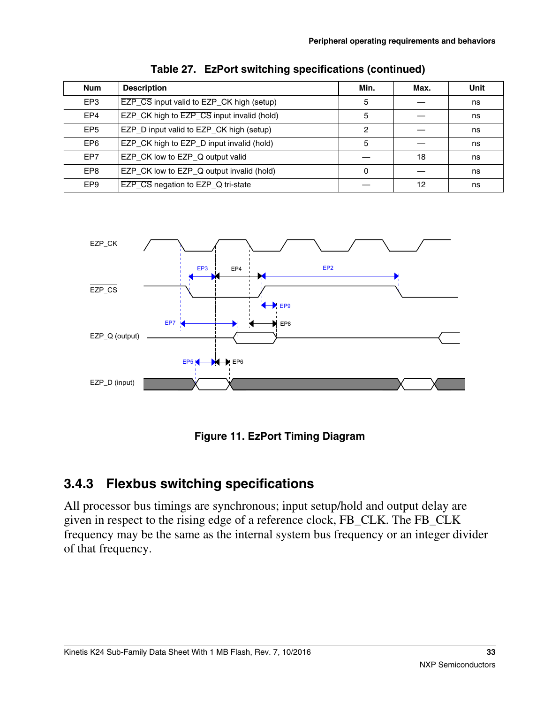<span id="page-32-0"></span>

| <b>Num</b>      | <b>Description</b>                         | Min. | Max. | Unit |
|-----------------|--------------------------------------------|------|------|------|
| EP <sub>3</sub> | EZP_CS input valid to EZP_CK high (setup)  | 5    |      | ns   |
| EP4             | EZP_CK high to EZP_CS input invalid (hold) | 5    |      | ns   |
| EP <sub>5</sub> | EZP_D input valid to EZP_CK high (setup)   | 2    |      | ns   |
| EP <sub>6</sub> | EZP_CK high to EZP_D input invalid (hold)  | 5    |      | ns   |
| EP7             | EZP_CK low to EZP_Q output valid           |      | 18   | ns   |
| EP <sub>8</sub> | EZP_CK low to EZP_Q output invalid (hold)  | 0    |      | ns   |
| EP <sub>9</sub> | EZP_CS negation to EZP_Q tri-state         |      | 12   | ns   |







## **3.4.3 Flexbus switching specifications**

All processor bus timings are synchronous; input setup/hold and output delay are given in respect to the rising edge of a reference clock, FB\_CLK. The FB\_CLK frequency may be the same as the internal system bus frequency or an integer divider of that frequency.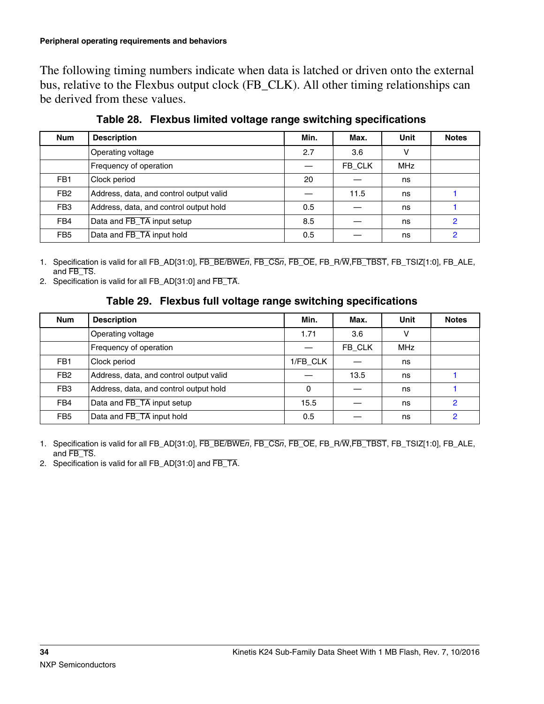The following timing numbers indicate when data is latched or driven onto the external bus, relative to the Flexbus output clock (FB\_CLK). All other timing relationships can be derived from these values.

| <b>Num</b>      | <b>Description</b>                      | Min. | Max.   | Unit       | <b>Notes</b> |
|-----------------|-----------------------------------------|------|--------|------------|--------------|
|                 | Operating voltage                       | 2.7  | 3.6    | v          |              |
|                 | Frequency of operation                  |      | FB CLK | <b>MHz</b> |              |
| FB <sub>1</sub> | Clock period                            | 20   |        | ns         |              |
| FB <sub>2</sub> | Address, data, and control output valid |      | 11.5   | ns         |              |
| FB <sub>3</sub> | Address, data, and control output hold  | 0.5  |        | ns         |              |
| FB4             | Data and FB_TA input setup              | 8.5  |        | ns         | 2            |
| FB <sub>5</sub> | Data and FB_TA input hold               | 0.5  |        | ns         | 2            |

**Table 28. Flexbus limited voltage range switching specifications**

1. Specification is valid for all FB\_AD[31:0], FB\_BE/BWE*n*, FB\_CS*n*, FB\_OE, FB\_R/W,FB\_TBST, FB\_TSIZ[1:0], FB\_ALE, and FB\_TS.

2. Specification is valid for all FB\_AD[31:0] and FB\_TA.

### **Table 29. Flexbus full voltage range switching specifications**

| <b>Num</b>      | <b>Description</b>                      | Min.         | Max.   | Unit       | <b>Notes</b> |
|-----------------|-----------------------------------------|--------------|--------|------------|--------------|
|                 | Operating voltage                       | 1.71         | 3.6    | v          |              |
|                 | Frequency of operation                  |              | FB CLK | <b>MHz</b> |              |
| FB <sub>1</sub> | Clock period                            | 1/FB CLK     |        | ns         |              |
| FB <sub>2</sub> | Address, data, and control output valid |              | 13.5   | ns         |              |
| FB <sub>3</sub> | Address, data, and control output hold  | $\mathbf{0}$ |        | ns         |              |
| FB4             | Data and FB_TA input setup              | 15.5         |        | ns         | 2            |
| FB <sub>5</sub> | Data and FB_TA input hold               | 0.5          |        | ns         | 2            |

1. Specification is valid for all FB\_AD[31:0], FB\_BE/BWE*n*, FB\_CS*n*, FB\_OE, FB\_R/W,FB\_TBST, FB\_TSIZ[1:0], FB\_ALE, and FB\_TS.

2. Specification is valid for all FB\_AD[31:0] and FB\_TA.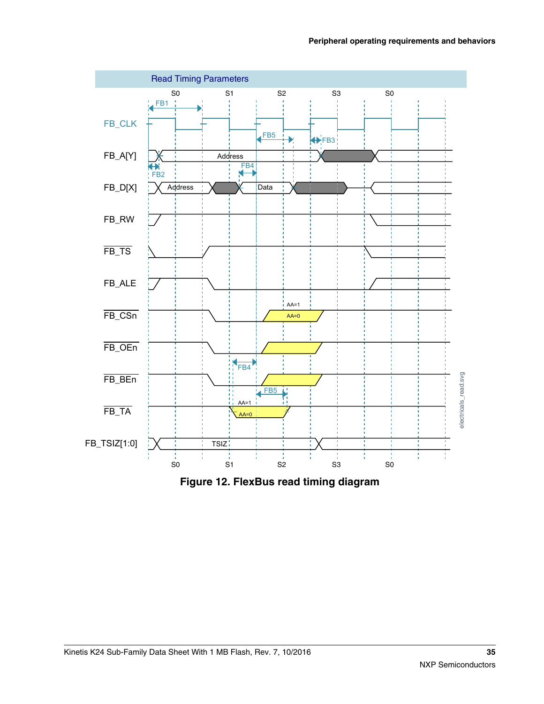

**Figure 12. FlexBus read timing diagram**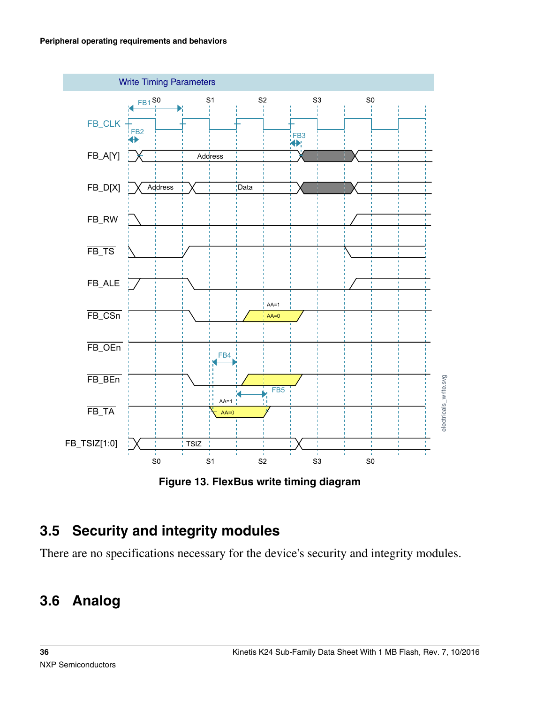<span id="page-35-0"></span>

**Figure 13. FlexBus write timing diagram**

# **3.5 Security and integrity modules**

There are no specifications necessary for the device's security and integrity modules.

# **3.6 Analog**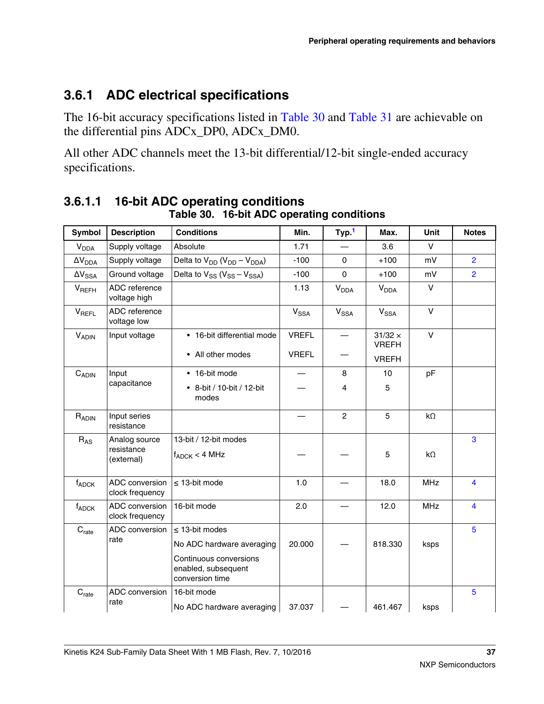## **3.6.1 ADC electrical specifications**

The 16-bit accuracy specifications listed in Table 30 and [Table 31](#page-37-0) are achievable on the differential pins ADCx\_DP0, ADCx\_DM0.

All other ADC channels meet the 13-bit differential/12-bit single-ended accuracy specifications.

| <b>Symbol</b>              | <b>Description</b>                        | <b>Conditions</b>                                                | Min.         | Typ. <sup>1</sup>      | Max.                           | Unit       | <b>Notes</b>            |
|----------------------------|-------------------------------------------|------------------------------------------------------------------|--------------|------------------------|--------------------------------|------------|-------------------------|
| $V_{DDA}$                  | Supply voltage                            | Absolute                                                         | 1.71         |                        | 3.6                            | $\vee$     |                         |
| $\Delta V_{DDA}$           | Supply voltage                            | Delta to $V_{DD}$ ( $V_{DD} - V_{DDA}$ )                         | $-100$       | 0                      | $+100$                         | mV         | $\overline{2}$          |
| $\Delta V_{SSA}$           | Ground voltage                            | Delta to $V_{SS}$ ( $V_{SS} - V_{SSA}$ )                         | $-100$       | $\mathbf 0$            | $+100$                         | mV         | $\overline{2}$          |
| <b>V<sub>REFH</sub></b>    | ADC reference<br>voltage high             |                                                                  | 1.13         | $V_{DDA}$              | <b>V<sub>DDA</sub></b>         | $\vee$     |                         |
| <b>V<sub>REFL</sub></b>    | ADC reference<br>voltage low              |                                                                  | $V_{SSA}$    | <b>V<sub>SSA</sub></b> | V <sub>SSA</sub>               | $\vee$     |                         |
| <b>VADIN</b>               | Input voltage                             | • 16-bit differential mode                                       | <b>VREFL</b> |                        | $31/32 \times$<br><b>VREFH</b> | $\vee$     |                         |
|                            |                                           | • All other modes                                                | <b>VREFL</b> |                        | <b>VREFH</b>                   |            |                         |
| $C_{ADIN}$                 | Input                                     | • 16-bit mode                                                    |              | 8                      | 10                             | pF         |                         |
|                            | capacitance                               | • 8-bit / 10-bit / 12-bit<br>modes                               |              | 4                      | 5                              |            |                         |
| RADIN                      | Input series<br>resistance                |                                                                  |              | $\mathfrak{p}$         | 5                              | $k\Omega$  |                         |
| $R_{AS}$                   | Analog source<br>resistance<br>(external) | 13-bit / 12-bit modes<br>$f_{ADC}$ < 4 MHz                       |              |                        | 5                              | $k\Omega$  | 3                       |
| $f_{ADC}$                  | ADC conversion<br>clock frequency         | $\leq$ 13-bit mode                                               | 1.0          |                        | 18.0                           | <b>MHz</b> | $\overline{\mathbf{4}}$ |
| $f_{ADC}$                  | ADC conversion<br>clock frequency         | 16-bit mode                                                      | 2.0          |                        | 12.0                           | <b>MHz</b> | $\overline{\mathbf{4}}$ |
| C <sub>rate</sub>          | ADC conversion                            | $\leq$ 13-bit modes                                              |              |                        |                                |            | 5                       |
|                            | rate                                      | No ADC hardware averaging                                        | 20.000       |                        | 818.330                        | ksps       |                         |
|                            |                                           | Continuous conversions<br>enabled, subsequent<br>conversion time |              |                        |                                |            |                         |
| $\mathbf{C}_{\text{rate}}$ | ADC conversion                            | 16-bit mode                                                      |              |                        |                                |            | 5                       |
|                            | rate                                      | No ADC hardware averaging                                        | 37.037       |                        | 461.467                        | ksps       |                         |

#### **3.6.1.1 16-bit ADC operating conditions Table 30. 16-bit ADC operating conditions**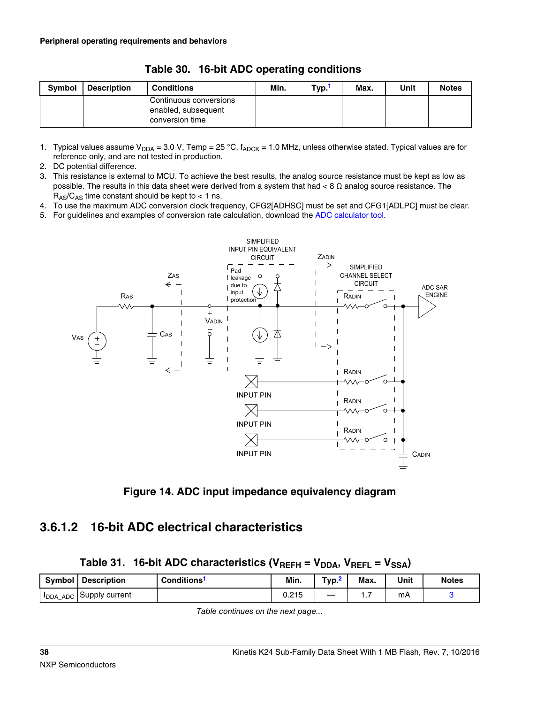<span id="page-37-0"></span>

| <b>Symbol</b> | <b>Description</b> | <b>Conditions</b>                                                | Min. | Typ. | Max. | Unit | <b>Notes</b> |
|---------------|--------------------|------------------------------------------------------------------|------|------|------|------|--------------|
|               |                    | Continuous conversions<br>enabled, subsequent<br>conversion time |      |      |      |      |              |

**Table 30. 16-bit ADC operating conditions**

1. Typical values assume V<sub>DDA</sub> = 3.0 V, Temp = 25 °C,  $f_{ADC}$  = 1.0 MHz, unless otherwise stated. Typical values are for reference only, and are not tested in production.

2. DC potential difference.

- 3. This resistance is external to MCU. To achieve the best results, the analog source resistance must be kept as low as possible. The results in this data sheet were derived from a system that had  $< 8 \Omega$  analog source resistance. The  $R_{AS}/C_{AS}$  time constant should be kept to < 1 ns.
- 4. To use the maximum ADC conversion clock frequency, CFG2[ADHSC] must be set and CFG1[ADLPC] must be clear.

5. For guidelines and examples of conversion rate calculation, download the [ADC calculator tool](http://cache.freescale.com/files/soft_dev_tools/software/app_software/converters/ADC_CALCULATOR_CNV.zip?fpsp=1).



**Figure 14. ADC input impedance equivalency diagram**

### **3.6.1.2 16-bit ADC electrical characteristics**

|  |  | Table 31. 16-bit ADC characteristics ( $V_{REFH} = V_{DDA}$ , $V_{REFL} = V_{SSA}$ ) |  |  |  |  |
|--|--|--------------------------------------------------------------------------------------|--|--|--|--|
|--|--|--------------------------------------------------------------------------------------|--|--|--|--|

| Symbol          | <b>I</b> Description | Conditions <sup>1</sup> | Min.  | Typ. | Max. | Unit | <b>Notes</b> |
|-----------------|----------------------|-------------------------|-------|------|------|------|--------------|
| <b>IDDA_ADC</b> | Supply current       |                         | 0.215 |      | .    | m∧   |              |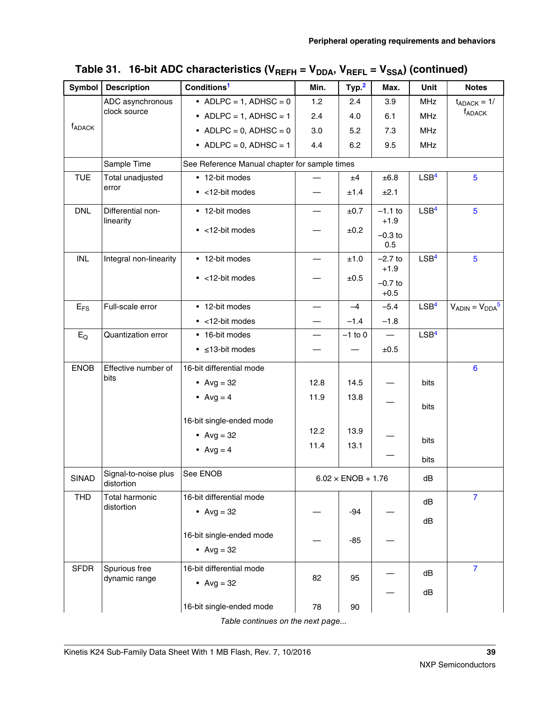| Symbol             | <b>Description</b>                            | Conditions <sup>1</sup>       | Min.                                          | Typ. <sup>2</sup>         | Max.                | Unit             | <b>Notes</b>           |  |  |  |
|--------------------|-----------------------------------------------|-------------------------------|-----------------------------------------------|---------------------------|---------------------|------------------|------------------------|--|--|--|
|                    | ADC asynchronous                              | • ADLPC = 1, ADHSC = $0$      | 1.2                                           | 2.4                       | 3.9                 | <b>MHz</b>       | $t_{ADACK} = 1/$       |  |  |  |
|                    | clock source                                  | • ADLPC = 1, ADHSC = 1        | 2.4                                           | 4.0                       | 6.1                 | MHz              | <b>f</b> ADACK         |  |  |  |
| f <sub>ADACK</sub> |                                               | • ADLPC = 0, ADHSC = $0$      | 3.0                                           | 5.2                       | 7.3                 | <b>MHz</b>       |                        |  |  |  |
|                    |                                               | • ADLPC = $0$ , ADHSC = 1     | 4.4                                           | 6.2                       | 9.5                 | <b>MHz</b>       |                        |  |  |  |
|                    | Sample Time                                   |                               | See Reference Manual chapter for sample times |                           |                     |                  |                        |  |  |  |
| <b>TUE</b>         | Total unadjusted                              | • 12-bit modes                |                                               | ±4                        | $\pm 6.8$           | LSB <sup>4</sup> | 5                      |  |  |  |
|                    | error                                         | $\bullet$ <12-bit modes       |                                               | ±1.4                      | ±2.1                |                  |                        |  |  |  |
| <b>DNL</b>         | Differential non-<br>linearity                | • 12-bit modes                |                                               | ±0.7                      | $-1.1$ to<br>$+1.9$ | LSB <sup>4</sup> | 5                      |  |  |  |
|                    |                                               | $\bullet$ <12-bit modes       |                                               | ±0.2                      | $-0.3$ to<br>0.5    |                  |                        |  |  |  |
| <b>INL</b>         | Integral non-linearity                        | • 12-bit modes                |                                               | ±1.0                      | $-2.7$ to<br>$+1.9$ | LSB <sup>4</sup> | 5                      |  |  |  |
|                    |                                               | $\bullet$ <12-bit modes       |                                               | ±0.5                      | $-0.7$ to<br>$+0.5$ |                  |                        |  |  |  |
| $E_{FS}$           | Full-scale error                              | • 12-bit modes                |                                               | $-4$                      | $-5.4$              | LSB <sup>4</sup> | $V_{ADIN} = V_{DDA}^5$ |  |  |  |
|                    |                                               | $\bullet$ <12-bit modes       |                                               | $-1.4$                    | $-1.8$              |                  |                        |  |  |  |
| $E_Q$              | Quantization error                            | • 16-bit modes                |                                               | $-1$ to 0                 | $\qquad \qquad -$   | LSB <sup>4</sup> |                        |  |  |  |
|                    |                                               | $\bullet$ $\leq$ 13-bit modes |                                               |                           | ±0.5                |                  |                        |  |  |  |
| <b>ENOB</b>        | Effective number of                           | 16-bit differential mode      |                                               |                           |                     |                  | 6                      |  |  |  |
|                    | bits                                          | • $Avg = 32$                  | 12.8                                          | 14.5                      |                     | bits             |                        |  |  |  |
|                    |                                               | • $Avg = 4$                   | 11.9                                          | 13.8                      |                     |                  |                        |  |  |  |
|                    |                                               |                               |                                               |                           |                     | bits             |                        |  |  |  |
|                    |                                               | 16-bit single-ended mode      | 12.2                                          | 13.9                      |                     |                  |                        |  |  |  |
|                    |                                               | • $Avg = 32$                  | 11.4                                          | 13.1                      |                     | bits             |                        |  |  |  |
|                    |                                               | • $Avg = 4$                   |                                               |                           |                     | bits             |                        |  |  |  |
| SINAD              | Signal-to-noise plus   See ENOB<br>distortion |                               |                                               | $6.02 \times$ ENOB + 1.76 |                     | dB               |                        |  |  |  |
| <b>THD</b>         | <b>Total harmonic</b>                         | 16-bit differential mode      |                                               |                           |                     | dB               | $\overline{7}$         |  |  |  |
|                    | distortion                                    | • $Avg = 32$                  |                                               | $-94$                     |                     | dB               |                        |  |  |  |
|                    |                                               | 16-bit single-ended mode      |                                               |                           |                     |                  |                        |  |  |  |
|                    |                                               | • $Avg = 32$                  |                                               | -85                       |                     |                  |                        |  |  |  |
| <b>SFDR</b>        | Spurious free                                 | 16-bit differential mode      |                                               |                           |                     | dB               | $\overline{7}$         |  |  |  |
|                    | dynamic range                                 | • Avg = $32$                  | 82                                            | 95                        |                     |                  |                        |  |  |  |
|                    |                                               |                               |                                               |                           |                     | dB               |                        |  |  |  |
|                    |                                               | 16-bit single-ended mode      | 78                                            | 90                        |                     |                  |                        |  |  |  |

Table 31. 16-bit ADC characteristics (V<sub>REFH</sub> = V<sub>DDA</sub>, V<sub>REFL</sub> = V<sub>SSA</sub>) (continued)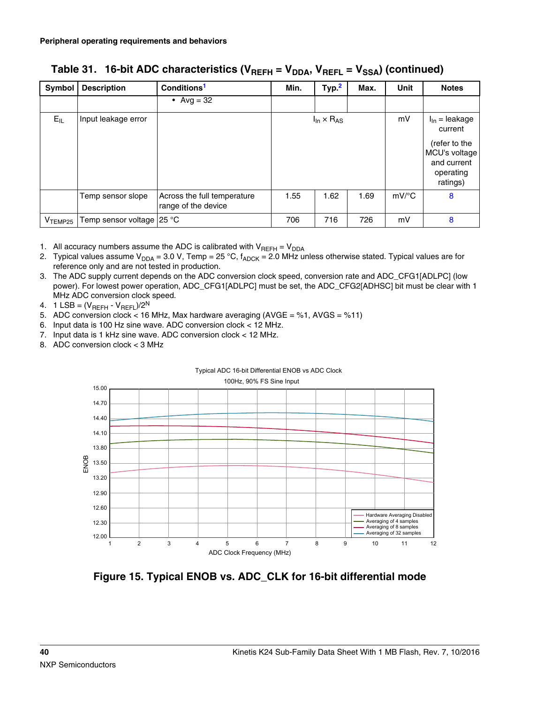| Symbol     | <b>Description</b>                 | Conditions <sup>1</sup>                            | Min. | Type <sup>2</sup>                    | Max. | <b>Unit</b>                          | <b>Notes</b>                                                           |
|------------|------------------------------------|----------------------------------------------------|------|--------------------------------------|------|--------------------------------------|------------------------------------------------------------------------|
|            |                                    | • Avg = $32$                                       |      |                                      |      |                                      |                                                                        |
| $E_{IL}$   | Input leakage error                |                                                    |      | $I_{\text{In}} \times R_{\text{AS}}$ | mV   | $I_{\text{In}}$ = leakage<br>current |                                                                        |
|            |                                    |                                                    |      |                                      |      |                                      | (refer to the<br>MCU's voltage<br>and current<br>operating<br>ratings) |
|            | Temp sensor slope                  | Across the full temperature<br>range of the device | 1.55 | 1.62                                 | 1.69 | $mV$ <sup>o</sup> C                  | 8                                                                      |
| $V$ TEMP25 | Temp sensor voltage $25^{\circ}$ C |                                                    | 706  | 716                                  | 726  | mV                                   | 8                                                                      |

<span id="page-39-0"></span>Table 31. 16-bit ADC characteristics (V<sub>REFH</sub> = V<sub>DDA</sub>, V<sub>REFL</sub> = V<sub>SSA</sub>) (continued)

1. All accuracy numbers assume the ADC is calibrated with  $V_{REFH} = V_{DDA}$ 

- 2. Typical values assume V<sub>DDA</sub> = 3.0 V, Temp = 25 °C,  $f_{ADC}$  = 2.0 MHz unless otherwise stated. Typical values are for reference only and are not tested in production.
- 3. The ADC supply current depends on the ADC conversion clock speed, conversion rate and ADC\_CFG1[ADLPC] (low power). For lowest power operation, ADC\_CFG1[ADLPC] must be set, the ADC\_CFG2[ADHSC] bit must be clear with 1 MHz ADC conversion clock speed.
- 4. 1 LSB =  $(V_{REFH} V_{REFL})/2^N$
- 5. ADC conversion clock < 16 MHz, Max hardware averaging (AVGE = %1, AVGS = %11)
- 6. Input data is 100 Hz sine wave. ADC conversion clock < 12 MHz.
- 7. Input data is 1 kHz sine wave. ADC conversion clock < 12 MHz.
- 8. ADC conversion clock < 3 MHz





**Figure 15. Typical ENOB vs. ADC\_CLK for 16-bit differential mode**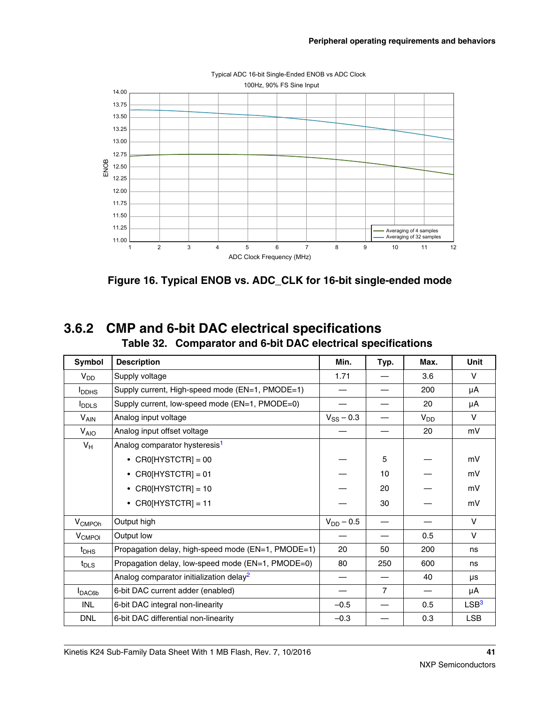

**Figure 16. Typical ENOB vs. ADC\_CLK for 16-bit single-ended mode**

### **3.6.2 CMP and 6-bit DAC electrical specifications Table 32. Comparator and 6-bit DAC electrical specifications**

| Symbol                   | <b>Description</b>                                  | Min.           | Typ.           | Max.     | Unit             |
|--------------------------|-----------------------------------------------------|----------------|----------------|----------|------------------|
| $V_{DD}$                 | Supply voltage                                      | 1.71           |                | 3.6      | $\vee$           |
| <b>I</b> <sub>DDHS</sub> | Supply current, High-speed mode (EN=1, PMODE=1)     |                |                | 200      | μA               |
| $I_{\text{DDLS}}$        | Supply current, low-speed mode (EN=1, PMODE=0)      |                |                | 20       | μA               |
| $V_{AIN}$                | Analog input voltage                                | $V_{SS}$ – 0.3 |                | $V_{DD}$ | v                |
| $V_{AIO}$                | Analog input offset voltage                         |                |                | 20       | mV               |
| $V_H$                    | Analog comparator hysteresis <sup>1</sup>           |                |                |          |                  |
|                          | • CR0[HYSTCTR] = 00                                 |                | 5              |          | mV               |
|                          | $CRO[HYSTCTR] = 01$<br>$\bullet$                    |                | 10             |          | mV               |
|                          | • CR0[HYSTCTR] = 10                                 |                | 20             |          | mV               |
|                          | $CRO[HYSTCTR] = 11$                                 |                | 30             |          | mV               |
| V <sub>CMPOh</sub>       | Output high                                         | $V_{DD} - 0.5$ |                |          | $\vee$           |
| V <sub>CMPOI</sub>       | Output low                                          |                |                | 0.5      | $\vee$           |
| $t_{\text{DHS}}$         | Propagation delay, high-speed mode (EN=1, PMODE=1)  | 20             | 50             | 200      | ns               |
| $t_{\text{DLS}}$         | Propagation delay, low-speed mode (EN=1, PMODE=0)   | 80             | 250            | 600      | ns               |
|                          | Analog comparator initialization delay <sup>2</sup> |                |                | 40       | μs               |
| $I_{\text{DAC6b}}$       | 6-bit DAC current adder (enabled)                   |                | $\overline{7}$ |          | μA               |
| <b>INL</b>               | 6-bit DAC integral non-linearity                    | $-0.5$         |                | 0.5      | LSB <sup>3</sup> |
| <b>DNL</b>               | 6-bit DAC differential non-linearity                | $-0.3$         |                | 0.3      | <b>LSB</b>       |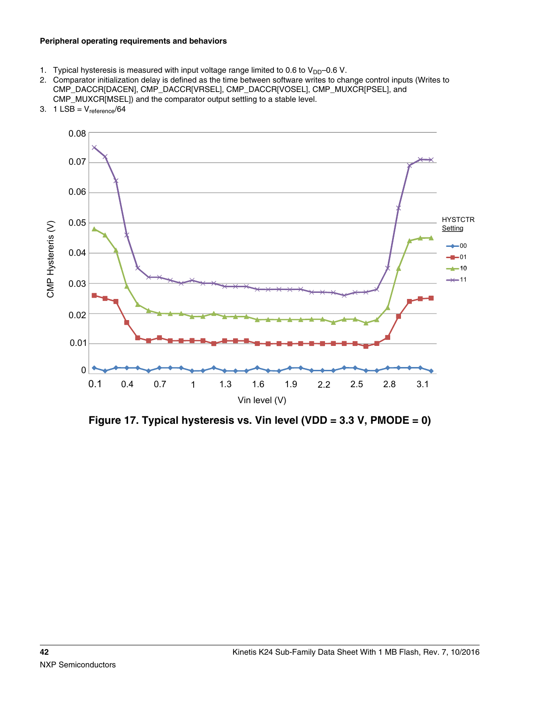#### <span id="page-41-0"></span>**Peripheral operating requirements and behaviors**

- 1. Typical hysteresis is measured with input voltage range limited to 0.6 to  $V_{DD}$ –0.6 V.
- 2. Comparator initialization delay is defined as the time between software writes to change control inputs (Writes to CMP\_DACCR[DACEN], CMP\_DACCR[VRSEL], CMP\_DACCR[VOSEL], CMP\_MUXCR[PSEL], and CMP\_MUXCR[MSEL]) and the comparator output settling to a stable level.



3.  $1$  LSB =  $V_{reference}/64$ 

**Figure 17. Typical hysteresis vs. Vin level (VDD = 3.3 V, PMODE = 0)**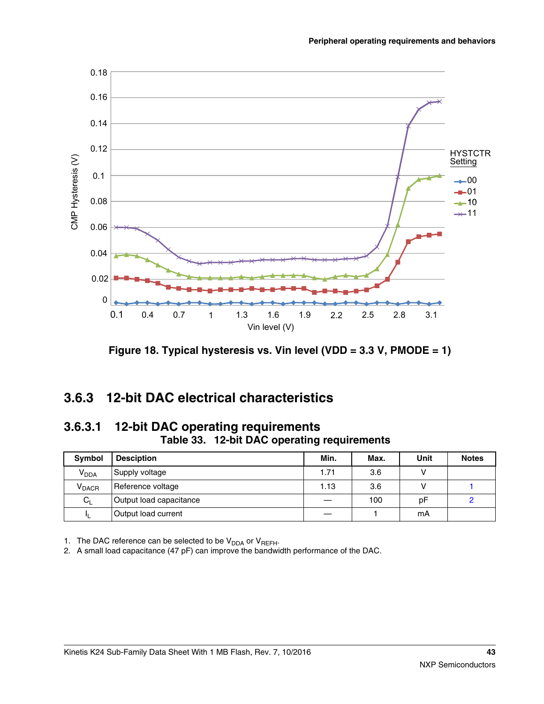

**Figure 18. Typical hysteresis vs. Vin level (VDD = 3.3 V, PMODE = 1)**

### **3.6.3 12-bit DAC electrical characteristics**

#### **3.6.3.1 12-bit DAC operating requirements Table 33. 12-bit DAC operating requirements**

| <b>Symbol</b>            | <b>Desciption</b>       | Min. | Max. | Unit | <b>Notes</b> |
|--------------------------|-------------------------|------|------|------|--------------|
| <b>V<sub>DDA</sub></b>   | Supply voltage          | 1.71 | 3.6  |      |              |
| <b>V</b> <sub>DACR</sub> | Reference voltage       | 1.13 | 3.6  |      |              |
| $C_{L}$                  | Output load capacitance |      | 100  | рF   |              |
| IL.                      | Output load current     |      |      | mA   |              |

1. The DAC reference can be selected to be  $V_{DDA}$  or  $V_{REFH}$ .

2. A small load capacitance (47 pF) can improve the bandwidth performance of the DAC.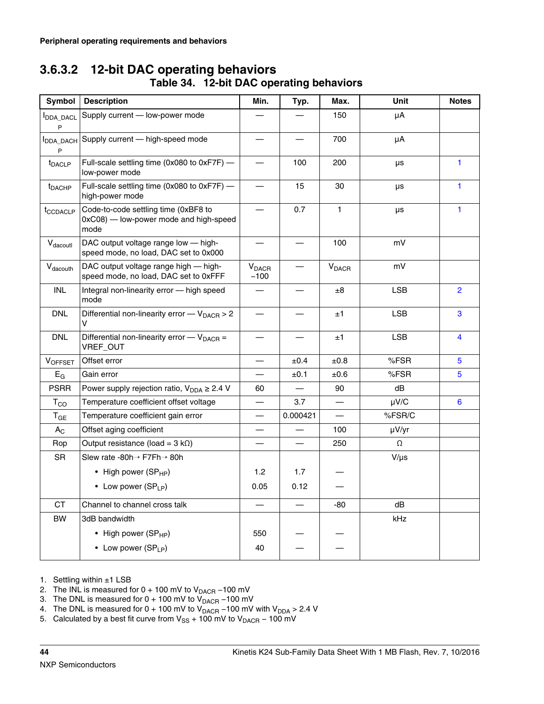### **3.6.3.2 12-bit DAC operating behaviors Table 34. 12-bit DAC operating behaviors**

| Symbol                    | <b>Description</b>                                                                     | Min.                               | Typ.     | Max.                     | Unit       | <b>Notes</b>            |
|---------------------------|----------------------------------------------------------------------------------------|------------------------------------|----------|--------------------------|------------|-------------------------|
| <b>I</b> DDA_DACL<br>P    | Supply current - low-power mode                                                        |                                    |          | 150                      | μA         |                         |
| <b>I</b> DDA_DACH<br>P    | Supply current - high-speed mode                                                       |                                    |          | 700                      | μA         |                         |
| t <sub>DACLP</sub>        | Full-scale settling time (0x080 to 0xF7F) -<br>low-power mode                          |                                    | 100      | 200                      | μs         | 1                       |
| <b>t</b> <sub>DACHP</sub> | Full-scale settling time (0x080 to 0xF7F) -<br>high-power mode                         |                                    | 15       | 30                       | μs         | 1                       |
| t <sub>CCDACLP</sub>      | Code-to-code settling time (0xBF8 to<br>0xC08) - low-power mode and high-speed<br>mode |                                    | 0.7      | 1.                       | μs         | 1                       |
| V <sub>dacoutl</sub>      | DAC output voltage range low - high-<br>speed mode, no load, DAC set to 0x000          | —                                  |          | 100                      | mV         |                         |
| $V_{\text{dacouth}}$      | DAC output voltage range high - high-<br>speed mode, no load, DAC set to 0xFFF         | <b>V</b> <sub>DACR</sub><br>$-100$ |          | $V_{DACH}$               | mV         |                         |
| INL                       | Integral non-linearity error - high speed<br>mode                                      |                                    |          | ±8                       | <b>LSB</b> | $\overline{2}$          |
| <b>DNL</b>                | Differential non-linearity error $-V_{\text{DACH}} > 2$<br>v                           | $\overline{\phantom{0}}$           |          | ±1                       | <b>LSB</b> | 3                       |
| <b>DNL</b>                | Differential non-linearity error $-V_{\text{DACH}} =$<br>VREF_OUT                      |                                    |          | ±1                       | <b>LSB</b> | $\overline{\mathbf{4}}$ |
| <b>VOFFSET</b>            | Offset error                                                                           | $\overline{\phantom{0}}$           | ±0.4     | $\pm 0.8$                | %FSR       | 5                       |
| $E_G$                     | Gain error                                                                             |                                    | ±0.1     | $\pm 0.6$                | %FSR       | 5                       |
| <b>PSRR</b>               | Power supply rejection ratio, $V_{DDA} \geq 2.4 V$                                     | 60                                 |          | 90                       | dB         |                         |
| $T_{CO}$                  | Temperature coefficient offset voltage                                                 |                                    | 3.7      | $\overline{\phantom{0}}$ | $\mu$ V/C  | 6                       |
| $T_{GE}$                  | Temperature coefficient gain error                                                     |                                    | 0.000421 |                          | %FSR/C     |                         |
| $A_{C}$                   | Offset aging coefficient                                                               |                                    |          | 100                      | µV/yr      |                         |
| Rop                       | Output resistance (load = $3 k\Omega$ )                                                |                                    |          | 250                      | Ω          |                         |
| <b>SR</b>                 | Slew rate -80h→ F7Fh→ 80h                                                              |                                    |          |                          | $V/\mu s$  |                         |
|                           | • High power $(SP_{HP})$                                                               | 1.2                                | 1.7      |                          |            |                         |
|                           | • Low power (SP <sub>LP</sub> )                                                        | 0.05                               | 0.12     |                          |            |                         |
| <b>CT</b>                 | Channel to channel cross talk                                                          |                                    |          | -80                      | dB         |                         |
| <b>BW</b>                 | 3dB bandwidth                                                                          |                                    |          |                          | kHz        |                         |
|                           | • High power (SP <sub>HP</sub> )                                                       | 550                                |          |                          |            |                         |
|                           | • Low power (SP <sub>LP</sub> )                                                        | 40                                 |          |                          |            |                         |

1. Settling within ±1 LSB

2. The INL is measured for  $0 + 100$  mV to  $V_{\text{DACH}} - 100$  mV

3. The DNL is measured for  $0 + 100$  mV to  $V_{\text{DACH}} - 100$  mV

- 4. The DNL is measured for 0 + 100 mV to V<sub>DACR</sub> −100 mV with V<sub>DDA</sub> > 2.4 V
- 5. Calculated by a best fit curve from V<sub>SS</sub> + 100 mV to V<sub>DACR</sub> 100 mV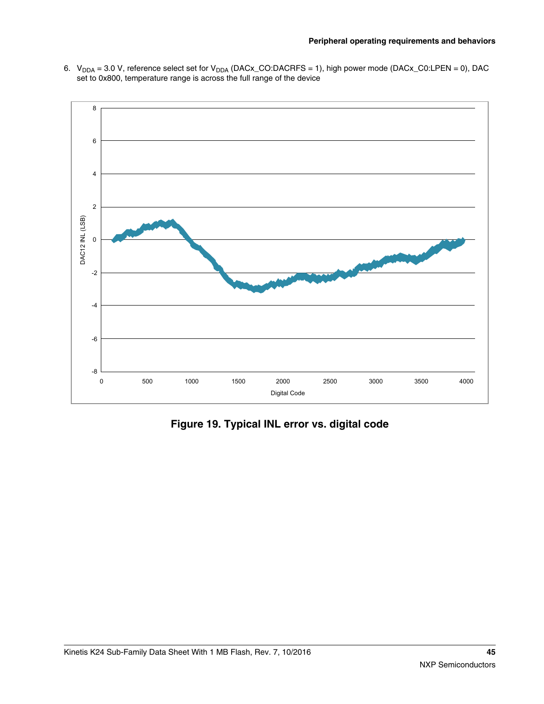<span id="page-44-0"></span>6.  $\rm V_{DDA}$  = 3.0 V, reference select set for  $\rm V_{DDA}$  (DACx\_CO:DACRFS = 1), high power mode (DACx\_C0:LPEN = 0), DAC set to 0x800, temperature range is across the full range of the device



**Figure 19. Typical INL error vs. digital code**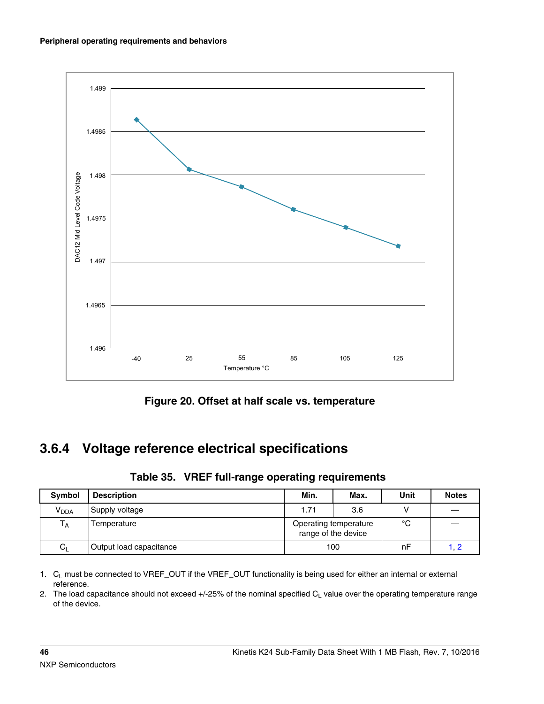

**Figure 20. Offset at half scale vs. temperature**

# **3.6.4 Voltage reference electrical specifications**

|  | Table 35. VREF full-range operating requirements |  |  |  |
|--|--------------------------------------------------|--|--|--|
|--|--------------------------------------------------|--|--|--|

| Symbol                  | <b>Description</b>      | Min.<br>Max.                                 |     | Unit | <b>Notes</b> |
|-------------------------|-------------------------|----------------------------------------------|-----|------|--------------|
| $V_{DDA}$               | Supply voltage          | 1.71                                         | 3.6 |      |              |
| $\mathsf{T}_\mathsf{A}$ | Temperature             | Operating temperature<br>range of the device |     | °C   |              |
| $C_L$                   | Output load capacitance | 100                                          |     | nF   | 1. 2         |

1. C<sub>L</sub> must be connected to VREF\_OUT if the VREF\_OUT functionality is being used for either an internal or external reference.

2. The load capacitance should not exceed  $+/-25%$  of the nominal specified  $C_L$  value over the operating temperature range of the device.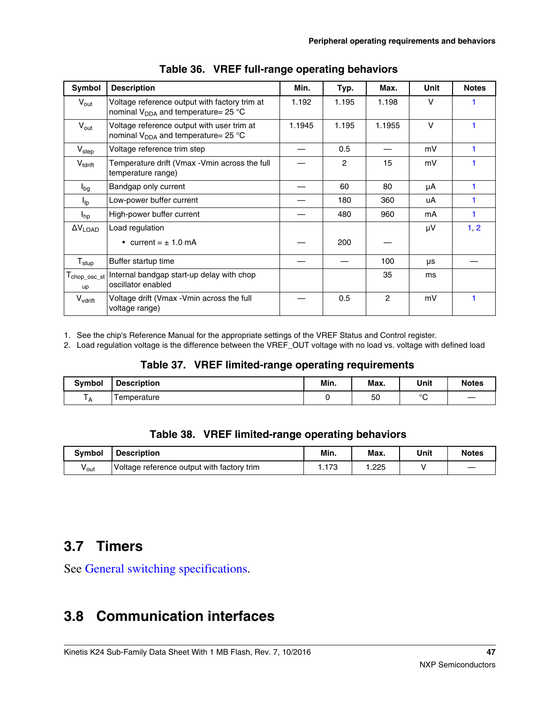| Symbol                        | <b>Description</b>                                                                               | Min.   | Typ.           | Max.   | Unit   | <b>Notes</b> |
|-------------------------------|--------------------------------------------------------------------------------------------------|--------|----------------|--------|--------|--------------|
| $V_{\text{out}}$              | Voltage reference output with factory trim at<br>nominal V <sub>DDA</sub> and temperature= 25 °C | 1.192  | 1.195          | 1.198  | $\vee$ |              |
| $V_{\text{out}}$              | Voltage reference output with user trim at<br>nominal V <sub>DDA</sub> and temperature= 25 °C    | 1.1945 | 1.195          | 1.1955 | $\vee$ |              |
| V <sub>step</sub>             | Voltage reference trim step                                                                      |        | 0.5            |        | mV     |              |
| $V_{\text{torift}}$           | Temperature drift (Vmax - Vmin across the full<br>temperature range)                             |        | $\overline{2}$ | 15     | mV     |              |
| $I_{bg}$                      | Bandgap only current                                                                             |        | 60             | 80     | μA     |              |
| $I_{\text{lp}}$               | Low-power buffer current                                                                         |        | 180            | 360    | uA     |              |
| $I_{hp}$                      | High-power buffer current                                                                        |        | 480            | 960    | mA     |              |
| $\Delta V_{\text{LOAD}}$      | Load regulation                                                                                  |        |                |        | μV     | 1, 2         |
|                               | • current = $\pm$ 1.0 mA                                                                         |        | 200            |        |        |              |
| ${\mathsf T}_{\textsf{stup}}$ | Buffer startup time                                                                              |        |                | 100    | μs     |              |
| $T_{\sf chop\_osc\_st}$<br>up | Internal bandgap start-up delay with chop<br>oscillator enabled                                  |        |                | 35     | ms     |              |
| $V_{\text{vdrift}}$           | Voltage drift (Vmax - Vmin across the full<br>voltage range)                                     |        | 0.5            | 2      | mV     |              |

1. See the chip's Reference Manual for the appropriate settings of the VREF Status and Control register.

2. Load regulation voltage is the difference between the VREF\_OUT voltage with no load vs. voltage with defined load

#### **Table 37. VREF limited-range operating requirements**

| <b>Symbol</b> | <b>Description</b> | Min. | Max. | Unit    | <b>Notes</b>             |
|---------------|--------------------|------|------|---------|--------------------------|
| A             | emperature         |      | 50   | $\circ$ | $\overline{\phantom{a}}$ |

### **Table 38. VREF limited-range operating behaviors**

| <b>Symbol</b>    | <b>Description</b>                         | Min.      | Max. | Unit | <b>Notes</b>             |
|------------------|--------------------------------------------|-----------|------|------|--------------------------|
| v <sub>out</sub> | Voltage reference output with factory trim | 70<br>. 0 | .225 |      | $\overline{\phantom{a}}$ |

## **3.7 Timers**

See General switching specifications.

# **3.8 Communication interfaces**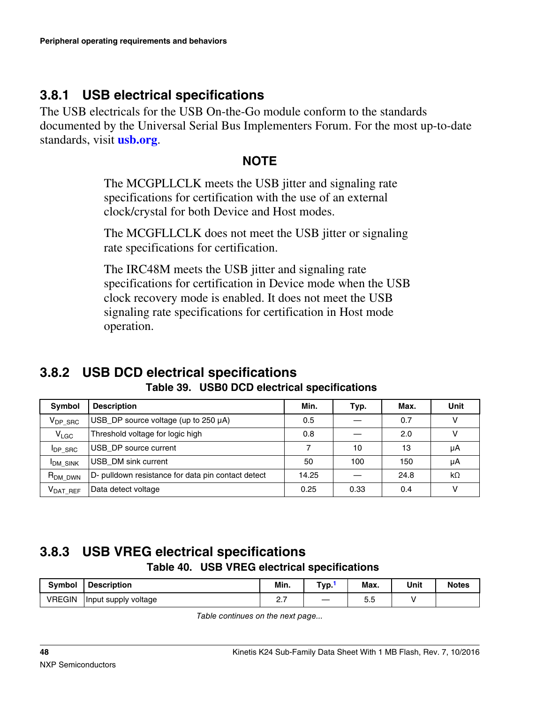## **3.8.1 USB electrical specifications**

The USB electricals for the USB On-the-Go module conform to the standards documented by the Universal Serial Bus Implementers Forum. For the most up-to-date standards, visit **[usb.org](http://www.usb.org)**.

### **NOTE**

The MCGPLLCLK meets the USB jitter and signaling rate specifications for certification with the use of an external clock/crystal for both Device and Host modes.

The MCGFLLCLK does not meet the USB jitter or signaling rate specifications for certification.

The IRC48M meets the USB jitter and signaling rate specifications for certification in Device mode when the USB clock recovery mode is enabled. It does not meet the USB signaling rate specifications for certification in Host mode operation.

### **3.8.2 USB DCD electrical specifications Table 39. USB0 DCD electrical specifications**

| <b>Symbol</b>        | <b>Description</b>                                 | Min.  | Typ. | Max. | Unit          |
|----------------------|----------------------------------------------------|-------|------|------|---------------|
| $V_{DP,SRC}$         | USB DP source voltage (up to 250 µA)               | 0.5   |      | 0.7  |               |
| V <sub>LGC</sub>     | Threshold voltage for logic high                   | 0.8   |      | 2.0  |               |
| <b>IDP SRC</b>       | USB_DP source current                              |       | 10   | 13   | μA            |
| <b>IDM SINK</b>      | USB DM sink current                                | 50    | 100  | 150  | μA            |
| R <sub>DM</sub> DWN  | D- pulldown resistance for data pin contact detect | 14.25 |      | 24.8 | $k\Omega$     |
| V <sub>DAT REF</sub> | Data detect voltage                                | 0.25  | 0.33 | 0.4  | $\mathcal{L}$ |

### **3.8.3 USB VREG electrical specifications Table 40. USB VREG electrical specifications**

| <b>Symbol</b> | <b>Description</b>   | Min.<br>------ | Typ. | Max. | Unit | <b>Notes</b> |
|---------------|----------------------|----------------|------|------|------|--------------|
| <b>VREGIN</b> | Input supply voltage | $\sim$         |      | ◡.◡  |      |              |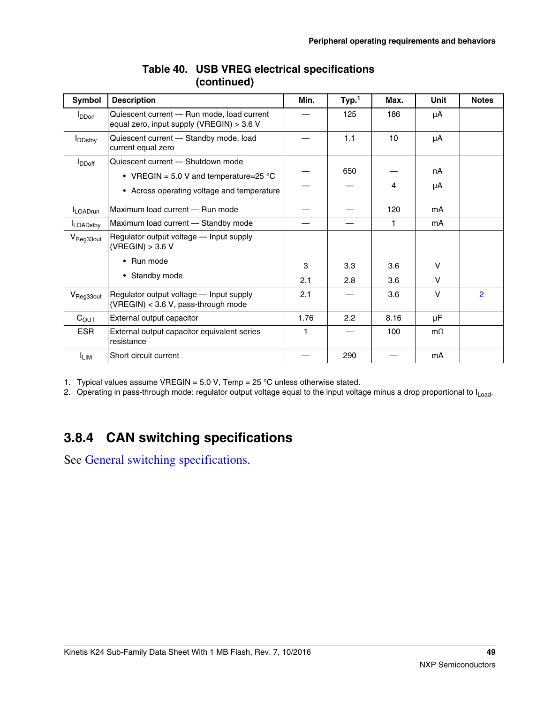<span id="page-48-0"></span>

| Symbol                      | <b>Description</b>                                                                                                                  | Min. | Typ. <sup>1</sup> | Max. | Unit      | <b>Notes</b>   |
|-----------------------------|-------------------------------------------------------------------------------------------------------------------------------------|------|-------------------|------|-----------|----------------|
| <b>I</b> DDon               | Quiescent current - Run mode, load current<br>equal zero, input supply (VREGIN) > 3.6 V                                             |      | 125               | 186  | μA        |                |
| <b>I</b> DD <sub>stby</sub> | Quiescent current - Standby mode, load<br>current equal zero                                                                        |      | 1.1               | 10   | μA        |                |
| $I_{DDoff}$                 | Quiescent current - Shutdown mode<br>• VREGIN = 5.0 V and temperature=25 $^{\circ}$ C<br>• Across operating voltage and temperature |      | 650               | 4    | nA<br>μA  |                |
| <b>ILOADrun</b>             | Maximum load current - Run mode                                                                                                     |      |                   | 120  | mA        |                |
| <b>ILOADstby</b>            | Maximum load current - Standby mode                                                                                                 |      |                   | 1    | mA        |                |
| V <sub>Reg33out</sub>       | Regulator output voltage - Input supply<br>(VREGIN) > 3.6 V                                                                         |      |                   |      |           |                |
|                             | Run mode<br>$\bullet$                                                                                                               | 3    | 3.3               | 3.6  | $\vee$    |                |
|                             | • Standby mode                                                                                                                      | 2.1  | 2.8               | 3.6  | V         |                |
| V <sub>Reg33out</sub>       | Regulator output voltage - Input supply<br>(VREGIN) < 3.6 V, pass-through mode                                                      | 2.1  |                   | 3.6  | $\vee$    | $\overline{2}$ |
| $C_{\text{OUT}}$            | External output capacitor                                                                                                           | 1.76 | 2.2               | 8.16 | μF        |                |
| <b>ESR</b>                  | External output capacitor equivalent series<br>resistance                                                                           | 1    |                   | 100  | $m\Omega$ |                |
| <sup>I</sup> LIM            | Short circuit current                                                                                                               |      | 290               |      | mA        |                |

#### **Table 40. USB VREG electrical specifications (continued)**

1. Typical values assume VREGIN =  $5.0$  V, Temp =  $25$  °C unless otherwise stated.

2. Operating in pass-through mode: regulator output voltage equal to the input voltage minus a drop proportional to I<sub>Load</sub>.

## **3.8.4 CAN switching specifications**

See General switching specifications.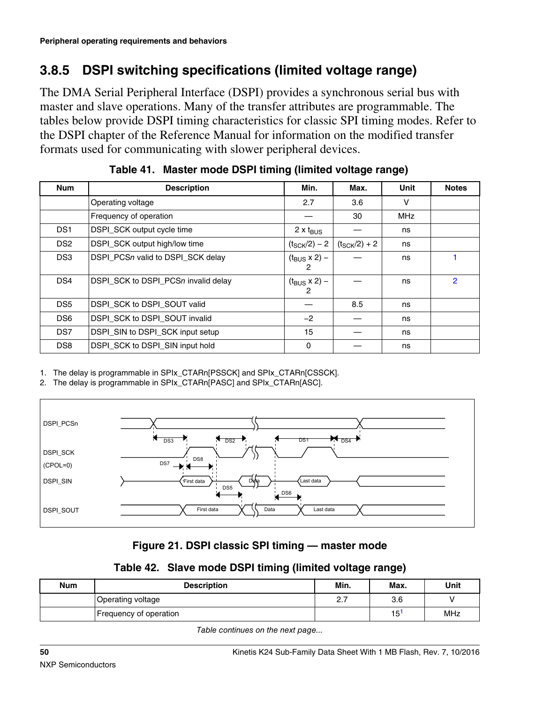## **3.8.5 DSPI switching specifications (limited voltage range)**

The DMA Serial Peripheral Interface (DSPI) provides a synchronous serial bus with master and slave operations. Many of the transfer attributes are programmable. The tables below provide DSPI timing characteristics for classic SPI timing modes. Refer to the DSPI chapter of the Reference Manual for information on the modified transfer formats used for communicating with slower peripheral devices.

| <b>Num</b>      | <b>Description</b>                  | Min.                               | Max.                     | Unit       | <b>Notes</b>   |
|-----------------|-------------------------------------|------------------------------------|--------------------------|------------|----------------|
|                 | Operating voltage                   | 2.7                                | 3.6                      | v          |                |
|                 | Frequency of operation              |                                    | 30                       | <b>MHz</b> |                |
| DS <sub>1</sub> | DSPI_SCK output cycle time          | $2 \times t_{\text{BUS}}$          |                          | ns         |                |
| DS <sub>2</sub> | DSPI_SCK output high/low time       | $(t_{\rm SCK}/2) - 2$              | $(t_{\text{SCK}}/2) + 2$ | ns         |                |
| DS <sub>3</sub> | DSPI_PCSn valid to DSPI_SCK delay   | $(t_{\text{BUS}} \times 2)$ –<br>2 |                          | ns         |                |
| DS4             | DSPI_SCK to DSPI_PCSn invalid delay | $(t_{\rm BUS} \times 2) -$<br>2    |                          | ns         | $\overline{2}$ |
| DS <sub>5</sub> | DSPI SCK to DSPI SOUT valid         |                                    | 8.5                      | ns         |                |
| DS <sub>6</sub> | DSPI_SCK to DSPI_SOUT invalid       | $-2$                               |                          | ns         |                |
| DS7             | DSPI_SIN to DSPI_SCK input setup    | 15                                 |                          | ns         |                |
| DS <sub>8</sub> | DSPI_SCK to DSPI_SIN input hold     | $\Omega$                           |                          | ns         |                |

| Table 41. Master mode DSPI timing (limited voltage range) |  |
|-----------------------------------------------------------|--|
|                                                           |  |

1. The delay is programmable in SPIx\_CTARn[PSSCK] and SPIx\_CTARn[CSSCK].

2. The delay is programmable in SPIx CTARn[PASC] and SPIx CTARn[ASC].



### **Figure 21. DSPI classic SPI timing — master mode**

### **Table 42. Slave mode DSPI timing (limited voltage range)**

| <b>Num</b> | <b>Description</b>     | Min.     | Max. | Unit |
|------------|------------------------|----------|------|------|
|            | Operating voltage      | <u>.</u> | 3.6  |      |
|            | Frequency of operation |          | 15   | MHz  |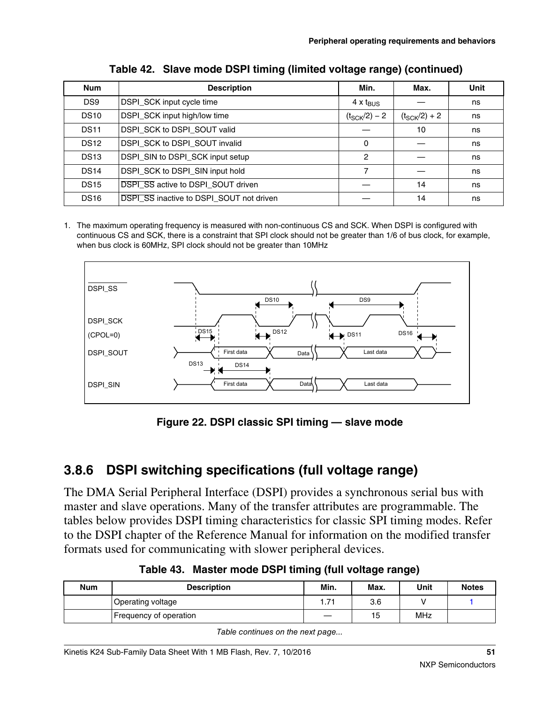<span id="page-50-0"></span>

| <b>Num</b>      | <b>Description</b>                              | Min.                     | Max.                     | Unit |
|-----------------|-------------------------------------------------|--------------------------|--------------------------|------|
| DS <sub>9</sub> | DSPI_SCK input cycle time                       | $4 \times t_{BUS}$       |                          | ns   |
| <b>DS10</b>     | DSPI_SCK input high/low time                    | $(t_{\text{SCK}}/2) - 2$ | $(t_{\text{SCK}}/2) + 2$ | ns   |
| <b>DS11</b>     | DSPI_SCK to DSPI_SOUT valid                     |                          | 10                       | ns   |
| <b>DS12</b>     | DSPI SCK to DSPI SOUT invalid                   | 0                        |                          | ns   |
| <b>DS13</b>     | DSPI_SIN to DSPI_SCK input setup                | 2                        |                          | ns   |
| <b>DS14</b>     | DSPI_SCK to DSPI_SIN input hold                 | 7                        |                          | ns   |
| <b>DS15</b>     | <b>DSPI SS active to DSPI SOUT driven</b>       |                          | 14                       | ns   |
| <b>DS16</b>     | <b>DSPI SS inactive to DSPI SOUT not driven</b> |                          | 14                       | ns   |

**Table 42. Slave mode DSPI timing (limited voltage range) (continued)**

1. The maximum operating frequency is measured with non-continuous CS and SCK. When DSPI is configured with continuous CS and SCK, there is a constraint that SPI clock should not be greater than 1/6 of bus clock, for example, when bus clock is 60MHz, SPI clock should not be greater than 10MHz



**Figure 22. DSPI classic SPI timing — slave mode**

## **3.8.6 DSPI switching specifications (full voltage range)**

The DMA Serial Peripheral Interface (DSPI) provides a synchronous serial bus with master and slave operations. Many of the transfer attributes are programmable. The tables below provides DSPI timing characteristics for classic SPI timing modes. Refer to the DSPI chapter of the Reference Manual for information on the modified transfer formats used for communicating with slower peripheral devices.

| <b>Num</b> | <b>Description</b>     | Min. | Max. | Unit | <b>Notes</b> |
|------------|------------------------|------|------|------|--------------|
|            | Operating voltage      | . 71 | 3.6  |      |              |
|            | Frequency of operation |      | 15   | MHz  |              |

**Table 43. Master mode DSPI timing (full voltage range)**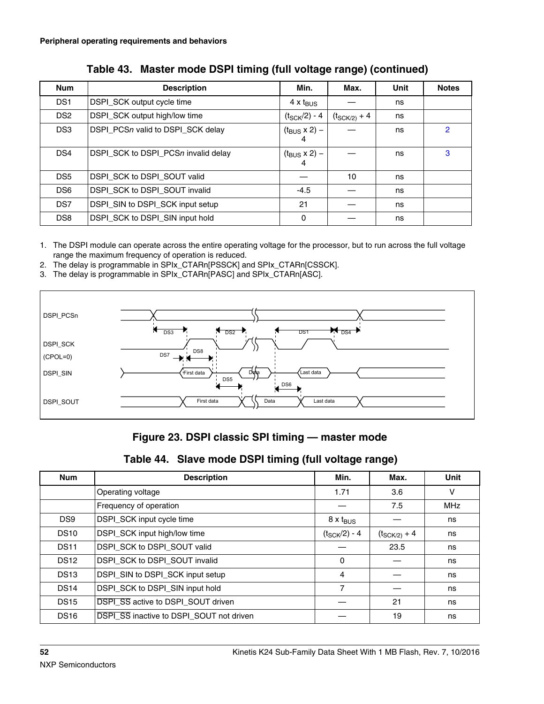<span id="page-51-0"></span>

| <b>Num</b>      | <b>Description</b>                  | Min.                            | Max.                     | Unit | <b>Notes</b> |
|-----------------|-------------------------------------|---------------------------------|--------------------------|------|--------------|
| DS <sub>1</sub> | DSPI_SCK output cycle time          | $4 \times t_{\text{BUS}}$       |                          | ns   |              |
| DS <sub>2</sub> | DSPI_SCK output high/low time       | $(t_{\rm SCK}/2) - 4$           | $(t_{\text{SCK}/2} + 4)$ | ns   |              |
| DS <sub>3</sub> | DSPI_PCSn valid to DSPI_SCK delay   | $(t_{\rm BUS} \times 2) -$<br>4 |                          | ns   | 2            |
| DS4             | DSPI SCK to DSPI PCSn invalid delay | $(t_{\rm BUS} \times 2)$ –<br>4 |                          | ns   | 3            |
| DS <sub>5</sub> | DSPI SCK to DSPI SOUT valid         |                                 | 10                       | ns   |              |
| DS <sub>6</sub> | DSPI_SCK to DSPI_SOUT invalid       | $-4.5$                          |                          | ns   |              |
| DS7             | DSPI_SIN to DSPI_SCK input setup    | 21                              |                          | ns   |              |
| DS <sub>8</sub> | DSPI_SCK to DSPI_SIN input hold     | $\mathbf{0}$                    |                          | ns   |              |

|  | Table 43. Master mode DSPI timing (full voltage range) (continued) |  |  |  |
|--|--------------------------------------------------------------------|--|--|--|
|--|--------------------------------------------------------------------|--|--|--|

1. The DSPI module can operate across the entire operating voltage for the processor, but to run across the full voltage range the maximum frequency of operation is reduced.

- 2. The delay is programmable in SPIx\_CTARn[PSSCK] and SPIx\_CTARn[CSSCK].
- 3. The delay is programmable in SPIx\_CTARn[PASC] and SPIx\_CTARn[ASC].



#### **Figure 23. DSPI classic SPI timing — master mode**

#### **Table 44. Slave mode DSPI timing (full voltage range)**

| <b>Num</b>      | <b>Description</b>                        | Min.                      | Max.                     | <b>Unit</b> |
|-----------------|-------------------------------------------|---------------------------|--------------------------|-------------|
|                 | Operating voltage                         | 1.71                      | 3.6                      | V           |
|                 | Frequency of operation                    |                           | 7.5                      | MHz         |
| DS <sub>9</sub> | DSPI_SCK input cycle time                 | $8 \times t_{\text{BUS}}$ |                          | ns          |
| <b>DS10</b>     | DSPI_SCK input high/low time              | $(t_{\text{SCK}}/2) - 4$  | $(t_{\text{SCK}/2} + 4)$ | ns          |
| <b>DS11</b>     | DSPI_SCK to DSPI_SOUT valid               |                           | 23.5                     | ns          |
| <b>DS12</b>     | DSPI_SCK to DSPI_SOUT invalid             | $\Omega$                  |                          | ns          |
| <b>DS13</b>     | DSPI_SIN to DSPI_SCK input setup          | 4                         |                          | ns          |
| <b>DS14</b>     | DSPI_SCK to DSPI_SIN input hold           | 7                         |                          | ns          |
| <b>DS15</b>     | <b>DSPI SS active to DSPI SOUT driven</b> |                           | 21                       | ns          |
| <b>DS16</b>     | DSPI_SS inactive to DSPI_SOUT not driven  |                           | 19                       | ns          |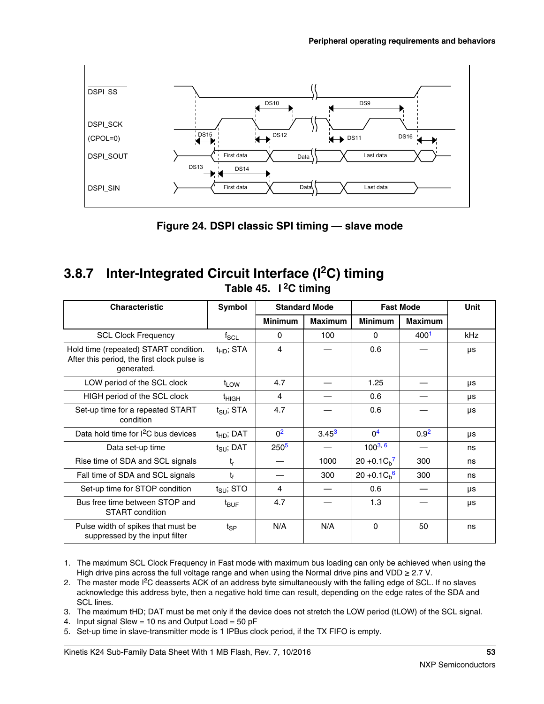

**Figure 24. DSPI classic SPI timing — slave mode**

### **3.8.7 Inter-Integrated Circuit Interface (I2C) timing Table 45. I 2C timing**

| <b>Characteristic</b>                                                                              | Symbol                | <b>Standard Mode</b> |                | <b>Fast Mode</b>      |                | <b>Unit</b> |
|----------------------------------------------------------------------------------------------------|-----------------------|----------------------|----------------|-----------------------|----------------|-------------|
|                                                                                                    |                       | <b>Minimum</b>       | <b>Maximum</b> | <b>Minimum</b>        | <b>Maximum</b> |             |
| <b>SCL Clock Frequency</b>                                                                         | $f_{\rm SCL}$         | 0                    | 100            | $\Omega$              | 4001           | kHz         |
| Hold time (repeated) START condition.<br>After this period, the first clock pulse is<br>generated. | $t_{HD}$ ; STA        | $\overline{4}$       |                | 0.6                   |                | μs          |
| LOW period of the SCL clock                                                                        | $t_{LOW}$             | 4.7                  |                | 1.25                  |                | μs          |
| HIGH period of the SCL clock                                                                       | <sup>t</sup> HIGH     | 4                    |                | 0.6                   |                | μs          |
| Set-up time for a repeated START<br>condition                                                      | $t_{\text{SU}}$ ; STA | 4.7                  |                | 0.6                   |                | μs          |
| Data hold time for I <sup>2</sup> C bus devices                                                    | $t_{HD}$ ; DAT        | 0 <sup>2</sup>       | $3.45^{3}$     | $\Omega$ <sup>4</sup> | $0.9^{2}$      | μs          |
| Data set-up time                                                                                   | $t_{\text{SU}}$ ; DAT | 250 <sup>5</sup>     |                | $100^{3, 6}$          |                | ns          |
| Rise time of SDA and SCL signals                                                                   | $t_r$                 |                      | 1000           | $20 + 0.1 Cb7$        | 300            | ns          |
| Fall time of SDA and SCL signals                                                                   | t                     |                      | 300            | $20 + 0.1 Cb$ 6       | 300            | ns          |
| Set-up time for STOP condition                                                                     | $t_{\text{SU}}$ ; STO | 4                    |                | 0.6                   |                | μs          |
| Bus free time between STOP and<br>START condition                                                  | $t_{\mathsf{BUF}}$    | 4.7                  |                | 1.3                   |                | μs          |
| Pulse width of spikes that must be<br>suppressed by the input filter                               | $t_{\mathsf{SP}}$     | N/A                  | N/A            | 0                     | 50             | ns          |

1. The maximum SCL Clock Frequency in Fast mode with maximum bus loading can only be achieved when using the High drive pins across the full voltage range and when using the Normal drive pins and VDD  $\geq$  2.7 V.

- 2. The master mode I<sup>2</sup>C deasserts ACK of an address byte simultaneously with the falling edge of SCL. If no slaves acknowledge this address byte, then a negative hold time can result, depending on the edge rates of the SDA and SCL lines.
- 3. The maximum tHD; DAT must be met only if the device does not stretch the LOW period (tLOW) of the SCL signal.
- 4. Input signal Slew = 10 ns and Output Load =  $50$  pF
- 5. Set-up time in slave-transmitter mode is 1 IPBus clock period, if the TX FIFO is empty.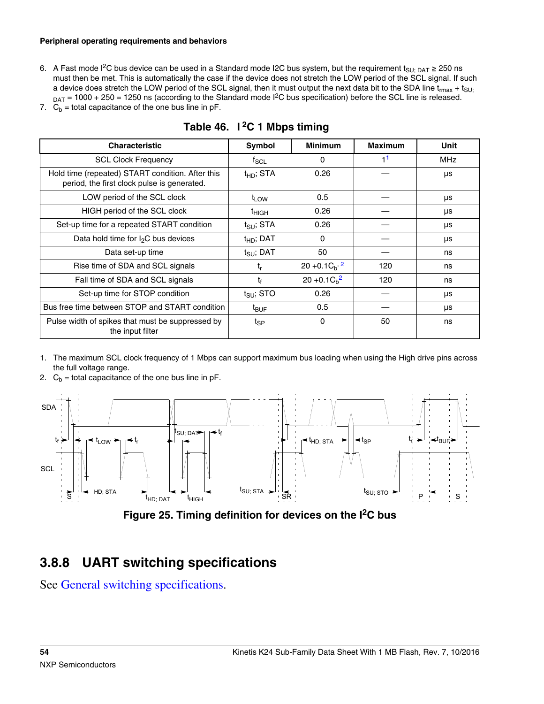#### <span id="page-53-0"></span>**Peripheral operating requirements and behaviors**

6. A Fast mode I<sup>2</sup>C bus device can be used in a Standard mode I2C bus system, but the requirement t<sub>SU; DAT</sub> ≥ 250 ns must then be met. This is automatically the case if the device does not stretch the LOW period of the SCL signal. If such a device does stretch the LOW period of the SCL signal, then it must output the next data bit to the SDA line  $t_{max} + t_{SUI}$  $_{\text{DAT}}$  = 1000 + 250 = 1250 ns (according to the Standard mode I<sup>2</sup>C bus specification) before the SCL line is released.

|  |  | 7. $C_b$ = total capacitance of the one bus line in pF. |  |  |  |  |  |
|--|--|---------------------------------------------------------|--|--|--|--|--|
|--|--|---------------------------------------------------------|--|--|--|--|--|

| <b>Characteristic</b>                                                                           | Symbol                | <b>Minimum</b>   | <b>Maximum</b> | Unit |
|-------------------------------------------------------------------------------------------------|-----------------------|------------------|----------------|------|
| <b>SCL Clock Frequency</b>                                                                      | $f_{\mathsf{SCL}}$    | $\Omega$         | 1 <sup>1</sup> | MHz  |
| Hold time (repeated) START condition. After this<br>period, the first clock pulse is generated. | $t_{HD}$ ; STA        | 0.26             |                | μs   |
| LOW period of the SCL clock                                                                     | $t_{LOW}$             | 0.5              |                | μs   |
| HIGH period of the SCL clock                                                                    | $t_{HIGH}$            | 0.26             |                | μs   |
| Set-up time for a repeated START condition                                                      | $t_{\text{SU}}$ ; STA | 0.26             |                | μs   |
| Data hold time for $I_2C$ bus devices                                                           | $t_{HD}$ ; DAT        | $\Omega$         |                | μs   |
| Data set-up time                                                                                | $t_{\text{SU}}$ ; DAT | 50               |                | ns   |
| Rise time of SDA and SCL signals                                                                | $t_{r}$               | $20 + 0.1Cb$ , 2 | 120            | ns   |
| Fall time of SDA and SCL signals                                                                | t,                    | $20 + 0.1 Ch2$   | 120            | ns   |
| Set-up time for STOP condition                                                                  | $t_{\text{SU}}$ ; STO | 0.26             |                | μs   |
| Bus free time between STOP and START condition                                                  | t <sub>BUF</sub>      | 0.5              |                | μs   |
| Pulse width of spikes that must be suppressed by<br>the input filter                            | $t_{SP}$              | $\Omega$         | 50             | ns   |

### **Table 46. I 2C 1 Mbps timing**

- 1. The maximum SCL clock frequency of 1 Mbps can support maximum bus loading when using the High drive pins across the full voltage range.
- 2.  $C_b$  = total capacitance of the one bus line in pF.



**Figure 25. Timing definition for devices on the I2C bus**

### **3.8.8 UART switching specifications**

See General switching specifications.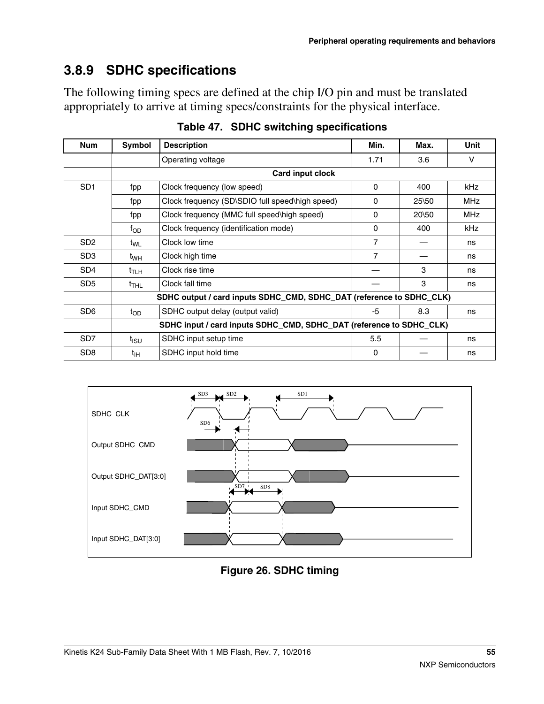# **3.8.9 SDHC specifications**

The following timing specs are defined at the chip I/O pin and must be translated appropriately to arrive at timing specs/constraints for the physical interface.

| <b>Num</b>      | Symbol                                                              | <b>Description</b>                                                   | Min.           | Max.              | Unit       |
|-----------------|---------------------------------------------------------------------|----------------------------------------------------------------------|----------------|-------------------|------------|
|                 |                                                                     | Operating voltage                                                    | 1.71           | 3.6               | V          |
|                 |                                                                     | Card input clock                                                     |                |                   |            |
| SD <sub>1</sub> | fpp                                                                 | Clock frequency (low speed)                                          | $\mathbf{0}$   | 400               | <b>kHz</b> |
|                 | fpp                                                                 | Clock frequency (SD\SDIO full speed\high speed)                      | $\mathbf{0}$   | $25\,50$          | <b>MHz</b> |
|                 | fpp                                                                 | Clock frequency (MMC full speed\high speed)                          | $\mathbf{0}$   | $20\frac{50}{50}$ | <b>MHz</b> |
|                 | $f_{OD}$                                                            | Clock frequency (identification mode)                                | 0              | 400               | <b>kHz</b> |
| SD <sub>2</sub> | t <sub>WL</sub>                                                     | Clock low time                                                       | $\overline{7}$ |                   | ns         |
| SD <sub>3</sub> | $t_{WH}$                                                            | Clock high time                                                      | $\overline{7}$ |                   | ns         |
| SD <sub>4</sub> | t <sub>т∟н</sub>                                                    | Clock rise time                                                      |                | 3                 | ns         |
| SD <sub>5</sub> | $t$ <sub>THL</sub>                                                  | Clock fall time                                                      |                | 3                 | ns         |
|                 |                                                                     | SDHC output / card inputs SDHC_CMD, SDHC_DAT (reference to SDHC_CLK) |                |                   |            |
| SD <sub>6</sub> | $t_{OD}$                                                            | SDHC output delay (output valid)                                     | -5             | 8.3               | ns         |
|                 | SDHC input / card inputs SDHC_CMD, SDHC_DAT (reference to SDHC_CLK) |                                                                      |                |                   |            |
| SD <sub>7</sub> | t <sub>isu</sub>                                                    | SDHC input setup time                                                | 5.5            |                   | ns         |
| SD <sub>8</sub> | t <sub>IH</sub>                                                     | SDHC input hold time                                                 | $\Omega$       |                   | ns         |

**Table 47. SDHC switching specifications**



**Figure 26. SDHC timing**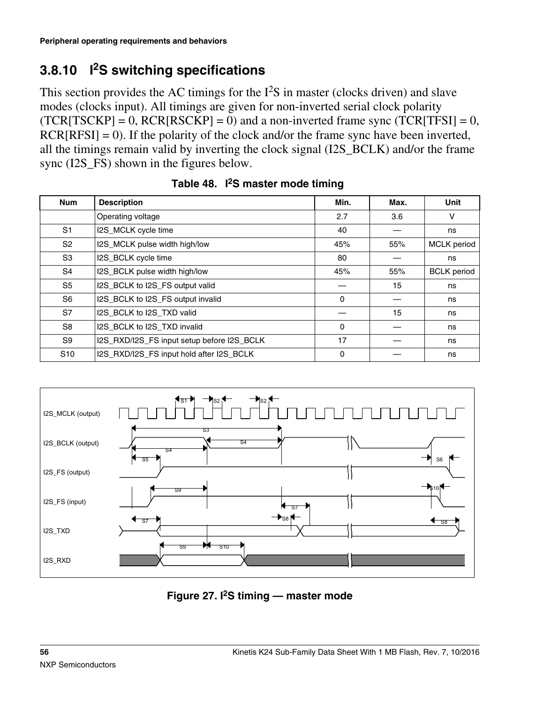# **3.8.10 I <sup>2</sup>S switching specifications**

This section provides the AC timings for the  $I^2S$  in master (clocks driven) and slave modes (clocks input). All timings are given for non-inverted serial clock polarity  $(TCR[TSCKP] = 0, RCR[RSCKP] = 0)$  and a non-inverted frame sync  $(TCR[TFSI] = 0,$  $RCR[RFSI] = 0$ . If the polarity of the clock and/or the frame sync have been inverted, all the timings remain valid by inverting the clock signal (I2S\_BCLK) and/or the frame sync (I2S FS) shown in the figures below.

| <b>Num</b>      | <b>Description</b>                         | Min.     | Max. | <b>Unit</b>        |
|-----------------|--------------------------------------------|----------|------|--------------------|
|                 | Operating voltage                          | 2.7      | 3.6  | V                  |
| S1              | I2S_MCLK cycle time                        | 40       |      | ns                 |
| S <sub>2</sub>  | I2S_MCLK pulse width high/low              | 45%      | 55%  | <b>MCLK</b> period |
| S3              | I2S_BCLK cycle time                        | 80       |      | ns                 |
| S4              | I2S_BCLK pulse width high/low              | 45%      | 55%  | <b>BCLK</b> period |
| S <sub>5</sub>  | I2S_BCLK to I2S_FS output valid            |          | 15   | ns                 |
| S <sub>6</sub>  | I2S_BCLK to I2S_FS output invalid          | $\Omega$ |      | ns                 |
| S7              | I2S BCLK to I2S TXD valid                  |          | 15   | ns                 |
| S <sub>8</sub>  | I2S_BCLK to I2S_TXD invalid                | $\Omega$ |      | ns                 |
| S9              | I2S_RXD/I2S_FS input setup before I2S_BCLK | 17       |      | ns                 |
| S <sub>10</sub> | I2S_RXD/I2S_FS input hold after I2S_BCLK   | $\Omega$ |      | ns                 |

|  |  | Table 48. I <sup>2</sup> S master mode timing |
|--|--|-----------------------------------------------|
|--|--|-----------------------------------------------|



**Figure 27. I2S timing — master mode**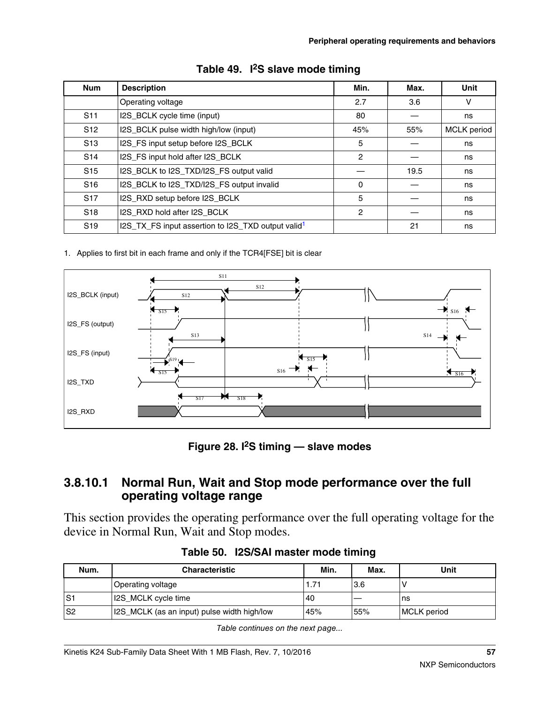| <b>Num</b>      | <b>Description</b>                                             | Min.           | Max. | Unit        |
|-----------------|----------------------------------------------------------------|----------------|------|-------------|
|                 | Operating voltage                                              | 2.7            | 3.6  | V           |
| S <sub>11</sub> | I2S_BCLK cycle time (input)                                    | 80             |      | ns          |
| S <sub>12</sub> | I2S_BCLK pulse width high/low (input)                          | 45%            | 55%  | MCLK period |
| S <sub>13</sub> | I2S_FS input setup before I2S_BCLK                             | 5              |      | ns          |
| S <sub>14</sub> | I2S_FS input hold after I2S_BCLK                               | $\overline{c}$ |      | ns          |
| S <sub>15</sub> | I2S_BCLK to I2S_TXD/I2S_FS output valid                        |                | 19.5 | ns          |
| S <sub>16</sub> | I2S_BCLK to I2S_TXD/I2S_FS output invalid                      | $\Omega$       |      | ns          |
| S <sub>17</sub> | I2S_RXD setup before I2S_BCLK                                  | 5              |      | ns          |
| S <sub>18</sub> | I2S_RXD hold after I2S_BCLK                                    | 2              |      | ns          |
| S <sub>19</sub> | I2S_TX_FS input assertion to I2S_TXD output valid <sup>1</sup> |                | 21   | ns          |

|  |  | Table 49. I <sup>2</sup> S slave mode timing |
|--|--|----------------------------------------------|
|--|--|----------------------------------------------|

1. Applies to first bit in each frame and only if the TCR4[FSE] bit is clear



**Figure 28. I2S timing — slave modes**

### **3.8.10.1 Normal Run, Wait and Stop mode performance over the full operating voltage range**

This section provides the operating performance over the full operating voltage for the device in Normal Run, Wait and Stop modes.

| Num.           | <b>Characteristic</b>                       | Min. | Max. | Unit        |
|----------------|---------------------------------------------|------|------|-------------|
|                | Operating voltage                           |      | 3.6  |             |
| S <sub>1</sub> | 12S_MCLK cycle time                         | '40  |      | ∣ns         |
| S <sub>2</sub> | 12S_MCLK (as an input) pulse width high/low | 45%  | 55%  | MCLK period |

**Table 50. I2S/SAI master mode timing**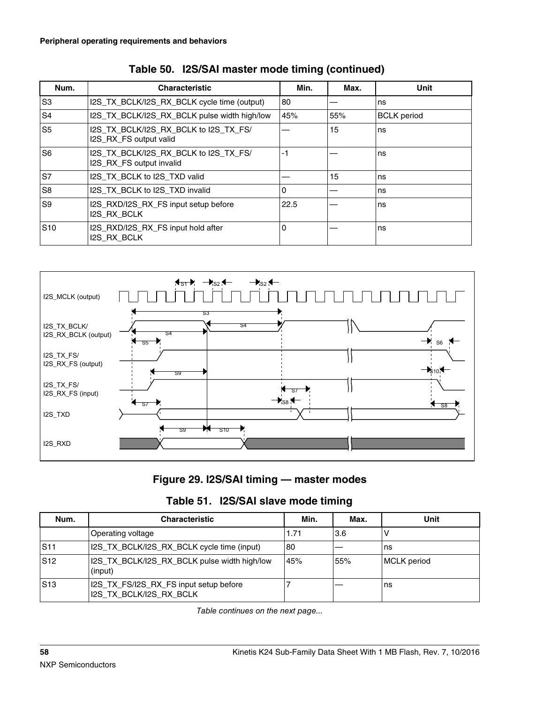| Num.           | <b>Characteristic</b>                                             | Min. | Max. | Unit               |
|----------------|-------------------------------------------------------------------|------|------|--------------------|
| S3             | I2S_TX_BCLK/I2S_RX_BCLK cycle time (output)                       | 80   |      | ns                 |
| S <sub>4</sub> | I2S_TX_BCLK/I2S_RX_BCLK pulse width high/low                      | 45%  | 55%  | <b>BCLK</b> period |
| S <sub>5</sub> | I2S_TX_BCLK/I2S_RX_BCLK to I2S_TX_FS/<br>I2S RX FS output valid   |      | 15   | ns                 |
| S <sub>6</sub> | I2S_TX_BCLK/I2S_RX_BCLK to I2S_TX_FS/<br>I2S RX FS output invalid | -1   |      | ns                 |
| S7             | I2S TX BCLK to I2S TXD valid                                      |      | 15   | ns                 |
| S <sub>8</sub> | I2S TX BCLK to I2S TXD invalid                                    | 0    |      | ns                 |
| S <sub>9</sub> | I2S RXD/I2S RX FS input setup before<br><b>I2S RX BCLK</b>        | 22.5 |      | ns                 |
| $ S10\rangle$  | I2S_RXD/I2S_RX_FS input hold after<br><b>I2S RX BCLK</b>          | 0    |      | ns                 |

|  |  |  |  |  | Table 50. I2S/SAI master mode timing (continued) |
|--|--|--|--|--|--------------------------------------------------|
|--|--|--|--|--|--------------------------------------------------|



**Figure 29. I2S/SAI timing — master modes**

| Table 51. I2S/SAI slave mode timing |  |  |  |  |
|-------------------------------------|--|--|--|--|
|-------------------------------------|--|--|--|--|

| Num. | <b>Characteristic</b>                                             | Min. | Max. | Unit        |
|------|-------------------------------------------------------------------|------|------|-------------|
|      | Operating voltage                                                 | 1.71 | 3.6  |             |
| IS11 | 12S_TX_BCLK/I2S_RX_BCLK cycle time (input)                        | 80   |      | l ns        |
| S12  | I2S TX BCLK/I2S RX BCLK pulse width high/low<br>(input)           | 45%  | 55%  | MCLK period |
| S13  | I2S_TX_FS/I2S_RX_FS input setup before<br>I2S TX BCLK/I2S RX BCLK |      |      | l ns        |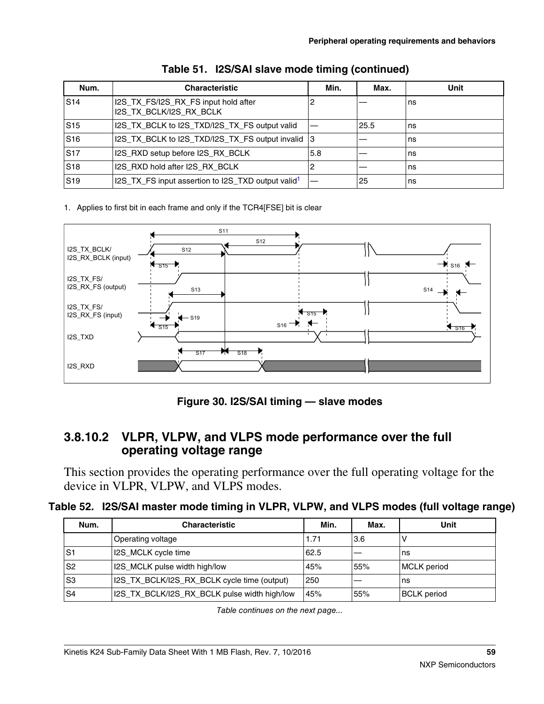| Num.            | <b>Characteristic</b>                                           | Min. | Max. | Unit |
|-----------------|-----------------------------------------------------------------|------|------|------|
| S <sub>14</sub> | I2S_TX_FS/I2S_RX_FS input hold after<br>I2S_TX_BCLK/I2S_RX_BCLK | 2    |      | l ns |
| S <sub>15</sub> | I2S_TX_BCLK to I2S_TXD/I2S_TX_FS output valid                   |      | 25.5 | l ns |
| S16             | I2S_TX_BCLK to I2S_TXD/I2S_TX_FS output invalid                 | 13   |      | l ns |
| S17             | I2S RXD setup before I2S RX BCLK                                | 5.8  |      | l ns |
| S <sub>18</sub> | I2S RXD hold after I2S RX BCLK                                  | 2    |      | l ns |
| .S19            | 12S_TX_FS input assertion to I2S_TXD output valid <sup>1</sup>  |      | 25   | l ns |

|  |  | Table 51. I2S/SAI slave mode timing (continued) |  |  |
|--|--|-------------------------------------------------|--|--|
|--|--|-------------------------------------------------|--|--|

1. Applies to first bit in each frame and only if the TCR4[FSE] bit is clear



**Figure 30. I2S/SAI timing — slave modes**

### **3.8.10.2 VLPR, VLPW, and VLPS mode performance over the full operating voltage range**

This section provides the operating performance over the full operating voltage for the device in VLPR, VLPW, and VLPS modes.

|  | Table 52. I2S/SAI master mode timing in VLPR, VLPW, and VLPS modes (full voltage range) |  |
|--|-----------------------------------------------------------------------------------------|--|
|--|-----------------------------------------------------------------------------------------|--|

| Num.           | <b>Characteristic</b>                        | Min. | Max. | Unit               |
|----------------|----------------------------------------------|------|------|--------------------|
|                | Operating voltage                            | 1.71 | 3.6  |                    |
| S <sub>1</sub> | I2S_MCLK cycle time                          | 62.5 |      | ns                 |
| S <sub>2</sub> | I2S_MCLK pulse width high/low                | 45%  | 55%  | <b>MCLK</b> period |
| S <sub>3</sub> | I2S_TX_BCLK/I2S_RX_BCLK cycle time (output)  | 250  |      | ns                 |
| S4             | I2S_TX_BCLK/I2S_RX_BCLK pulse width high/low | 45%  | 55%  | <b>BCLK</b> period |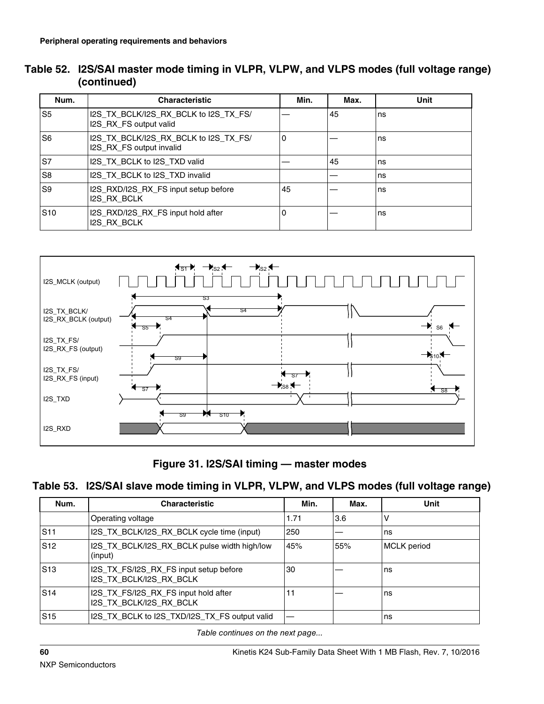| Table 52. I2S/SAI master mode timing in VLPR, VLPW, and VLPS modes (full voltage range) |
|-----------------------------------------------------------------------------------------|
| (continued)                                                                             |

| Num.           | <b>Characteristic</b>                                             | Min.     | Max. | Unit |
|----------------|-------------------------------------------------------------------|----------|------|------|
| S5             | I2S TX BCLK/I2S RX BCLK to I2S TX FS/<br>I2S_RX_FS output valid   |          | 45   | ns   |
| S <sub>6</sub> | I2S TX BCLK/I2S RX BCLK to I2S TX FS/<br>I2S_RX_FS output invalid | $\Omega$ |      | ns   |
| ls7            | I2S TX BCLK to I2S TXD valid                                      |          | 45   | ns   |
| S8             | I2S_TX_BCLK to I2S_TXD invalid                                    |          |      | ns   |
| S <sub>9</sub> | I2S_RXD/I2S_RX_FS input setup before<br><b>I2S RX BCLK</b>        | 45       |      | ns   |
| $ S10\rangle$  | I2S_RXD/I2S_RX_FS input hold after<br><b>I2S RX BCLK</b>          | 0        |      | ns   |



**Figure 31. I2S/SAI timing — master modes**

#### **Table 53. I2S/SAI slave mode timing in VLPR, VLPW, and VLPS modes (full voltage range)**

| Num.            | <b>Characteristic</b>                                             | Min. | Max. | Unit               |
|-----------------|-------------------------------------------------------------------|------|------|--------------------|
|                 | Operating voltage                                                 | 1.71 | 3.6  | ν                  |
| S <sub>11</sub> | I2S_TX_BCLK/I2S_RX_BCLK cycle time (input)                        | 250  |      | ns                 |
| S <sub>12</sub> | I2S_TX_BCLK/I2S_RX_BCLK pulse width high/low<br>(input)           | 45%  | 55%  | <b>MCLK</b> period |
| S <sub>13</sub> | I2S_TX_FS/I2S_RX_FS input setup before<br>I2S_TX_BCLK/I2S_RX_BCLK | 30   |      | ns                 |
| S <sub>14</sub> | I2S_TX_FS/I2S_RX_FS input hold after<br>I2S TX BCLK/I2S RX BCLK   | 11   |      | ns                 |
| S <sub>15</sub> | I2S_TX_BCLK to I2S_TXD/I2S_TX_FS output valid                     |      |      | ns                 |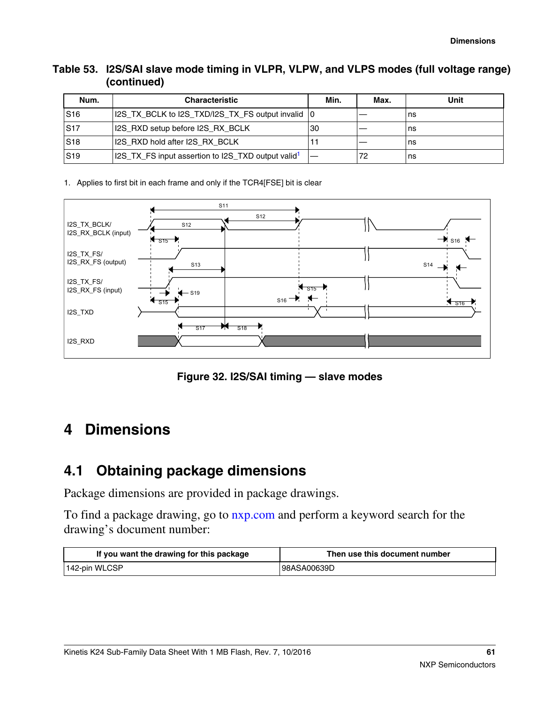#### **Table 53. I2S/SAI slave mode timing in VLPR, VLPW, and VLPS modes (full voltage range) (continued)**

| Num.            | <b>Characteristic</b>                                          | Min. | Max. | Unit |
|-----------------|----------------------------------------------------------------|------|------|------|
| S <sub>16</sub> | 12S_TX_BCLK to 12S_TXD/12S_TX_FS output invalid 10             |      |      | ns   |
| SS17            | 12S RXD setup before I2S RX BCLK                               | 30   |      | l ns |
| S <sub>18</sub> | 12S RXD hold after I2S RX BCLK                                 |      |      | l ns |
| S19             | 12S_TX_FS input assertion to I2S_TXD output valid <sup>1</sup> |      |      | ns   |

1. Applies to first bit in each frame and only if the TCR4[FSE] bit is clear



**Figure 32. I2S/SAI timing — slave modes**

## **4 Dimensions**

## **4.1 Obtaining package dimensions**

Package dimensions are provided in package drawings.

To find a package drawing, go to [nxp.com](http://www.nxp.com) and perform a keyword search for the drawing's document number:

| If you want the drawing for this package | Then use this document number |
|------------------------------------------|-------------------------------|
| 142-pin WLCSP                            | 98ASA00639D                   |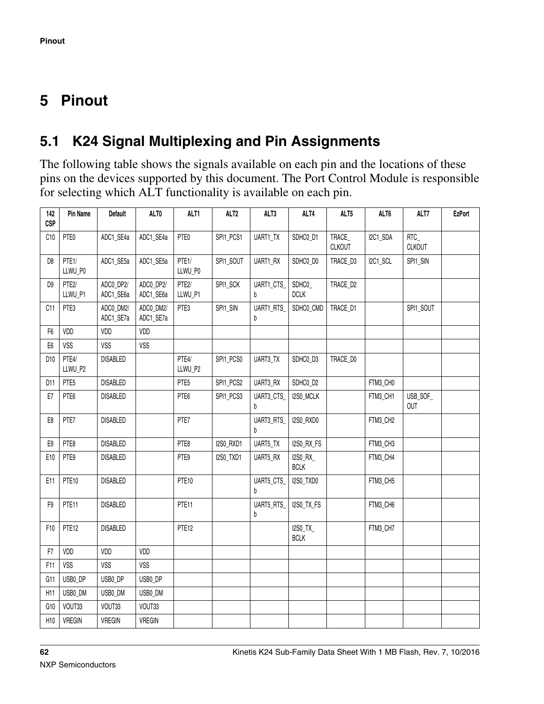# <span id="page-61-0"></span>**5 Pinout**

# **5.1 K24 Signal Multiplexing and Pin Assignments**

The following table shows the signals available on each pin and the locations of these pins on the devices supported by this document. The Port Control Module is responsible for selecting which ALT functionality is available on each pin.

| 142<br><b>CSP</b> | Pin Name          | <b>Default</b>         | ALT0                   | ALT1              | ALT <sub>2</sub> | ALT3                  | ALT4                    | ALT5                   | ALT6     | ALT7                   | <b>EzPort</b> |
|-------------------|-------------------|------------------------|------------------------|-------------------|------------------|-----------------------|-------------------------|------------------------|----------|------------------------|---------------|
| C10               | PTE0              | ADC1_SE4a              | ADC1_SE4a              | PTE0              | SPI1_PCS1        | UART1_TX              | SDHC0_D1                | TRACE<br><b>CLKOUT</b> | I2C1_SDA | RTC<br><b>CLKOUT</b>   |               |
| D <sub>8</sub>    | PTE1/<br>LLWU_P0  | ADC1_SE5a              | ADC1_SE5a              | PTE1/<br>LLWU_P0  | SPI1_SOUT        | UART1_RX              | SDHC0_D0                | TRACE_D3               | I2C1_SCL | SPI1_SIN               |               |
| D <sub>9</sub>    | PTE2/<br>LLWU_P1  | ADCO_DP2/<br>ADC1_SE6a | ADCO_DP2/<br>ADC1_SE6a | PTE2/<br>LLWU_P1  | SPI1_SCK         | UART1_CTS_<br>b       | SDHC0<br><b>DCLK</b>    | TRACE_D2               |          |                        |               |
| C11               | PTE3              | ADC0 DM2/<br>ADC1_SE7a | ADC0 DM2/<br>ADC1_SE7a | PTE3              | SPI1_SIN         | UART1_RTS<br>b        | SDHC0_CMD               | TRACE D1               |          | SPI1_SOUT              |               |
| F <sub>6</sub>    | VDD               | VDD                    | VDD                    |                   |                  |                       |                         |                        |          |                        |               |
| E <sub>6</sub>    | <b>VSS</b>        | <b>VSS</b>             | <b>VSS</b>             |                   |                  |                       |                         |                        |          |                        |               |
| D10               | PTE4/<br>LLWU_P2  | <b>DISABLED</b>        |                        | PTE4/<br>LLWU_P2  | SPI1_PCS0        | UART3_TX              | SDHC0_D3                | TRACE_D0               |          |                        |               |
| D11               | PTE <sub>5</sub>  | <b>DISABLED</b>        |                        | PTE <sub>5</sub>  | SPI1_PCS2        | UART3_RX              | SDHC0_D2                |                        | FTM3_CH0 |                        |               |
| E7                | PTE6              | <b>DISABLED</b>        |                        | PTE6              | SPI1_PCS3        | UART3_CTS<br>b        | I2S0_MCLK               |                        | FTM3_CH1 | USB_SOF_<br><b>OUT</b> |               |
| E8                | PTE7              | <b>DISABLED</b>        |                        | PTE7              |                  | <b>UART3_RTS</b><br>h | I2S0_RXD0               |                        | FTM3_CH2 |                        |               |
| E9                | PTE8              | <b>DISABLED</b>        |                        | PTE8              | I2S0_RXD1        | UART5_TX              | I2S0_RX_FS              |                        | FTM3_CH3 |                        |               |
| E10               | PTE9              | <b>DISABLED</b>        |                        | PTE9              | I2S0_TXD1        | UART5_RX              | I2S0_RX_<br><b>BCLK</b> |                        | FTM3_CH4 |                        |               |
| E11               | PTE10             | <b>DISABLED</b>        |                        | PTE <sub>10</sub> |                  | UART5_CTS_<br>b       | I2SO_TXDO               |                        | FTM3_CH5 |                        |               |
| F9                | PTE11             | <b>DISABLED</b>        |                        | PTE11             |                  | UART5_RTS_<br>b       | I2SO_TX_FS              |                        | FTM3_CH6 |                        |               |
| F10               | PTE <sub>12</sub> | <b>DISABLED</b>        |                        | PTE <sub>12</sub> |                  |                       | I2S0_TX_<br><b>BCLK</b> |                        | FTM3_CH7 |                        |               |
| F7                | VDD               | VDD                    | VDD                    |                   |                  |                       |                         |                        |          |                        |               |
| F11               | <b>VSS</b>        | <b>VSS</b>             | <b>VSS</b>             |                   |                  |                       |                         |                        |          |                        |               |
| G11               | USB0_DP           | USB0_DP                | USB0_DP                |                   |                  |                       |                         |                        |          |                        |               |
| H11               | USB0_DM           | USB0_DM                | USB0_DM                |                   |                  |                       |                         |                        |          |                        |               |
| G10               | VOUT33            | VOUT33                 | VOUT33                 |                   |                  |                       |                         |                        |          |                        |               |
| H10               | <b>VREGIN</b>     | <b>VREGIN</b>          | VREGIN                 |                   |                  |                       |                         |                        |          |                        |               |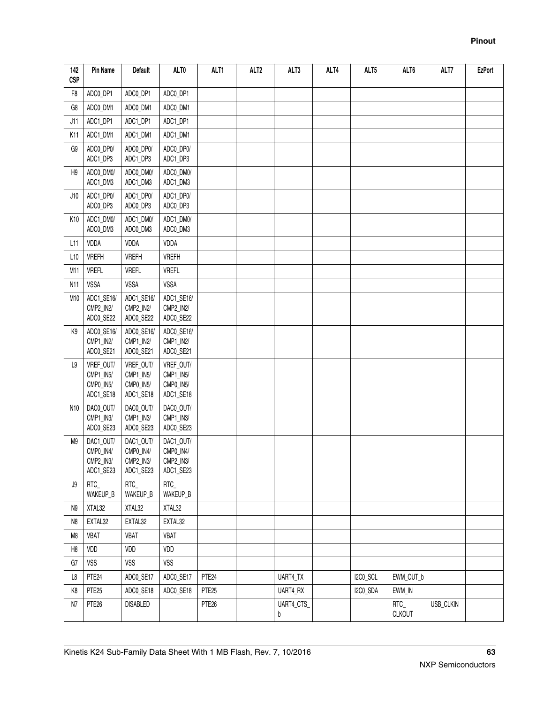| 142<br><b>CSP</b> | Pin Name                                         | Default                                          | ALT0                                             | ALT1              | ALT <sub>2</sub> | ALT3            | ALT4 | ALT5     | ALT6                    | ALT7      | <b>EzPort</b> |
|-------------------|--------------------------------------------------|--------------------------------------------------|--------------------------------------------------|-------------------|------------------|-----------------|------|----------|-------------------------|-----------|---------------|
| F8                | ADCO_DP1                                         | ADCO_DP1                                         | ADCO_DP1                                         |                   |                  |                 |      |          |                         |           |               |
| G8                | ADC0_DM1                                         | ADC0_DM1                                         | ADC0_DM1                                         |                   |                  |                 |      |          |                         |           |               |
| J11               | ADC1_DP1                                         | ADC1_DP1                                         | ADC1_DP1                                         |                   |                  |                 |      |          |                         |           |               |
| K11               | ADC1_DM1                                         | ADC1_DM1                                         | ADC1_DM1                                         |                   |                  |                 |      |          |                         |           |               |
| G9                | ADCO_DP0/<br>ADC1_DP3                            | ADC0_DP0/<br>ADC1_DP3                            | ADCO_DP0/<br>ADC1_DP3                            |                   |                  |                 |      |          |                         |           |               |
| H9                | ADC0_DM0/<br>ADC1_DM3                            | ADC0_DM0/<br>ADC1_DM3                            | ADC0_DM0/<br>ADC1_DM3                            |                   |                  |                 |      |          |                         |           |               |
| J10               | ADC1_DP0/<br>ADCO_DP3                            | ADC1_DP0/<br>ADCO_DP3                            | ADC1_DP0/<br>ADCO_DP3                            |                   |                  |                 |      |          |                         |           |               |
| K10               | ADC1_DM0/<br>ADC0_DM3                            | ADC1_DM0/<br>ADC0_DM3                            | ADC1_DM0/<br>ADC0_DM3                            |                   |                  |                 |      |          |                         |           |               |
| 111               | VDDA                                             | VDDA                                             | VDDA                                             |                   |                  |                 |      |          |                         |           |               |
| L10               | <b>VREFH</b>                                     | <b>VREFH</b>                                     | <b>VREFH</b>                                     |                   |                  |                 |      |          |                         |           |               |
| M11               | <b>VREFL</b>                                     | <b>VREFL</b>                                     | <b>VREFL</b>                                     |                   |                  |                 |      |          |                         |           |               |
| N11               | VSSA                                             | VSSA                                             | VSSA                                             |                   |                  |                 |      |          |                         |           |               |
| M10               | ADC1_SE16/<br>CMP2_IN2/<br>ADCO_SE22             | ADC1_SE16/<br>CMP2_IN2/<br>ADCO_SE22             | ADC1_SE16/<br>CMP2_IN2/<br>ADCO_SE22             |                   |                  |                 |      |          |                         |           |               |
| K9                | ADCO_SE16/<br>CMP1_IN2/<br>ADCO_SE21             | ADCO_SE16/<br>CMP1_IN2/<br>ADCO_SE21             | ADCO_SE16/<br>CMP1_IN2/<br>ADCO_SE21             |                   |                  |                 |      |          |                         |           |               |
| L9                | VREF_OUT/<br>CMP1_IN5/<br>CMP0_IN5/<br>ADC1_SE18 | VREF_OUT/<br>CMP1_IN5/<br>CMP0_IN5/<br>ADC1_SE18 | VREF_OUT/<br>CMP1_IN5/<br>CMP0_IN5/<br>ADC1_SE18 |                   |                  |                 |      |          |                         |           |               |
| N10               | DAC0_OUT/<br>CMP1_IN3/<br>ADCO_SE23              | DAC0_OUT/<br>CMP1_IN3/<br>ADC0_SE23              | DACO_OUT/<br>CMP1_IN3/<br>ADCO_SE23              |                   |                  |                 |      |          |                         |           |               |
| M9                | DAC1_OUT/<br>CMP0_IN4/<br>CMP2_IN3/<br>ADC1_SE23 | DAC1_OUT/<br>CMP0_IN4/<br>CMP2_IN3/<br>ADC1_SE23 | DAC1_OUT/<br>CMP0_IN4/<br>CMP2_IN3/<br>ADC1_SE23 |                   |                  |                 |      |          |                         |           |               |
| J9                | $RTC_$<br>WAKEUP_B                               | RTC_<br>WAKEUP_B                                 | RTC_<br>WAKEUP_B                                 |                   |                  |                 |      |          |                         |           |               |
| N9                | XTAL32                                           | XTAL32                                           | XTAL32                                           |                   |                  |                 |      |          |                         |           |               |
| N8                | EXTAL32                                          | EXTAL32                                          | EXTAL32                                          |                   |                  |                 |      |          |                         |           |               |
| M8                | <b>VBAT</b>                                      | <b>VBAT</b>                                      | <b>VBAT</b>                                      |                   |                  |                 |      |          |                         |           |               |
| H8                | VDD                                              | VDD                                              | VDD                                              |                   |                  |                 |      |          |                         |           |               |
| G7                | <b>VSS</b>                                       | VSS                                              | <b>VSS</b>                                       |                   |                  |                 |      |          |                         |           |               |
| L8                | PTE <sub>24</sub>                                | ADCO_SE17                                        | ADCO_SE17                                        | PTE <sub>24</sub> |                  | UART4_TX        |      | I2CO_SCL | EWM_OUT_b               |           |               |
| K8                | PTE <sub>25</sub>                                | ADCO_SE18                                        | ADCO_SE18                                        | PTE <sub>25</sub> |                  | UART4_RX        |      | I2C0_SDA | EWM_IN                  |           |               |
| N7                | PTE <sub>26</sub>                                | <b>DISABLED</b>                                  |                                                  | PTE <sub>26</sub> |                  | UART4_CTS_<br>b |      |          | $RTC_$<br><b>CLKOUT</b> | USB_CLKIN |               |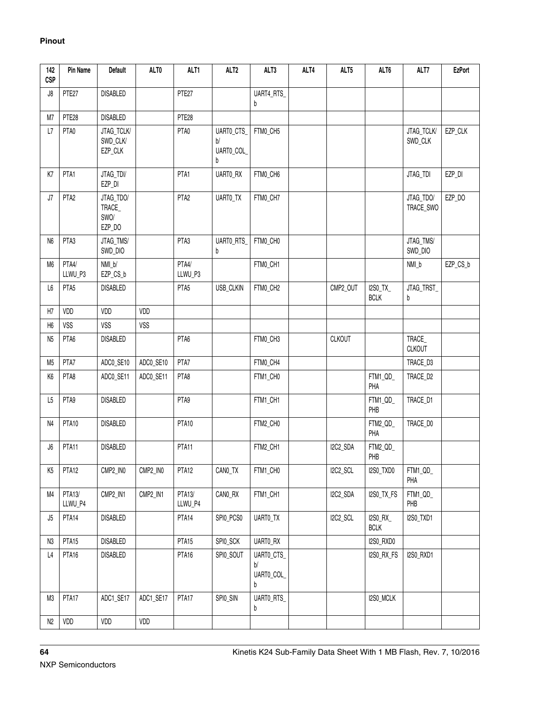| 142<br><b>CSP</b> | Pin Name          | <b>Default</b>                        | ALT0       | ALT1              | ALT <sub>2</sub>                   | ALT3                               | ALT4 | ALT5          | ALT6                           | ALT7                    | <b>EzPort</b> |
|-------------------|-------------------|---------------------------------------|------------|-------------------|------------------------------------|------------------------------------|------|---------------|--------------------------------|-------------------------|---------------|
| J8                | PTE27             | <b>DISABLED</b>                       |            | PTE27             |                                    | UART4_RTS_<br>b                    |      |               |                                |                         |               |
| M7                | PTE <sub>28</sub> | <b>DISABLED</b>                       |            | PTE <sub>28</sub> |                                    |                                    |      |               |                                |                         |               |
| L7                | PTA0              | JTAG_TCLK/<br>SWD_CLK/<br>EZP_CLK     |            | PTA0              | UARTO_CTS_<br>b/<br>UARTO_COL<br>b | FTMO_CH5                           |      |               |                                | JTAG_TCLK/<br>SWD_CLK   | EZP_CLK       |
| K7                | PTA1              | JTAG_TDI/<br>EZP_DI                   |            | PTA1              | UARTO_RX                           | FTMO_CH6                           |      |               |                                | JTAG_TDI                | EZP_DI        |
| J7                | PTA <sub>2</sub>  | JTAG_TDO/<br>TRACE_<br>SWO/<br>EZP_DO |            | PTA <sub>2</sub>  | UARTO_TX                           | FTM0_CH7                           |      |               |                                | JTAG_TDO/<br>TRACE_SWO  | EZP_DO        |
| N <sub>6</sub>    | PTA3              | JTAG_TMS/<br>SWD_DIO                  |            | PTA3              | UARTO_RTS_<br>b                    | FTMO_CHO                           |      |               |                                | JTAG_TMS/<br>SWD_DIO    |               |
| M6                | PTA4/<br>LLWU_P3  | NMI_b/<br>EZP_CS_b                    |            | PTA4/<br>LLWU_P3  |                                    | FTM0_CH1                           |      |               |                                | NMI_b                   | EZP_CS_b      |
| L6                | PTA <sub>5</sub>  | <b>DISABLED</b>                       |            | PTA <sub>5</sub>  | USB_CLKIN                          | FTMO_CH2                           |      | CMP2_OUT      | I2S0_TX_<br><b>BCLK</b>        | JTAG_TRST<br>b          |               |
| H7                | VDD               | VDD                                   | VDD        |                   |                                    |                                    |      |               |                                |                         |               |
| H <sub>6</sub>    | <b>VSS</b>        | <b>VSS</b>                            | <b>VSS</b> |                   |                                    |                                    |      |               |                                |                         |               |
| N <sub>5</sub>    | PTA6              | <b>DISABLED</b>                       |            | PTA6              |                                    | FTMO_CH3                           |      | <b>CLKOUT</b> |                                | TRACE_<br><b>CLKOUT</b> |               |
| M <sub>5</sub>    | PTA7              | ADCO_SE10                             | ADC0_SE10  | PTA7              |                                    | FTM0_CH4                           |      |               |                                | TRACE_D3                |               |
| K <sub>6</sub>    | PTA8              | ADCO_SE11                             | ADCO_SE11  | PTA8              |                                    | FTM1_CH0                           |      |               | FTM1_QD_<br>PHA                | TRACE_D2                |               |
| L <sub>5</sub>    | PTA9              | <b>DISABLED</b>                       |            | PTA9              |                                    | FTM1_CH1                           |      |               | FTM1_QD_<br>PHB                | TRACE_D1                |               |
| N4                | PTA10             | <b>DISABLED</b>                       |            | PTA10             |                                    | FTM2_CH0                           |      |               | FTM2_QD_<br>PHA                | TRACE_D0                |               |
| J6                | PTA11             | <b>DISABLED</b>                       |            | PTA11             |                                    | FTM2_CH1                           |      | I2C2_SDA      | FTM2_QD_<br>PHB                |                         |               |
| K <sub>5</sub>    | PTA12             | CMP2_IN0                              | CMP2_IN0   | PTA12             | CANO_TX                            | FTM1_CH0                           |      | I2C2_SCL      | I2S0_TXD0                      | FTM1_QD_<br>PHA         |               |
| M4                | PTA13/<br>LLWU_P4 | CMP2_IN1                              | CMP2_IN1   | PTA13/<br>LLWU_P4 | CANO_RX                            | FTM1_CH1                           |      | I2C2_SDA      | I2S0_TX_FS                     | FTM1_QD_<br>PHB         |               |
| $\mathsf{J}5$     | PTA14             | DISABLED                              |            | PTA14             | SPIO_PCSO                          | UARTO_TX                           |      | I2C2_SCL      | <b>I2SO_RX_</b><br><b>BCLK</b> | <b>I2SO_TXD1</b>        |               |
| N3                | PTA15             | DISABLED                              |            | PTA <sub>15</sub> | SPIO_SCK                           | UARTO_RX                           |      |               | I2S0_RXD0                      |                         |               |
| L4                | PTA16             | DISABLED                              |            | PTA16             | SPI0_SOUT                          | UARTO_CTS_<br>b/<br>UARTO_COL<br>b |      |               | I2SO_RX_FS                     | I2S0_RXD1               |               |
| M3                | PTA17             | ADC1_SE17                             | ADC1_SE17  | PTA17             | SPI0_SIN                           | UARTO_RTS_<br>b                    |      |               | I2S0_MCLK                      |                         |               |
| N2                | VDD               | VDD                                   | VDD        |                   |                                    |                                    |      |               |                                |                         |               |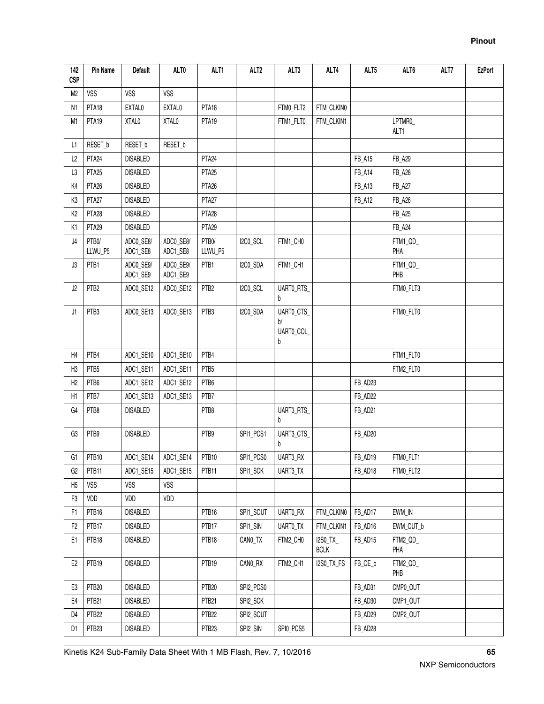| 142<br><b>CSP</b> | Pin Name                    | <b>Default</b>        | ALT0                  | ALT1              | ALT <sub>2</sub> | ALT3                              | ALT4                    | ALT5          | ALT6            | ALT7 | <b>EzPort</b> |
|-------------------|-----------------------------|-----------------------|-----------------------|-------------------|------------------|-----------------------------------|-------------------------|---------------|-----------------|------|---------------|
| M2                | <b>VSS</b>                  | <b>VSS</b>            | VSS                   |                   |                  |                                   |                         |               |                 |      |               |
| N1                | PTA18                       | EXTAL0                | EXTAL0                | PTA18             |                  | FTMO_FLT2                         | FTM_CLKIN0              |               |                 |      |               |
| M1                | PTA <sub>19</sub>           | XTAL0                 | XTAL0                 | PTA19             |                  | FTM1_FLT0                         | FTM_CLKIN1              |               | LPTMR0_<br>ALT1 |      |               |
| L1.               | RESET_b                     | RESET_b               | RESET_b               |                   |                  |                                   |                         |               |                 |      |               |
| L2                | PTA <sub>24</sub>           | <b>DISABLED</b>       |                       | PTA <sub>24</sub> |                  |                                   |                         | <b>FB_A15</b> | FB_A29          |      |               |
| L3                | PTA <sub>25</sub>           | <b>DISABLED</b>       |                       | PTA <sub>25</sub> |                  |                                   |                         | FB_A14        | <b>FB_A28</b>   |      |               |
| K4                | PTA <sub>26</sub>           | <b>DISABLED</b>       |                       | PTA <sub>26</sub> |                  |                                   |                         | FB_A13        | <b>FB_A27</b>   |      |               |
| K3                | PTA <sub>27</sub>           | <b>DISABLED</b>       |                       | PTA <sub>27</sub> |                  |                                   |                         | FB_A12        | FB_A26          |      |               |
| K <sub>2</sub>    | PTA <sub>28</sub>           | <b>DISABLED</b>       |                       | PTA <sub>28</sub> |                  |                                   |                         |               | FB_A25          |      |               |
| K1                | PTA <sub>29</sub>           | <b>DISABLED</b>       |                       | PTA <sub>29</sub> |                  |                                   |                         |               | FB_A24          |      |               |
| J4                | PTB <sub>0</sub><br>LLWU_P5 | ADCO_SE8/<br>ADC1_SE8 | ADC0_SE8/<br>ADC1_SE8 | PTB0/<br>LLWU_P5  | I2C0_SCL         | FTM1_CH0                          |                         |               | FTM1_QD_<br>PHA |      |               |
| J3                | PTB1                        | ADCO_SE9/<br>ADC1_SE9 | ADC0_SE9/<br>ADC1_SE9 | PTB1              | I2CO_SDA         | FTM1_CH1                          |                         |               | FTM1_QD_<br>PHB |      |               |
| J2                | PTB <sub>2</sub>            | ADCO_SE12             | ADCO_SE12             | PTB <sub>2</sub>  | I2CO_SCL         | UARTO_RTS<br>b                    |                         |               | FTMO_FLT3       |      |               |
| J1                | PTB3                        | ADCO_SE13             | ADCO_SE13             | PTB3              | I2CO_SDA         | UARTO_CTS<br>b/<br>UARTO_COL<br>b |                         |               | FTM0_FLT0       |      |               |
| H4                | PTB4                        | ADC1_SE10             | ADC1_SE10             | PTB4              |                  |                                   |                         |               | FTM1_FLT0       |      |               |
| H <sub>3</sub>    | PTB <sub>5</sub>            | ADC1_SE11             | ADC1_SE11             | PTB <sub>5</sub>  |                  |                                   |                         |               | FTM2_FLT0       |      |               |
| H <sub>2</sub>    | PTB6                        | ADC1_SE12             | ADC1_SE12             | PTB6              |                  |                                   |                         | FB_AD23       |                 |      |               |
| H1                | PTB7                        | ADC1_SE13             | ADC1_SE13             | PTB7              |                  |                                   |                         | FB_AD22       |                 |      |               |
| G4                | PTB8                        | <b>DISABLED</b>       |                       | PTB8              |                  | UART3_RTS_<br>b                   |                         | FB_AD21       |                 |      |               |
| G3                | PTB9                        | <b>DISABLED</b>       |                       | PTB9              | SPI1_PCS1        | UART3_CTS<br>b                    |                         | FB_AD20       |                 |      |               |
| G <sub>1</sub>    | PTB <sub>10</sub>           | ADC1_SE14             | ADC1_SE14             | PTB <sub>10</sub> | SPI1_PCS0        | UART3_RX                          |                         | FB_AD19       | FTMO_FLT1       |      |               |
| G2                | PTB11                       | ADC1_SE15             | ADC1_SE15             | PTB11             | SPI1_SCK         | UART3_TX                          |                         | FB_AD18       | FTM0_FLT2       |      |               |
| H <sub>5</sub>    | VSS                         | VSS                   | <b>VSS</b>            |                   |                  |                                   |                         |               |                 |      |               |
| F <sub>3</sub>    | VDD                         | VDD                   | VDD                   |                   |                  |                                   |                         |               |                 |      |               |
| F1                | PTB16                       | DISABLED              |                       | PTB16             | SPI1_SOUT        | UARTO_RX                          | FTM_CLKIN0              | FB_AD17       | EWM_IN          |      |               |
| F <sub>2</sub>    | PTB17                       | DISABLED              |                       | PTB17             | SPI1_SIN         | UARTO_TX                          | FTM_CLKIN1              | FB_AD16       | EWM_OUT_b       |      |               |
| E1                | PTB18                       | DISABLED              |                       | PTB18             | CANO_TX          | FTM2_CH0                          | I2S0_TX_<br><b>BCLK</b> | FB_AD15       | FTM2_QD_<br>PHA |      |               |
| E <sub>2</sub>    | PTB19                       | DISABLED              |                       | PTB19             | CANO_RX          | FTM2_CH1                          | I2S0_TX_FS              | FB_OE_b       | FTM2_QD_<br>PHB |      |               |
| E3                | PTB <sub>20</sub>           | DISABLED              |                       | PTB <sub>20</sub> | SPI2_PCS0        |                                   |                         | FB_AD31       | CMP0_OUT        |      |               |
| E4                | PTB <sub>21</sub>           | DISABLED              |                       | PTB <sub>21</sub> | SPI2_SCK         |                                   |                         | FB_AD30       | CMP1_OUT        |      |               |
| D4                | PTB <sub>22</sub>           | DISABLED              |                       | PTB <sub>22</sub> | SPI2_SOUT        |                                   |                         | FB_AD29       | CMP2_OUT        |      |               |
| D1                | PTB <sub>23</sub>           | DISABLED              |                       | PTB <sub>23</sub> | SPI2_SIN         | SPIO_PCS5                         |                         | FB_AD28       |                 |      |               |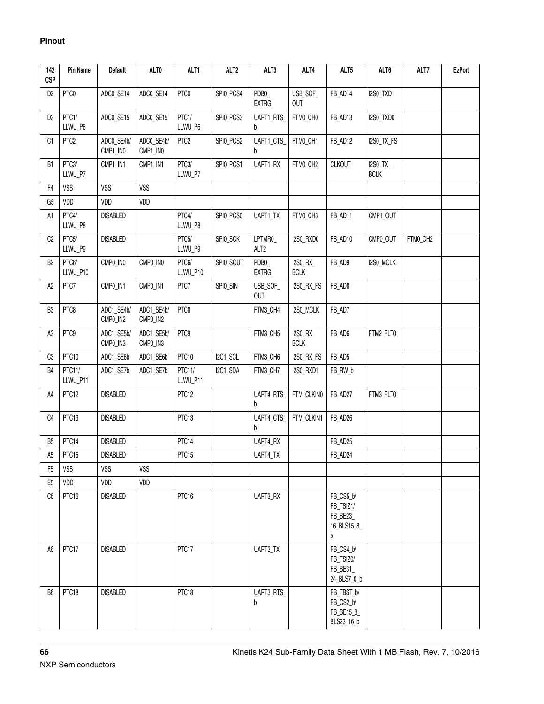| 142<br><b>CSP</b> | Pin Name           | <b>Default</b>         | ALT0                   | ALT1               | ALT <sub>2</sub> | ALT3                        | ALT4                    | ALT5                                                   | ALT6                    | ALT7     | <b>EzPort</b> |
|-------------------|--------------------|------------------------|------------------------|--------------------|------------------|-----------------------------|-------------------------|--------------------------------------------------------|-------------------------|----------|---------------|
| D <sub>2</sub>    | PTC0               | ADCO_SE14              | ADCO_SE14              | PTC0               | SPIO_PCS4        | PDB0_<br><b>EXTRG</b>       | USB_SOF_<br><b>OUT</b>  | FB_AD14                                                | I2S0_TXD1               |          |               |
| D3                | PTC1/<br>LLWU_P6   | ADCO_SE15              | ADCO_SE15              | PTC1/<br>LLWU_P6   | SPI0_PCS3        | UART1_RTS_<br>b             | FTMO_CHO                | FB_AD13                                                | I2SO_TXD0               |          |               |
| C1                | PTC <sub>2</sub>   | ADC0_SE4b/<br>CMP1_IN0 | ADC0_SE4b/<br>CMP1_IN0 | PTC <sub>2</sub>   | SPI0_PCS2        | UART1_CTS_<br>b             | FTM0_CH1                | FB_AD12                                                | I2S0_TX_FS              |          |               |
| B <sub>1</sub>    | PTC3/<br>LLWU_P7   | CMP1_IN1               | CMP1_IN1               | PTC3/<br>LLWU_P7   | SPIO_PCS1        | UART1_RX                    | FTMO_CH2                | <b>CLKOUT</b>                                          | I2S0_TX_<br><b>BCLK</b> |          |               |
| F <sub>4</sub>    | <b>VSS</b>         | <b>VSS</b>             | <b>VSS</b>             |                    |                  |                             |                         |                                                        |                         |          |               |
| G <sub>5</sub>    | VDD                | VDD                    | VDD                    |                    |                  |                             |                         |                                                        |                         |          |               |
| A1                | PTC4/<br>LLWU_P8   | <b>DISABLED</b>        |                        | PTC4/<br>LLWU_P8   | SPI0_PCS0        | UART1_TX                    | FTM0_CH3                | FB_AD11                                                | CMP1_OUT                |          |               |
| C <sub>2</sub>    | PTC5/<br>LLWU_P9   | <b>DISABLED</b>        |                        | PTC5/<br>LLWU_P9   | SPIO_SCK         | LPTMR0_<br>ALT <sub>2</sub> | I2S0_RXD0               | FB_AD10                                                | CMP0_OUT                | FTM0_CH2 |               |
| B <sub>2</sub>    | PTC6/<br>LLWU_P10  | CMP0_IN0               | CMP0_IN0               | PTC6/<br>LLWU_P10  | SPI0_SOUT        | PDB0<br><b>EXTRG</b>        | I2S0_RX_<br><b>BCLK</b> | FB_AD9                                                 | I2S0_MCLK               |          |               |
| A2                | PTC7               | CMP0_IN1               | CMP0_IN1               | PTC7               | SPIO_SIN         | USB_SOF_<br><b>OUT</b>      | I2S0_RX_FS              | FB_AD8                                                 |                         |          |               |
| B <sub>3</sub>    | PTC8               | ADC1_SE4b/<br>CMP0_IN2 | ADC1_SE4b/<br>CMP0_IN2 | PTC8               |                  | FTM3_CH4                    | I2S0_MCLK               | FB_AD7                                                 |                         |          |               |
| A3                | PTC9               | ADC1_SE5b/<br>CMP0_IN3 | ADC1_SE5b/<br>CMP0_IN3 | PTC9               |                  | FTM3_CH5                    | I2S0_RX_<br><b>BCLK</b> | FB_AD6                                                 | FTM2_FLT0               |          |               |
| C3                | PTC10              | ADC1_SE6b              | ADC1_SE6b              | PTC10              | I2C1_SCL         | FTM3_CH6                    | I2S0_RX_FS              | FB_AD5                                                 |                         |          |               |
| B <sub>4</sub>    | PTC11/<br>LLWU_P11 | ADC1_SE7b              | ADC1_SE7b              | PTC11/<br>LLWU_P11 | I2C1_SDA         | FTM3_CH7                    | <b>I2S0_RXD1</b>        | FB_RW_b                                                |                         |          |               |
| A4                | PTC <sub>12</sub>  | <b>DISABLED</b>        |                        | PTC <sub>12</sub>  |                  | UART4_RTS<br>b              | FTM_CLKIN0              | FB_AD27                                                | FTM3_FLT0               |          |               |
| C <sub>4</sub>    | PTC <sub>13</sub>  | <b>DISABLED</b>        |                        | PTC <sub>13</sub>  |                  | UART4_CTS<br>h              | FTM_CLKIN1              | FB_AD26                                                |                         |          |               |
| B <sub>5</sub>    | PTC14              | <b>DISABLED</b>        |                        | PTC14              |                  | UART4_RX                    |                         | FB_AD25                                                |                         |          |               |
| A <sub>5</sub>    | PTC15              | <b>DISABLED</b>        |                        | PTC15              |                  | UART4_TX                    |                         | FB_AD24                                                |                         |          |               |
| F <sub>5</sub>    | <b>VSS</b>         | <b>VSS</b>             | <b>VSS</b>             |                    |                  |                             |                         |                                                        |                         |          |               |
| E <sub>5</sub>    | VDD                | VDD                    | VDD                    |                    |                  |                             |                         |                                                        |                         |          |               |
| C <sub>5</sub>    | PTC16              | <b>DISABLED</b>        |                        | PTC16              |                  | UART3_RX                    |                         | FB_CS5_b/<br>FB_TSIZ1/<br>FB_BE23_<br>16_BLS15_8_<br>b |                         |          |               |
| A <sub>6</sub>    | PTC17              | <b>DISABLED</b>        |                        | PTC17              |                  | UART3_TX                    |                         | FB_CS4_b/<br>FB_TSIZ0/<br>FB_BE31<br>24_BLS7_0_b       |                         |          |               |
| B6                | PTC18              | <b>DISABLED</b>        |                        | PTC18              |                  | UART3_RTS<br>b              |                         | FB_TBST_b/<br>FB_CS2_b/<br>FB_BE15_8_<br>BLS23_16_b    |                         |          |               |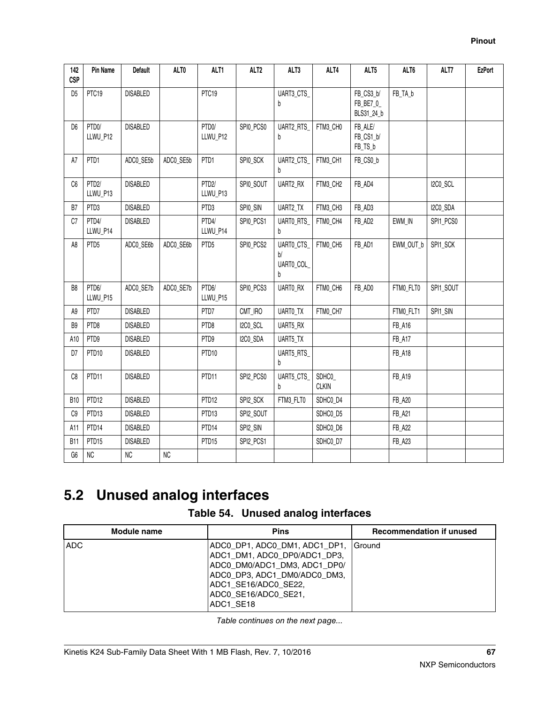| 142<br><b>CSP</b> | Pin Name          | <b>Default</b>  | ALT0      | ALT1              | ALT <sub>2</sub> | ALT3                               | ALT4                  | ALT5                                 | ALT6          | ALT7      | <b>EzPort</b> |
|-------------------|-------------------|-----------------|-----------|-------------------|------------------|------------------------------------|-----------------------|--------------------------------------|---------------|-----------|---------------|
| D <sub>5</sub>    | PTC <sub>19</sub> | <b>DISABLED</b> |           | PTC19             |                  | UART3_CTS<br>b                     |                       | FB_CS3_b/<br>FB_BE7_0_<br>BLS31_24_b | FB_TA_b       |           |               |
| D <sub>6</sub>    | PTD0/<br>LLWU_P12 | <b>DISABLED</b> |           | PTD0/<br>LLWU_P12 | SPIO_PCSO        | UART2_RTS<br>b                     | FTM3_CH0              | FB_ALE/<br>FB_CS1_b/<br>FB_TS_b      |               |           |               |
| A7                | PTD1              | ADCO_SE5b       | ADC0_SE5b | PTD1              | SPIO_SCK         | UART2_CTS<br>b                     | FTM3_CH1              | FB_CS0_b                             |               |           |               |
| C6                | PTD2/<br>LLWU_P13 | <b>DISABLED</b> |           | PTD2/<br>LLWU_P13 | SPIO_SOUT        | <b>UART2 RX</b>                    | FTM3_CH2              | FB_AD4                               |               | I2C0_SCL  |               |
| B7                | PTD <sub>3</sub>  | <b>DISABLED</b> |           | PTD3              | SPIO_SIN         | UART2_TX                           | FTM3_CH3              | FB_AD3                               |               | I2CO_SDA  |               |
| C7                | PTD4/<br>LLWU_P14 | <b>DISABLED</b> |           | PTD4/<br>LLWU_P14 | SPIO_PCS1        | <b>UARTO RTS</b><br>h              | FTM0_CH4              | FB_AD2                               | EWM_IN        | SPI1_PCS0 |               |
| A8                | PTD <sub>5</sub>  | ADCO_SE6b       | ADC0_SE6b | PTD <sub>5</sub>  | SPIO_PCS2        | UARTO_CTS<br>b/<br>UARTO_COL_<br>h | FTM0_CH5              | FB_AD1                               | EWM_OUT_b     | SPI1_SCK  |               |
| B8                | PTD6/<br>LLWU_P15 | ADCO_SE7b       | ADC0_SE7b | PTD6/<br>LLWU_P15 | SPIO_PCS3        | UARTO_RX                           | FTM0_CH6              | FB_AD0                               | FTMO_FLT0     | SPI1_SOUT |               |
| A9                | PTD7              | <b>DISABLED</b> |           | PTD7              | CMT_IRO          | UARTO_TX                           | FTM0_CH7              |                                      | FTMO_FLT1     | SPI1_SIN  |               |
| B <sub>9</sub>    | PTD8              | <b>DISABLED</b> |           | PTD8              | I2C0_SCL         | UART5_RX                           |                       |                                      | FB_A16        |           |               |
| A10               | PTD9              | <b>DISABLED</b> |           | PTD9              | I2CO_SDA         | UART5_TX                           |                       |                                      | <b>FB_A17</b> |           |               |
| D7                | PTD10             | <b>DISABLED</b> |           | PTD10             |                  | UART5_RTS<br>b                     |                       |                                      | <b>FB_A18</b> |           |               |
| C8                | PTD11             | <b>DISABLED</b> |           | PTD11             | SPI2_PCS0        | UART5_CTS_<br>b                    | SDHC0<br><b>CLKIN</b> |                                      | FB_A19        |           |               |
| <b>B10</b>        | PTD <sub>12</sub> | <b>DISABLED</b> |           | PTD12             | SPI2_SCK         | FTM3_FLT0                          | SDHC0_D4              |                                      | <b>FB_A20</b> |           |               |
| C9                | PTD <sub>13</sub> | <b>DISABLED</b> |           | PTD <sub>13</sub> | SPI2_SOUT        |                                    | SDHC0_D5              |                                      | <b>FB_A21</b> |           |               |
| A11               | PTD14             | <b>DISABLED</b> |           | PTD <sub>14</sub> | SPI2_SIN         |                                    | SDHC0_D6              |                                      | <b>FB_A22</b> |           |               |
| <b>B11</b>        | PTD <sub>15</sub> | <b>DISABLED</b> |           | PTD <sub>15</sub> | SPI2_PCS1        |                                    | SDHC0_D7              |                                      | <b>FB_A23</b> |           |               |
| G6                | ${\sf NC}$        | NC              | $\rm NC$  |                   |                  |                                    |                       |                                      |               |           |               |

# **5.2 Unused analog interfaces**

|  |  |  | Table 54. Unused analog interfaces |
|--|--|--|------------------------------------|
|--|--|--|------------------------------------|

| <b>Module name</b> | <b>Pins</b>                                                                                                                                                                              | <b>Recommendation if unused</b> |
|--------------------|------------------------------------------------------------------------------------------------------------------------------------------------------------------------------------------|---------------------------------|
| ADC                | ADCO DP1,ADCO DM1,ADC1 DP1,<br>ADC1_DM1, ADC0_DP0/ADC1_DP3,<br>ADC0_DM0/ADC1_DM3, ADC1_DP0/<br>ADC0_DP3, ADC1_DM0/ADC0_DM3,<br>ADC1_SE16/ADC0_SE22,<br>ADC0_SE16/ADC0_SE21,<br>ADC1 SE18 | I Ground                        |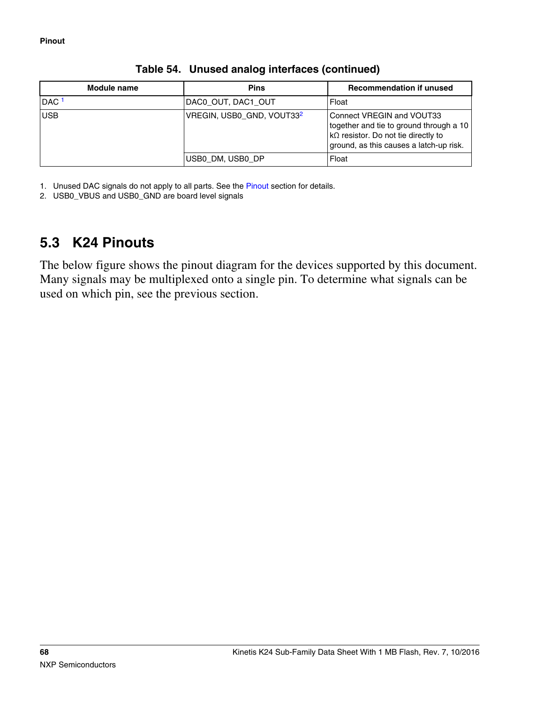| Module name      | <b>Pins</b>                           | <b>Recommendation if unused</b>                                                                                                                                |
|------------------|---------------------------------------|----------------------------------------------------------------------------------------------------------------------------------------------------------------|
| DAC <sup>1</sup> | DAC0_OUT, DAC1_OUT                    | Float                                                                                                                                                          |
| <b>USB</b>       | VREGIN, USB0_GND, VOUT33 <sup>2</sup> | Connect VREGIN and VOUT33<br>together and tie to ground through a 10<br>$ k\Omega$ resistor. Do not tie directly to<br>ground, as this causes a latch-up risk. |
|                  | USB0 DM, USB0 DP                      | Float                                                                                                                                                          |

#### **Table 54. Unused analog interfaces (continued)**

1. Unused DAC signals do not apply to all parts. See the [Pinout](#page-61-0) section for details.

2. USB0\_VBUS and USB0\_GND are board level signals

# **5.3 K24 Pinouts**

The below figure shows the pinout diagram for the devices supported by this document. Many signals may be multiplexed onto a single pin. To determine what signals can be used on which pin, see the previous section.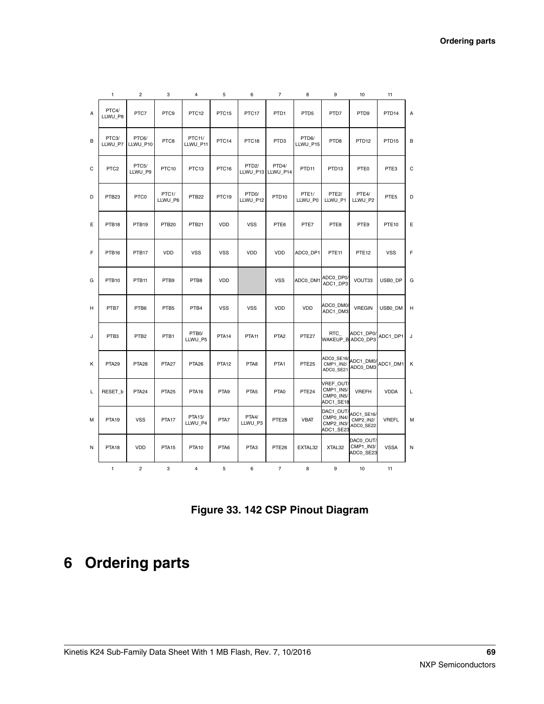|   | $\mathbf{1}$      | $\overline{c}$    | 3                             | 4                  | 5                 | 6                              | $\overline{7}$             | 8                             | 9                                                | 10                                   | 11                |   |
|---|-------------------|-------------------|-------------------------------|--------------------|-------------------|--------------------------------|----------------------------|-------------------------------|--------------------------------------------------|--------------------------------------|-------------------|---|
| А | PTC4/<br>LLWU_P8  | PTC7              | PTC <sub>9</sub>              | PTC <sub>12</sub>  | PTC <sub>15</sub> | PTC17                          | PTD <sub>1</sub>           | PTD <sub>5</sub>              | PTD7                                             | PTD <sub>9</sub>                     | PTD <sub>14</sub> | А |
| B | PTC3/<br>LLWU_P7  | PTC6/<br>LLWU_P10 | PTC8                          | PTC11/<br>LLWU_P11 | PTC <sub>14</sub> | PTC <sub>18</sub>              | PTD <sub>3</sub>           | PTD6/<br>LLWU_P15             | PTD <sub>8</sub>                                 | PTD <sub>12</sub>                    | PTD <sub>15</sub> | B |
| C | PTC <sub>2</sub>  | PTC5/<br>LLWU_P9  | PTC10                         | PTC <sub>13</sub>  | PTC16             | PTD <sub>2</sub> /             | PTD4/<br>LLWU_P13 LLWU_P14 | PTD <sub>11</sub>             | PTD <sub>13</sub>                                | PTE0                                 | PTE3              | C |
| D | PTB <sub>23</sub> | PTC0              | PTC <sub>1</sub> /<br>LLWU_P6 | PTB <sub>22</sub>  | PTC19             | PTD <sub>0</sub> /<br>LLWU_P12 | PTD <sub>10</sub>          | PTE <sub>1</sub> /<br>LLWU_P0 | PTE <sub>2</sub> /<br>LLWU_P1                    | PTE4/<br>LLWU_P2                     | PTE5              | D |
| E | PTB <sub>18</sub> | PTB19             | PTB <sub>20</sub>             | PTB <sub>21</sub>  | <b>VDD</b>        | <b>VSS</b>                     | PTE6                       | PTE7                          | PTE8                                             | PTE9                                 | PTE <sub>10</sub> | E |
| F | PTB <sub>16</sub> | PTB17             | VDD                           | <b>VSS</b>         | <b>VSS</b>        | VDD                            | VDD                        | ADC0_DP1                      | PTE <sub>11</sub>                                | PTE <sub>12</sub>                    | <b>VSS</b>        | F |
| G | PTB <sub>10</sub> | PTB <sub>11</sub> | PTB9                          | PTB8               | VDD               |                                | <b>VSS</b>                 | ADC0_DM1                      | ADC0_DP0/<br>ADC1 DP3                            | VOUT33                               | USB0_DP           | G |
| н | PTB7              | PTB6              | PTB5                          | PTB4               | <b>VSS</b>        | <b>VSS</b>                     | VDD                        | VDD                           | ADC0_DM0/<br>ADC1_DM3                            | <b>VREGIN</b>                        | USB0_DM           | н |
| J | PTB3              | PTB <sub>2</sub>  | PTB1                          | PTB0/<br>LLWU_P5   | PTA <sub>14</sub> | PTA <sub>11</sub>              | PTA <sub>2</sub>           | PTE27                         | RTC<br>WAKEUP_B ADC0_DP3                         | ADC1_DP0/                            | ADC1_DP1          | J |
| K | PTA <sub>29</sub> | PTA <sub>28</sub> | PTA <sub>27</sub>             | PTA <sub>26</sub>  | PTA <sub>12</sub> | PTA8                           | PTA <sub>1</sub>           | PTE <sub>25</sub>             | ADC0_SE16/<br>CMP1 IN2/<br>ADC0_SE21             | ADC1_DM0/<br>ADC0_DM3                | ADC1 DM1          | К |
| L | RESET b           | PTA <sub>24</sub> | PTA <sub>25</sub>             | PTA <sub>16</sub>  | PTA <sub>9</sub>  | PTA <sub>5</sub>               | PTA0                       | PTE <sub>24</sub>             | VREF_OUT/<br>CMP1_IN5/<br>CMP0_IN5/<br>ADC1_SE18 | <b>VREFH</b>                         | <b>VDDA</b>       | L |
| м | PTA <sub>19</sub> | <b>VSS</b>        | PTA <sub>17</sub>             | PTA13/<br>LLWU_P4  | PTA7              | PTA4/<br>LLWU_P3               | PTE <sub>28</sub>          | <b>VBAT</b>                   | DAC1_OUT/<br>CMP0_IN4/<br>CMP2_IN3/<br>ADC1_SE23 | ADC1_SE16/<br>CMP2 IN2/<br>ADC0_SE22 | <b>VREFL</b>      | M |
| Ν | PTA <sub>18</sub> | VDD               | PTA <sub>15</sub>             | PTA <sub>10</sub>  | PTA6              | PTA3                           | PTE <sub>26</sub>          | EXTAL32                       | XTAL32                                           | DAC0_OUT/<br>CMP1_IN3/<br>ADC0_SE23  | <b>VSSA</b>       | N |
|   | $\mathbf{1}$      | $\overline{c}$    | 3                             | $\overline{4}$     | 5                 | 6                              | $\overline{7}$             | 8                             | 9                                                | 10                                   | 11                |   |

**Figure 33. 142 CSP Pinout Diagram**

# **6 Ordering parts**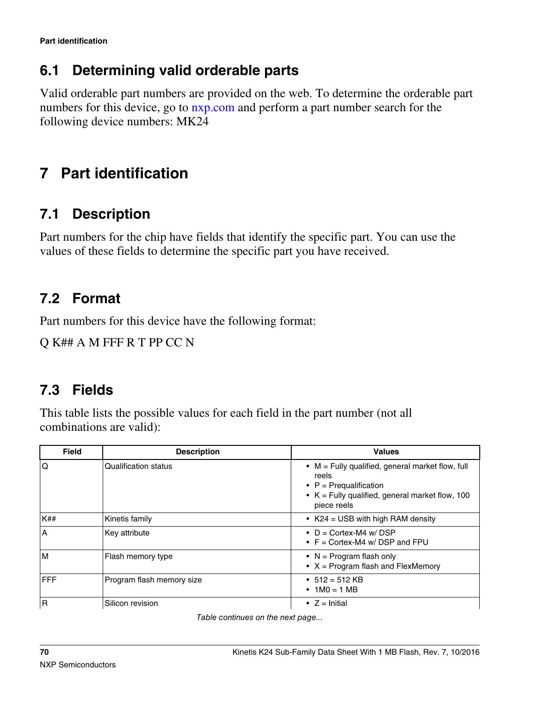## **6.1 Determining valid orderable parts**

Valid orderable part numbers are provided on the web. To determine the orderable part numbers for this device, go to  $n \times p$ , com and perform a part number search for the following device numbers: MK24

# **7 Part identification**

# **7.1 Description**

Part numbers for the chip have fields that identify the specific part. You can use the values of these fields to determine the specific part you have received.

# **7.2 Format**

Part numbers for this device have the following format:

Q K## A M FFF R T PP CC N

# **7.3 Fields**

This table lists the possible values for each field in the part number (not all combinations are valid):

| <b>Field</b> | <b>Description</b>          | <b>Values</b>                                                                                                                                                           |
|--------------|-----------------------------|-------------------------------------------------------------------------------------------------------------------------------------------------------------------------|
| Q            | <b>Qualification status</b> | $\bullet$ M = Fully qualified, general market flow, full<br>reels<br>• $P = Prequalification$<br>$\bullet$ K = Fully qualified, general market flow, 100<br>piece reels |
| <b>K##</b>   | Kinetis family              | • $K24 = USB$ with high RAM density                                                                                                                                     |
| A            | Key attribute               | • $D =$ Cortex-M4 w/ DSP<br>• $F =$ Cortex-M4 w/DSP and FPU                                                                                                             |
| M            | Flash memory type           | • $N = Program$ flash only<br>• $X = Program$ flash and FlexMemory                                                                                                      |
| FFF          | Program flash memory size   | • $512 = 512$ KB<br>• $1MO = 1MB$                                                                                                                                       |
| $\mathsf{R}$ | Silicon revision            | • $Z =$ Initial                                                                                                                                                         |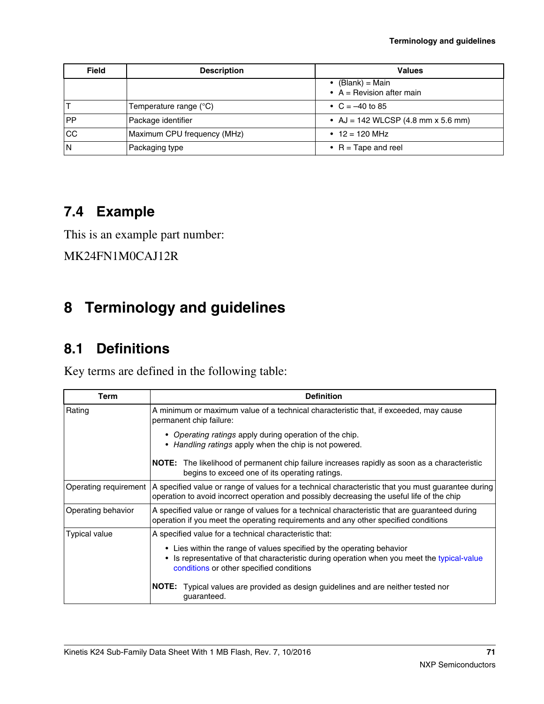| <b>Field</b>  | <b>Description</b>              | <b>Values</b>                                             |
|---------------|---------------------------------|-----------------------------------------------------------|
|               |                                 | • $(Blank) = Main$<br>• $A =$ Revision after main         |
|               | Temperature range $(^{\circ}C)$ | • $C = -40$ to 85                                         |
| <b>PP</b>     | Package identifier              | • AJ = 142 WLCSP $(4.8 \text{ mm} \times 5.6 \text{ mm})$ |
| <sub>CC</sub> | Maximum CPU frequency (MHz)     | • $12 = 120$ MHz                                          |
| ΙN            | Packaging type                  | • $R = \text{Tape}$ and reel                              |

## **7.4 Example**

This is an example part number:

MK24FN1M0CAJ12R

# **8 Terminology and guidelines**

## **8.1 Definitions**

Key terms are defined in the following table:

| Term                  | <b>Definition</b>                                                                                                                                                                                              |  |  |  |  |
|-----------------------|----------------------------------------------------------------------------------------------------------------------------------------------------------------------------------------------------------------|--|--|--|--|
| Rating                | A minimum or maximum value of a technical characteristic that, if exceeded, may cause<br>permanent chip failure:                                                                                               |  |  |  |  |
|                       | • Operating ratings apply during operation of the chip.<br>• Handling ratings apply when the chip is not powered.                                                                                              |  |  |  |  |
|                       | NOTE: The likelihood of permanent chip failure increases rapidly as soon as a characteristic<br>begins to exceed one of its operating ratings.                                                                 |  |  |  |  |
| Operating requirement | A specified value or range of values for a technical characteristic that you must guarantee during<br>operation to avoid incorrect operation and possibly decreasing the useful life of the chip               |  |  |  |  |
| Operating behavior    | A specified value or range of values for a technical characteristic that are guaranteed during<br>operation if you meet the operating requirements and any other specified conditions                          |  |  |  |  |
| <b>Typical value</b>  | A specified value for a technical characteristic that:                                                                                                                                                         |  |  |  |  |
|                       | • Lies within the range of values specified by the operating behavior<br>Is representative of that characteristic during operation when you meet the typical-value<br>conditions or other specified conditions |  |  |  |  |
|                       | Typical values are provided as design guidelines and are neither tested nor<br>NOTE:<br>guaranteed.                                                                                                            |  |  |  |  |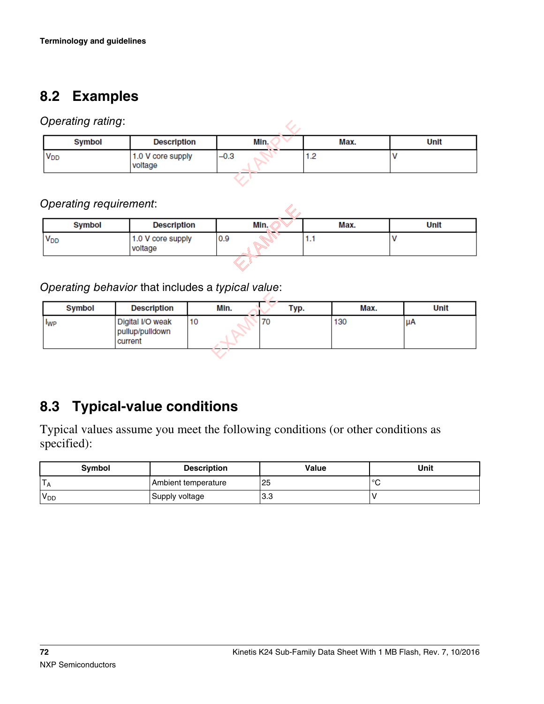# <span id="page-71-0"></span>**8.2 Examples**

#### *Operating rating*:

| Operating rating:     |                              |        |      |      |
|-----------------------|------------------------------|--------|------|------|
| Symbol                | <b>Description</b>           | Min.   | Max. | Unit |
| <b>V<sub>DD</sub></b> | 1.0 V core supply<br>voltage | $-0.3$ | 1.2  |      |
|                       |                              |        |      |      |

### *Operating requirement*:

| Opcraing requirement. |                              |      |      |      |  |  |
|-----------------------|------------------------------|------|------|------|--|--|
| Symbol                | <b>Description</b>           | Min. | Max. | Unit |  |  |
| $V_{DD}$              | 1.0 V core supply<br>voltage | 0.9  | 1.1  |      |  |  |
|                       |                              |      |      |      |  |  |

### *Operating behavior* that includes a *typical value*:

|                        | $\sim$ |                                                | . .  |    |      |      |      |
|------------------------|--------|------------------------------------------------|------|----|------|------|------|
|                        | Symbol | <b>Description</b>                             | Min. |    | Typ. | Max. | Unit |
| <b>I</b> <sub>WP</sub> |        | Digital I/O weak<br>pullup/pulldown<br>current | 10   | 70 |      | 130  | uА   |
|                        |        |                                                |      |    |      |      |      |

# **8.3 Typical-value conditions**

Typical values assume you meet the following conditions (or other conditions as specified):

| <b>Symbol</b>    | <b>Description</b>          | Value | Unit            |
|------------------|-----------------------------|-------|-----------------|
|                  | Ambient temperature         | 25    | 10 <sup>o</sup> |
| 'V <sub>DD</sub> | <sup>'</sup> Supply voltage | 3.3   |                 |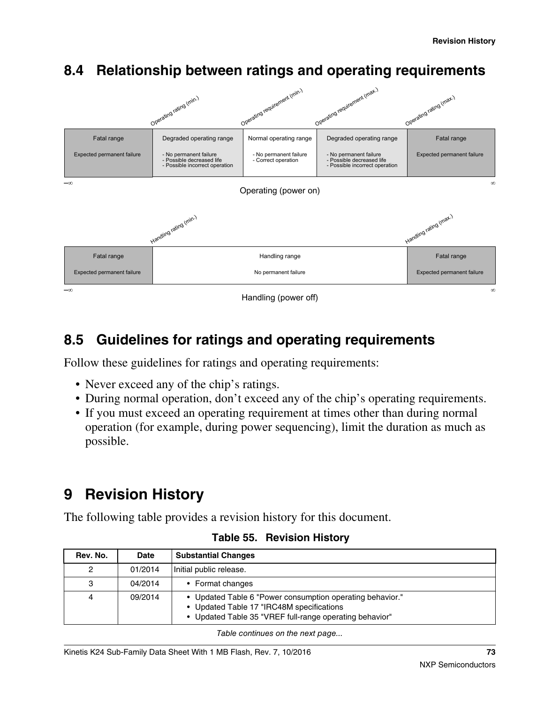

# **8.4 Relationship between ratings and operating requirements**

## **8.5 Guidelines for ratings and operating requirements**

Follow these guidelines for ratings and operating requirements:

- Never exceed any of the chip's ratings.
- During normal operation, don't exceed any of the chip's operating requirements.
- If you must exceed an operating requirement at times other than during normal operation (for example, during power sequencing), limit the duration as much as possible.

# **9 Revision History**

The following table provides a revision history for this document.

| Rev. No. | Date    | <b>Substantial Changes</b>                                                                                                                                        |  |
|----------|---------|-------------------------------------------------------------------------------------------------------------------------------------------------------------------|--|
| 2        | 01/2014 | Initial public release.                                                                                                                                           |  |
| 3        | 04/2014 | • Format changes                                                                                                                                                  |  |
| 4        | 09/2014 | • Updated Table 6 "Power consumption operating behavior."<br>• Updated Table 17 "IRC48M specifications<br>• Updated Table 35 "VREF full-range operating behavior" |  |

### **Table 55. Revision History**

*Table continues on the next page...*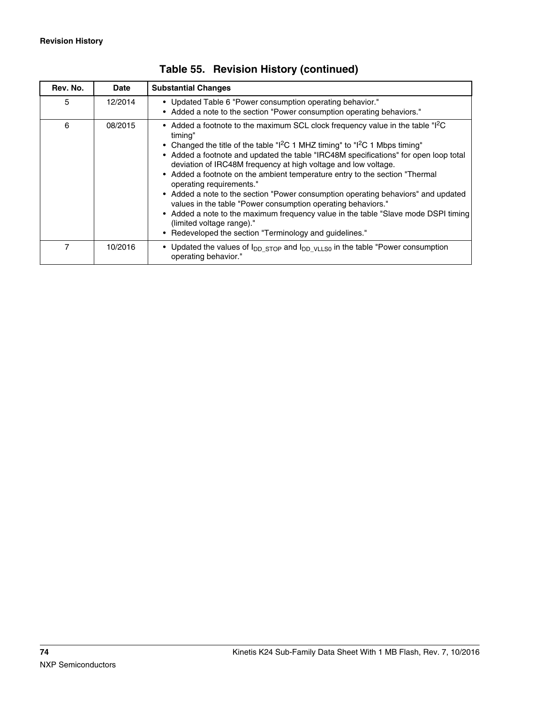| Rev. No. | <b>Date</b> | <b>Substantial Changes</b>                                                                                                                                                                                                                                                                                                                                                                                                                                                                                                                                                                                                                                                                                                                                                                                      |  |
|----------|-------------|-----------------------------------------------------------------------------------------------------------------------------------------------------------------------------------------------------------------------------------------------------------------------------------------------------------------------------------------------------------------------------------------------------------------------------------------------------------------------------------------------------------------------------------------------------------------------------------------------------------------------------------------------------------------------------------------------------------------------------------------------------------------------------------------------------------------|--|
| 5        | 12/2014     | • Updated Table 6 "Power consumption operating behavior."<br>• Added a note to the section "Power consumption operating behaviors."                                                                                                                                                                                                                                                                                                                                                                                                                                                                                                                                                                                                                                                                             |  |
| 6        | 08/2015     | • Added a footnote to the maximum SCL clock frequency value in the table "I <sup>2</sup> C<br>timing"<br>• Changed the title of the table " $1^2C$ 1 MHZ timing" to " $1^2C$ 1 Mbps timing"<br>• Added a footnote and updated the table "IRC48M specifications" for open loop total<br>deviation of IRC48M frequency at high voltage and low voltage.<br>• Added a footnote on the ambient temperature entry to the section "Thermal"<br>operating requirements."<br>• Added a note to the section "Power consumption operating behaviors" and updated<br>values in the table "Power consumption operating behaviors."<br>• Added a note to the maximum frequency value in the table "Slave mode DSPI timing<br>(limited voltage range)."<br>Redeveloped the section "Terminology and guidelines."<br>$\bullet$ |  |
| 7        | 10/2016     | • Updated the values of $I_{DDSTOP}$ and $I_{DDVLSO}$ in the table "Power consumption<br>operating behavior."                                                                                                                                                                                                                                                                                                                                                                                                                                                                                                                                                                                                                                                                                                   |  |

|  |  |  | Table 55. Revision History (continued) |
|--|--|--|----------------------------------------|
|--|--|--|----------------------------------------|